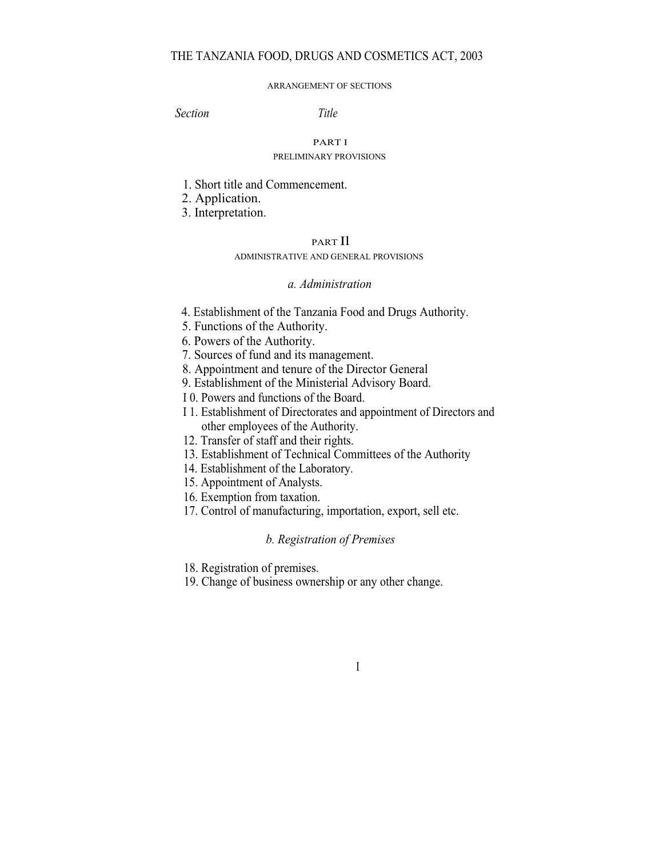# THE TANZANIA FOOD, DRUGS AND COSMETICS ACT, 2003

#### ARRANGEMENT OF SECTIONS

Section Title

## PART I

#### PRELIMINARY PROVISIONS

- 1. Short title and Commencement.
- 2. Application.
- 3. Interpretation.

## PART Il

### ADMINISTRATIVE AND GENERAL PROVISIONS

### a. Administration

- 4. Establishment of the Tanzania Food and Drugs Authority.
- 5. Functions of the Authority.
- 6. Powers of the Authority.
- 7. Sources of fund and its management.
- 8. Appointment and tenure of the Director General
- 9. Establishment of the Ministerial Advisory Board.
- I 0. Powers and functions of the Board.
- I 1. Establishment of Directorates and appointment of Directors and other employees of the Authority.
- 12. Transfer of staff and their rights.
- 13. Establishment of Technical Committees of the Authority
- 14. Establishment of the Laboratory.
- 15. Appointment of Analysts.
- 16. Exemption from taxation.
- 17. Control of manufacturing, importation, export, sell etc.

### b. Registration of Premises

I

18. Registration of premises.

19. Change of business ownership or any other change.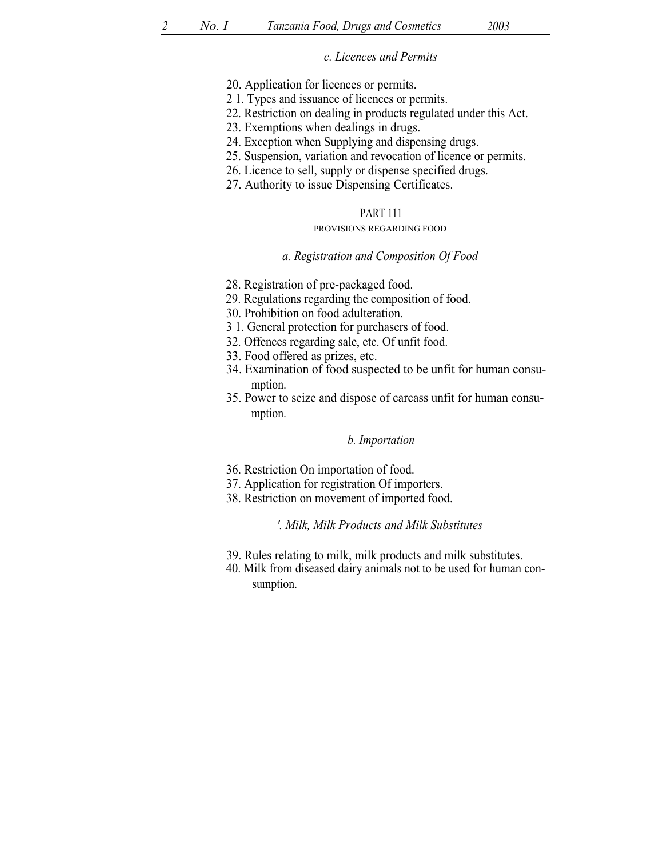### c. Licences and Permits

- 20. Application for licences or permits.
- 2 1. Types and issuance of licences or permits.
- 22. Restriction on dealing in products regulated under this Act.
- 23. Exemptions when dealings in drugs.
- 24. Exception when Supplying and dispensing drugs.
- 25. Suspension, variation and revocation of licence or permits.
- 26. Licence to sell, supply or dispense specified drugs.
- 27. Authority to issue Dispensing Certificates.

### PART 111

#### PROVISIONS REGARDING FOOD

#### a. Registration and Composition Of Food

- 28. Registration of pre-packaged food.
- 29. Regulations regarding the composition of food.
- 30. Prohibition on food adulteration.
- 3 1. General protection for purchasers of food.
- 32. Offences regarding sale, etc. Of unfit food.
- 33. Food offered as prizes, etc.
- 34. Examination of food suspected to be unfit for human consumption.
- 35. Power to seize and dispose of carcass unfit for human consumption.

### b. Importation

- 36. Restriction On importation of food.
- 37. Application for registration Of importers.
- 38. Restriction on movement of imported food.

### '. Milk, Milk Products and Milk Substitutes

- 39. Rules relating to milk, milk products and milk substitutes.
- 40. Milk from diseased dairy animals not to be used for human consumption.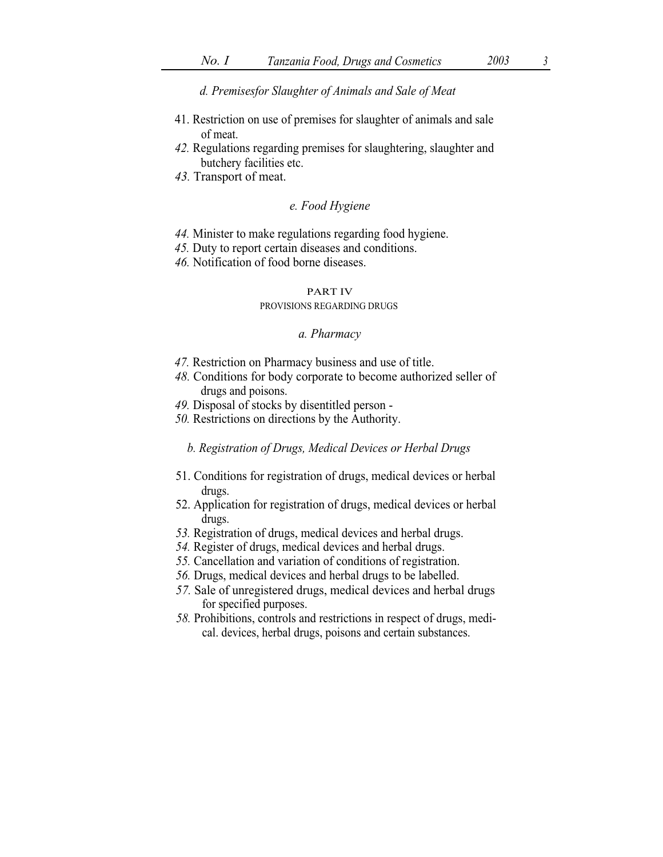d. Premisesfor Slaughter of Animals and Sale of Meat

- 41. Restriction on use of premises for slaughter of animals and sale of meat.
- 42. Regulations regarding premises for slaughtering, slaughter and butchery facilities etc.
- 43. Transport of meat.

## e. Food Hygiene

- 44. Minister to make regulations regarding food hygiene.
- 45. Duty to report certain diseases and conditions.
- 46. Notification of food borne diseases.

# PART IV

#### PROVISIONS REGARDING DRUGS

#### a. Pharmacy

- 47. Restriction on Pharmacy business and use of title.
- 48. Conditions for body corporate to become authorized seller of drugs and poisons.
- 49. Disposal of stocks by disentitled person -
- 50. Restrictions on directions by the Authority.

### b. Registration of Drugs, Medical Devices or Herbal Drugs

- 51. Conditions for registration of drugs, medical devices or herbal drugs.
- 52. Application for registration of drugs, medical devices or herbal drugs.
- 53. Registration of drugs, medical devices and herbal drugs.
- 54. Register of drugs, medical devices and herbal drugs.
- 55. Cancellation and variation of conditions of registration.
- 56. Drugs, medical devices and herbal drugs to be labelled.
- 57. Sale of unregistered drugs, medical devices and herbal drugs for specified purposes.
- 58. Prohibitions, controls and restrictions in respect of drugs, medical. devices, herbal drugs, poisons and certain substances.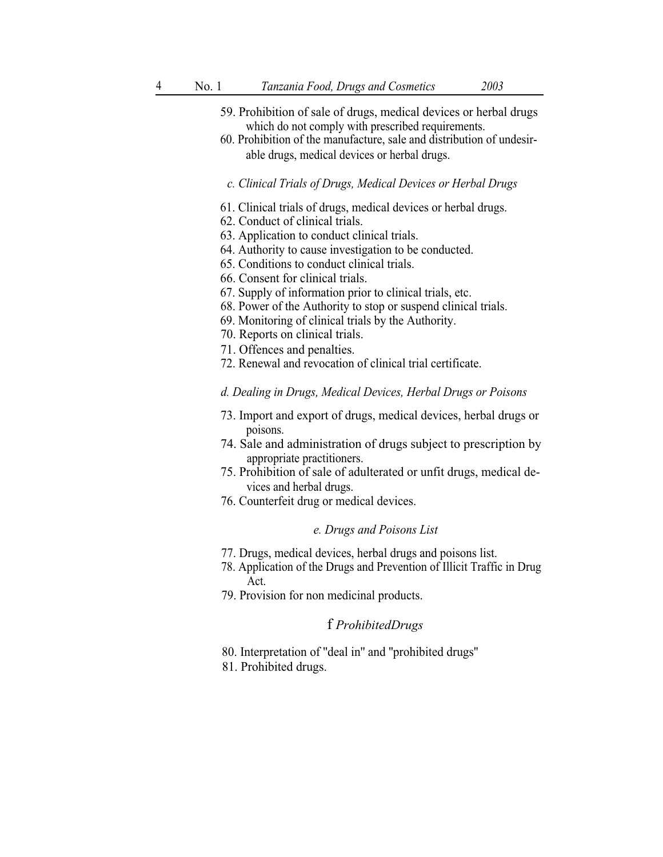- 59. Prohibition of sale of drugs, medical devices or herbal drugs which do not comply with prescribed requirements.
- 60. Prohibition of the manufacture, sale and distribution of undesirable drugs, medical devices or herbal drugs.
- c. Clinical Trials of Drugs, Medical Devices or Herbal Drugs
- 61. Clinical trials of drugs, medical devices or herbal drugs.
- 62. Conduct of clinical trials.
- 63. Application to conduct clinical trials.
- 64. Authority to cause investigation to be conducted.
- 65. Conditions to conduct clinical trials.
- 66. Consent for clinical trials.
- 67. Supply of information prior to clinical trials, etc.
- 68. Power of the Authority to stop or suspend clinical trials.
- 69. Monitoring of clinical trials by the Authority.
- 70. Reports on clinical trials.
- 71. Offences and penalties.
- 72. Renewal and revocation of clinical trial certificate.

## d. Dealing in Drugs, Medical Devices, Herbal Drugs or Poisons

- 73. Import and export of drugs, medical devices, herbal drugs or poisons.
- 74. Sale and administration of drugs subject to prescription by appropriate practitioners.
- 75. Prohibition of sale of adulterated or unfit drugs, medical devices and herbal drugs.
- 76. Counterfeit drug or medical devices.

## e. Drugs and Poisons List

- 77. Drugs, medical devices, herbal drugs and poisons list.
- 78. Application of the Drugs and Prevention of Illicit Traffic in Drug Act.
- 79. Provision for non medicinal products.

# f ProhibitedDrugs

- 80. Interpretation of ''deal in'' and ''prohibited drugs''
- 81. Prohibited drugs.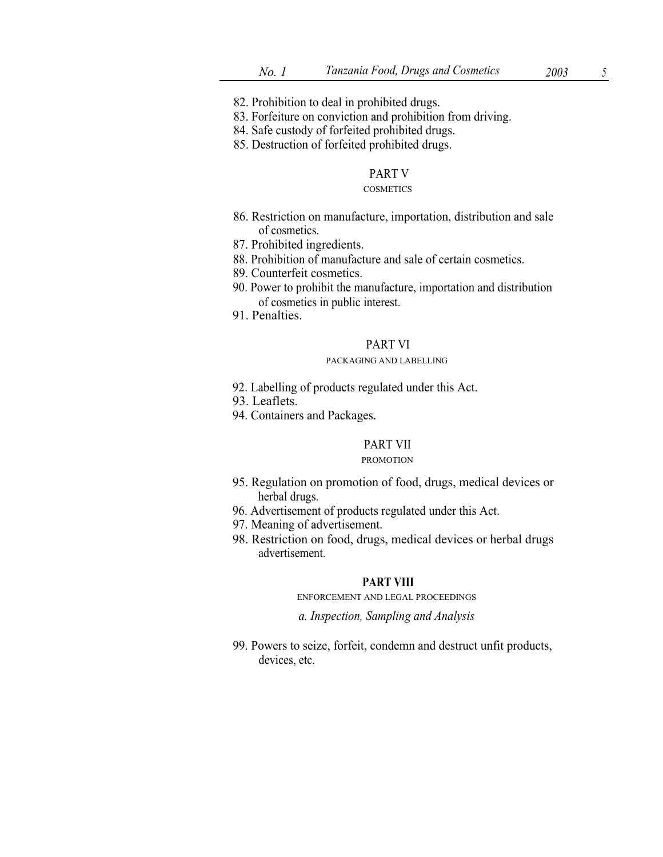- 82. Prohibition to deal in prohibited drugs.
- 83. Forfeiture on conviction and prohibition from driving.
- 84. Safe custody of forfeited prohibited drugs.
- 85. Destruction of forfeited prohibited drugs.

## PART V

### **COSMETICS**

- 86. Restriction on manufacture, importation, distribution and sale of cosmetics.
- 87. Prohibited ingredients.
- 88. Prohibition of manufacture and sale of certain cosmetics.
- 89. Counterfeit cosmetics.
- 90. Power to prohibit the manufacture, importation and distribution of cosmetics in public interest.
- 91. Penalties.

## PART VI

### PACKAGING AND LABELLING

- 92. Labelling of products regulated under this Act.
- 93. Leaflets.
- 94. Containers and Packages.

## PART VII

#### PROMOTION

- 95. Regulation on promotion of food, drugs, medical devices or herbal drugs.
- 96. Advertisement of products regulated under this Act.
- 97. Meaning of advertisement.
- 98. Restriction on food, drugs, medical devices or herbal drugs advertisement.

## PART VIII

### ENFORCEMENT AND LEGAL PROCEEDINGS

a. Inspection, Sampling and Analysis

99. Powers to seize, forfeit, condemn and destruct unfit products, devices, etc.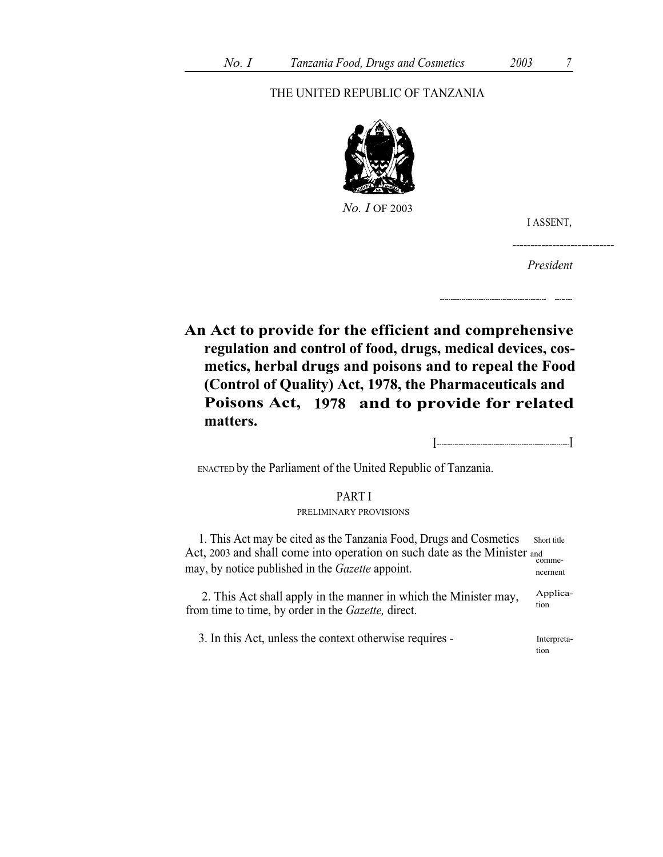# THE UNITED REPUBLIC OF TANZANIA



No. I OF 2003

I ASSENT,

President

----------------------------

An Act to provide for the efficient and comprehensive regulation and control of food, drugs, medical devices, cosmetics, herbal drugs and poisons and to repeal the Food (Control of Quality) Act, 1978, the Pharmaceuticals and Poisons Act, 1978 and to provide for related matters.

I I

ENACTED by the Parliament of the United Republic of Tanzania.

## PART I PRELIMINARY PROVISIONS

1. This Act may be cited as the Tanzania Food, Drugs and Cosmetics Short title Act, 2003 and shall come into operation on such date as the Minister and commemay, by notice published in the *Gazette* appoint.

2. This Act shall apply in the manner in which the Minister may,  $\frac{\text{Applica-}}{\text{tion}}$ from time to time, by order in the Gazette, direct.

3. In this Act, unless the context otherwise requires - Interpretation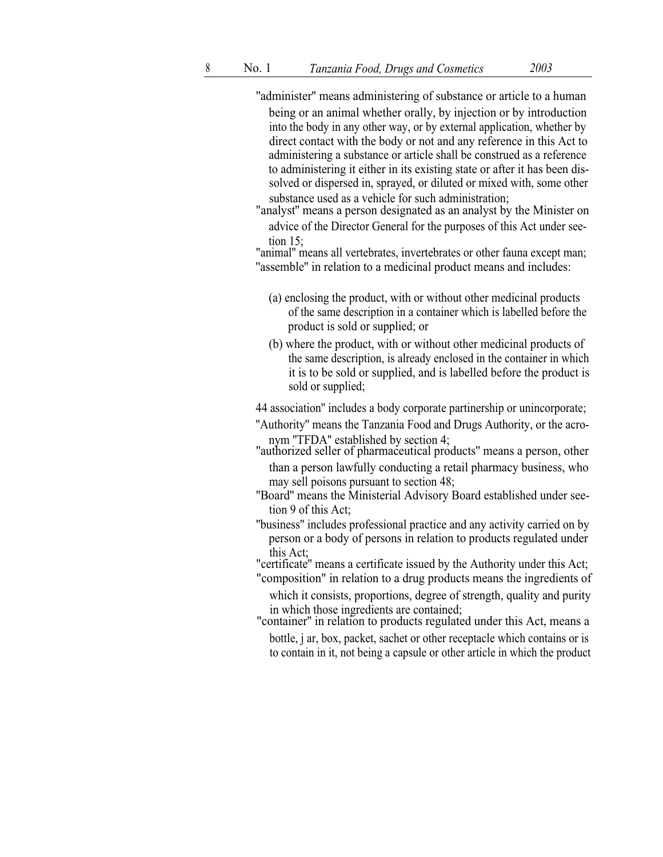''administer'' means administering of substance or article to a human being or an animal whether orally, by injection or by introduction into the body in any other way, or by external application, whether by direct contact with the body or not and any reference in this Act to administering a substance or article shall be construed as a reference to administering it either in its existing state or after it has been dissolved or dispersed in, sprayed, or diluted or mixed with, some other substance used as a vehicle for such administration;

"analyst'' means a person designated as an analyst by the Minister on advice of the Director General for the purposes of this Act under seetion 15;

"animal'' means all vertebrates, invertebrates or other fauna except man; "assemble" in relation to a medicinal product means and includes:

- (a) enclosing the product, with or without other medicinal products of the same description in a container which is labelled before the product is sold or supplied; or
- (b) where the product, with or without other medicinal products of the same description, is already enclosed in the container in which it is to be sold or supplied, and is labelled before the product is sold or supplied;

44 association'' includes a body corporate partinership or unincorporate;

- ''Authority'' means the Tanzania Food and Drugs Authority, or the acronym "TFDA" established by section 4;<br>"authorized seller of pharmaceutical products" means a person, other
- than a person lawfully conducting a retail pharmacy business, who may sell poisons pursuant to section 48;
- ''Board'' means the Ministerial Advisory Board established under seetion 9 of this Act;
- ''business'' includes professional practice and any activity carried on by person or a body of persons in relation to products regulated under this Act;

"certificate'' means a certificate issued by the Authority under this Act;

"composition" in relation to a drug products means the ingredients of which it consists, proportions, degree of strength, quality and purity in which those ingredients are contained;

"container'' in relation to products regulated under this Act, means a bottle, j ar, box, packet, sachet or other receptacle which contains or is to contain in it, not being a capsule or other article in which the product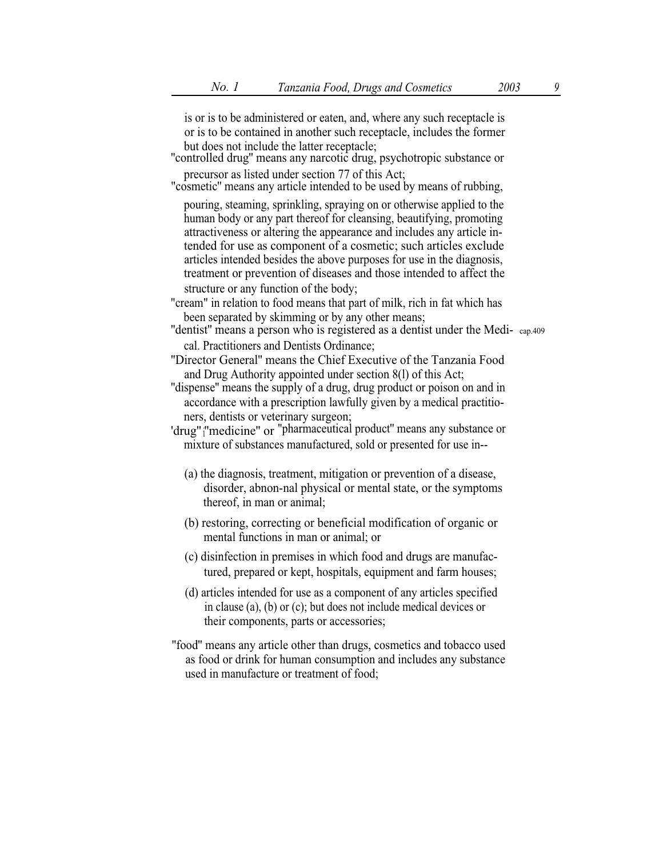is or is to be administered or eaten, and, where any such receptacle is or is to be contained in another such receptacle, includes the former

- "controlled drug" means any narcotic drug, psychotropic substance or precursor as listed under section 77 of this Act;
- "cosmetic'' means any article intended to be used by means of rubbing,

pouring, steaming, sprinkling, spraying on or otherwise applied to the human body or any part thereof for cleansing, beautifying, promoting attractiveness or altering the appearance and includes any article intended for use as component of a cosmetic; such articles exclude articles intended besides the above purposes for use in the diagnosis, treatment or prevention of diseases and those intended to affect the structure or any function of the body;

"cream" in relation to food means that part of milk, rich in fat which has been separated by skimming or by any other means;

''dentist'' means a person who is registered as a dentist under the Medi- cap.409 cal. Practitioners and Dentists Ordinance;

''Director General'' means the Chief Executive of the Tanzania Food and Drug Authority appointed under section 8(l) of this Act;

''dispense'' means the supply of a drug, drug product or poison on and in accordance with a prescription lawfully given by a medical practitioners, dentists or veterinary surgeon;

'drug" <sub>i</sub>''medicine'' or "pharmaceutical product" means any substance or mixture of substances manufactured, sold or presented for use in--

- (a) the diagnosis, treatment, mitigation or prevention of a disease, disorder, abnon-nal physical or mental state, or the symptoms thereof, in man or animal;
- (b) restoring, correcting or beneficial modification of organic or mental functions in man or animal; or
- (c) disinfection in premises in which food and drugs are manufactured, prepared or kept, hospitals, equipment and farm houses;
- (d) articles intended for use as a component of any articles specified in clause (a), (b) or (c); but does not include medical devices or their components, parts or accessories;
- ''food'' means any article other than drugs, cosmetics and tobacco used as food or drink for human consumption and includes any substance used in manufacture or treatment of food;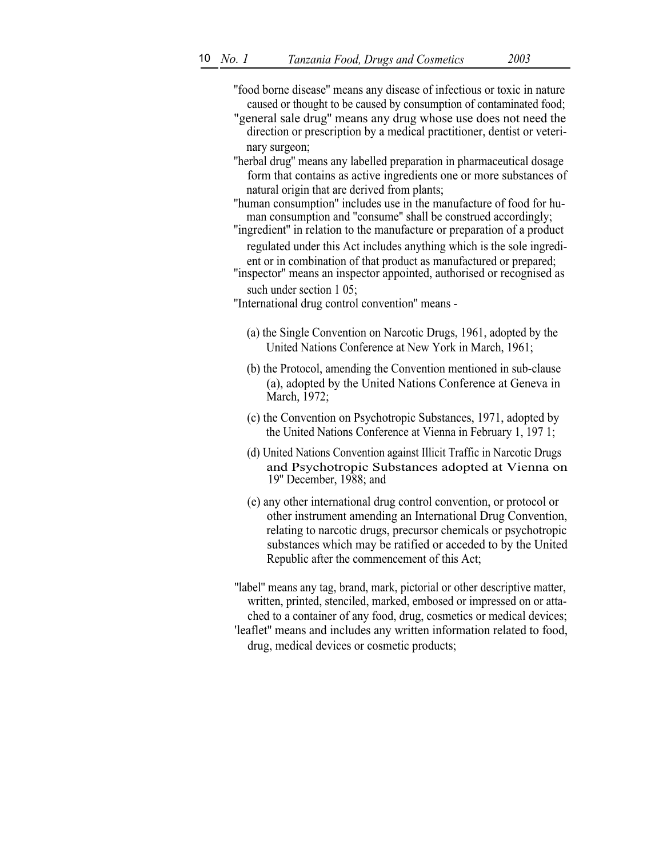''food borne disease'' means any disease of infectious or toxic in nature caused or thought to be caused by consumption of contaminated food;

- "general sale drug'' means any drug whose use does not need the direction or prescription by a medical practitioner, dentist or veterinary surgeon;
- ''herbal drug'' means any labelled preparation in pharmaceutical dosage form that contains as active ingredients one or more substances of natural origin that are derived from plants;
- ''human consumption'' includes use in the manufacture of food for human consumption and ''consume'' shall be construed accordingly;
- ''ingredient'' in relation to the manufacture or preparation of a product regulated under this Act includes anything which is the sole ingredient or in combination of that product as manufactured or prepared; ''inspector'' means an inspector appointed, authorised or recognised as
- such under section 1 05;

''International drug control convention'' means -

- (a) the Single Convention on Narcotic Drugs, 1961, adopted by the United Nations Conference at New York in March, 1961;
- (b) the Protocol, amending the Convention mentioned in sub-clause (a), adopted by the United Nations Conference at Geneva in March, 1972;
- (c) the Convention on Psychotropic Substances, 1971, adopted by the United Nations Conference at Vienna in February 1, 197 1;
- (d) United Nations Convention against Illicit Traffic in Narcotic Drugs and Psychotropic Substances adopted at Vienna on 19'' December, 1988; and
- (e) any other international drug control convention, or protocol or other instrument amending an International Drug Convention, relating to narcotic drugs, precursor chemicals or psychotropic substances which may be ratified or acceded to by the United Republic after the commencement of this Act;

''label'' means any tag, brand, mark, pictorial or other descriptive matter, written, printed, stenciled, marked, embosed or impressed on or attached to a container of any food, drug, cosmetics or medical devices; 'leaflet'' means and includes any written information related to food, drug, medical devices or cosmetic products;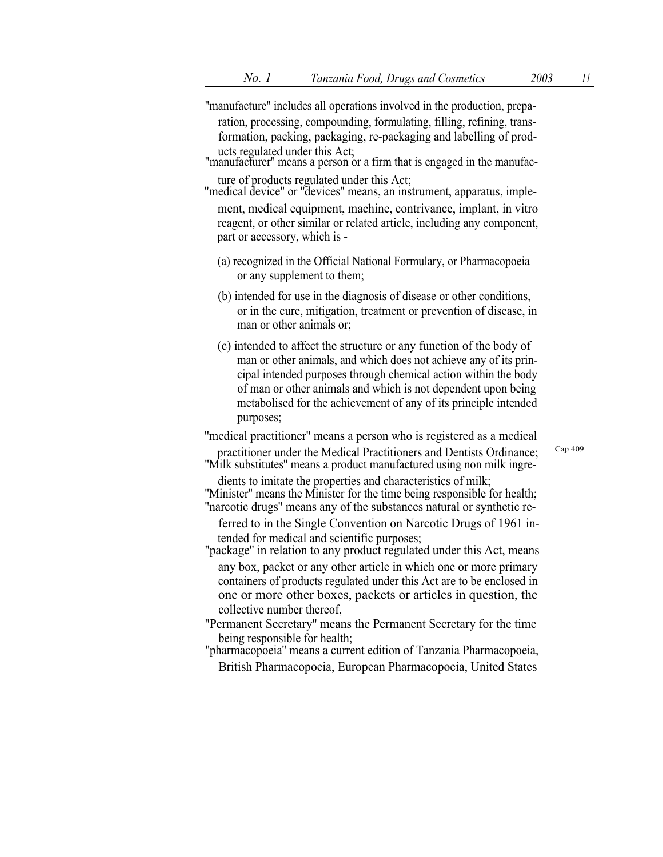- ''manufacture'' includes all operations involved in the production, preparation, processing, compounding, formulating, filling, refining, transformation, packing, packaging, re-packaging and labelling of prod-
- "manufacturer" means a person or a firm that is engaged in the manufac-
- ture of products regulated under this Act;<br>"medical device" or "devices" means, an instrument, apparatus, implement, medical equipment, machine, contrivance, implant, in vitro reagent, or other similar or related article, including any component, part or accessory, which is -
	- (a) recognized in the Official National Formulary, or Pharmacopoeia or any supplement to them;
	- (b) intended for use in the diagnosis of disease or other conditions, or in the cure, mitigation, treatment or prevention of disease, in man or other animals or;
	- (c) intended to affect the structure or any function of the body of man or other animals, and which does not achieve any of its principal intended purposes through chemical action within the body of man or other animals and which is not dependent upon being metabolised for the achievement of any of its principle intended purposes;

''medical practitioner'' means a person who is registered as a medical

practitioner under the Medical Practitioners and Dentists Ordinance; ''Milk substitutes'' means a product manufactured using non milk ingre-

dients to imitate the properties and characteristics of milk; ''Minister'' means the Minister for the time being responsible for health;

''narcotic drugs'' means any of the substances natural or synthetic referred to in the Single Convention on Narcotic Drugs of 1961 in-

tended for medical and scientific purposes;

"package" in relation to any product regulated under this Act, means

any box, packet or any other article in which one or more primary containers of products regulated under this Act are to be enclosed in one or more other boxes, packets or articles in question, the collective number thereof,

''Permanent Secretary'' means the Permanent Secretary for the time being responsible for health;

''pharmacopoeia'' means a current edition of Tanzania Pharmacopoeia, British Pharmacopoeia, European Pharmacopoeia, United States Cap 409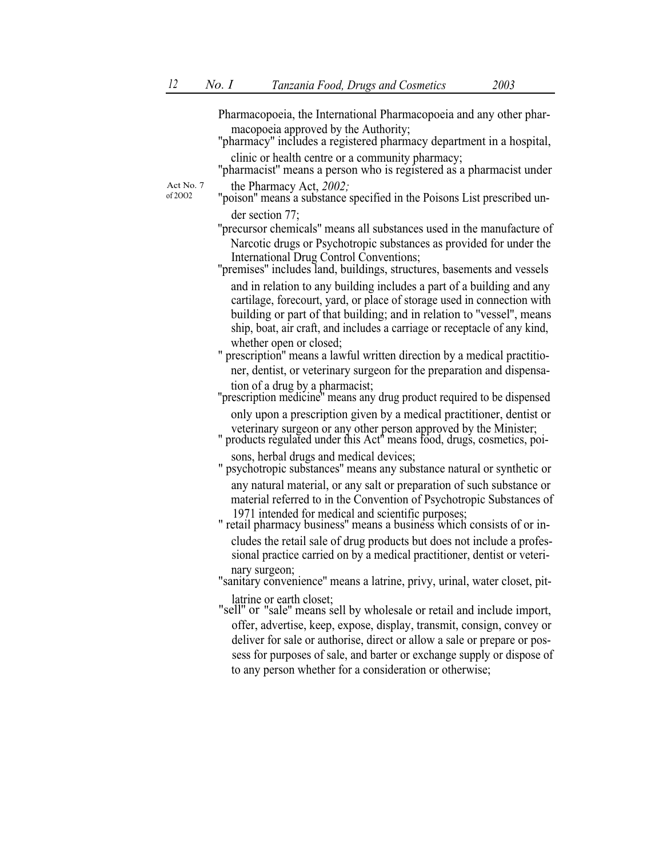Pharmacopoeia, the International Pharmacopoeia and any other pharmacopoeia approved by the Authority;<br>"pharmacy" includes a registered pharmacy department in a hospital,

- 
- clinic or health centre or a community pharmacy; ''pharmacist'' means a person who is registered as a pharmacist under

Act No. 7 of 2OO2

the Pharmacy Act, 2002;

- "poison'' means a substance specified in the Poisons List prescribed under section 77;
- ''precursor chemicals'' means all substances used in the manufacture of Narcotic drugs or Psychotropic substances as provided for under the International Drug Control Conventions;
- ''premises'' includes land, buildings, structures, basements and vessels and in relation to any building includes a part of a building and any cartilage, forecourt, yard, or place of storage used in connection with building or part of that building; and in relation to ''vessel'', means ship, boat, air craft, and includes a carriage or receptacle of any kind, whether open or closed:
- " prescription'' means a lawful written direction by a medical practitioner, dentist, or veterinary surgeon for the preparation and dispensation of a drug by a pharmacist;
- ''prescription medicine'' means any drug product required to be dispensed only upon a prescription given by a medical practitioner, dentist or
- veterinary surgeon or any other person approved by the Minister; " products regulated under this Act'' means food, drugs, cosmetics, poi-
- sons, herbal drugs and medical devices; " psychotropic substances'' means any substance natural or synthetic or any natural material, or any salt or preparation of such substance or material referred to in the Convention of Psychotropic Substances of 1971 intended for medical and scientific purposes:
- " retail pharmacy business" means a business which consists of or includes the retail sale of drug products but does not include a professional practice carried on by a medical practitioner, dentist or veteri-
- nary surgeon; "sanitary convenience'' means a latrine, privy, urinal, water closet, pit-
- latrine or earth closet; "sell'' or "sale'' means sell by wholesale or retail and include import, offer, advertise, keep, expose, display, transmit, consign, convey or deliver for sale or authorise, direct or allow a sale or prepare or possess for purposes of sale, and barter or exchange supply or dispose of to any person whether for a consideration or otherwise;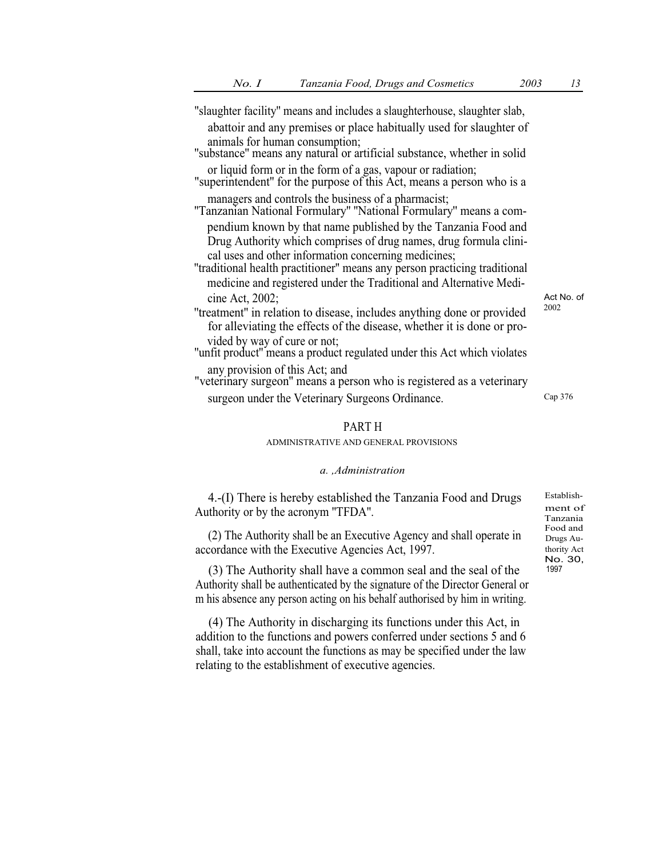| "slaughter facility" means and includes a slaughterhouse, slaughter slab,                                                                                                        |            |
|----------------------------------------------------------------------------------------------------------------------------------------------------------------------------------|------------|
| abattoir and any premises or place habitually used for slaughter of                                                                                                              |            |
| animals for human consumption;<br>"substance" means any natural or artificial substance, whether in solid                                                                        |            |
| or liquid form or in the form of a gas, vapour or radiation;<br>"superintendent" for the purpose of this Act, means a person who is a                                            |            |
| managers and controls the business of a pharmacist;<br>"Tanzanian National Formulary" "National Formulary" means a com-                                                          |            |
| pendium known by that name published by the Tanzania Food and<br>Drug Authority which comprises of drug names, drug formula clini-                                               |            |
| cal uses and other information concerning medicines;<br>"traditional health practitioner" means any person practicing traditional                                                |            |
| medicine and registered under the Traditional and Alternative Medi-<br>cine Act, 2002;                                                                                           | Act No. of |
| "treatment" in relation to disease, includes anything done or provided<br>for alleviating the effects of the disease, whether it is done or pro-<br>vided by way of cure or not; | 2002       |
| "unfit product" means a product regulated under this Act which violates                                                                                                          |            |
| any provision of this Act; and<br>"veterinary surgeon" means a person who is registered as a veterinary                                                                          |            |
| surgeon under the Veterinary Surgeons Ordinance.                                                                                                                                 | Cap 376    |

### PART H

### ADMINISTRATIVE AND GENERAL PROVISIONS

#### a. ,Administration

4.-(I) There is hereby established the Tanzania Food and Drugs Authority or by the acronym ''TFDA''.

(2) The Authority shall be an Executive Agency and shall operate in accordance with the Executive Agencies Act, 1997.

(3) The Authority shall have a common seal and the seal of the Authority shall be authenticated by the signature of the Director General or m his absence any person acting on his behalf authorised by him in writing.

(4) The Authority in discharging its functions under this Act, in addition to the functions and powers conferred under sections 5 and 6 shall, take into account the functions as may be specified under the law relating to the establishment of executive agencies.

Establishment of Tanzania Drugs Authority Act No. 30, 1997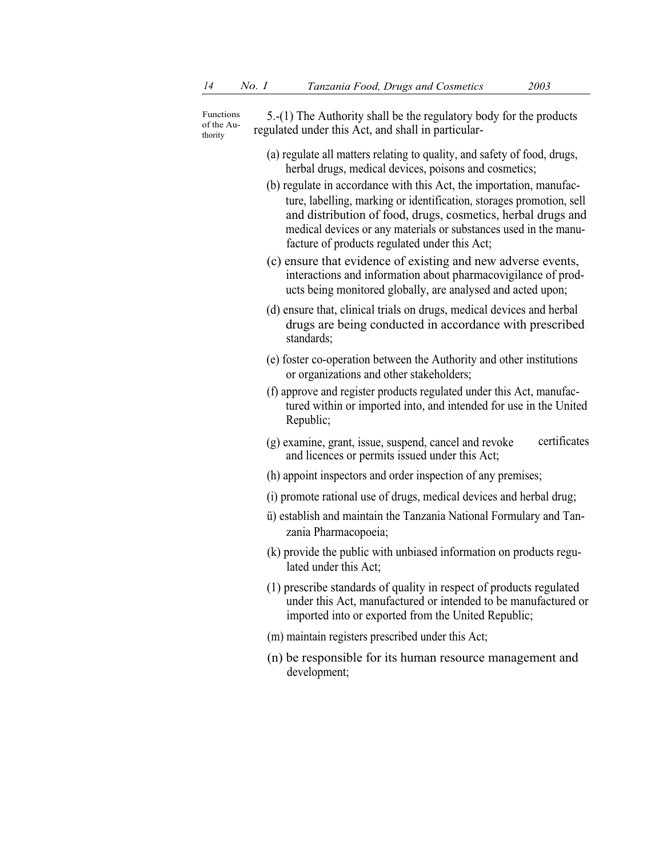Functions of the Authority

5.-(1) The Authority shall be the regulatory body for the products regulated under this Act, and shall in particular-

- (a) regulate all matters relating to quality, and safety of food, drugs, herbal drugs, medical devices, poisons and cosmetics;
- (b) regulate in accordance with this Act, the importation, manufacture, labelling, marking or identification, storages promotion, sell and distribution of food, drugs, cosmetics, herbal drugs and medical devices or any materials or substances used in the manufacture of products regulated under this Act;
- (c) ensure that evidence of existing and new adverse events, interactions and information about pharmacovigilance of products being monitored globally, are analysed and acted upon;
- (d) ensure that, clinical trials on drugs, medical devices and herbal drugs are being conducted in accordance with prescribed standards;
- (e) foster co-operation between the Authority and other institutions or organizations and other stakeholders;
- (f) approve and register products regulated under this Act, manufactured within or imported into, and intended for use in the United Republic;
- $(g)$  examine, grant, issue, suspend, cancel and revoke certificates and licences or permits issued under this Act;
- (h) appoint inspectors and order inspection of any premises;
- (i) promote rational use of drugs, medical devices and herbal drug;
- ü) establish and maintain the Tanzania National Formulary and Tanzania Pharmacopoeia;
- (k) provide the public with unbiased information on products regulated under this Act;
- (1) prescribe standards of quality in respect of products regulated under this Act, manufactured or intended to be manufactured or imported into or exported from the United Republic;
- (m) maintain registers prescribed under this Act;
- (n) be responsible for its human resource management and development;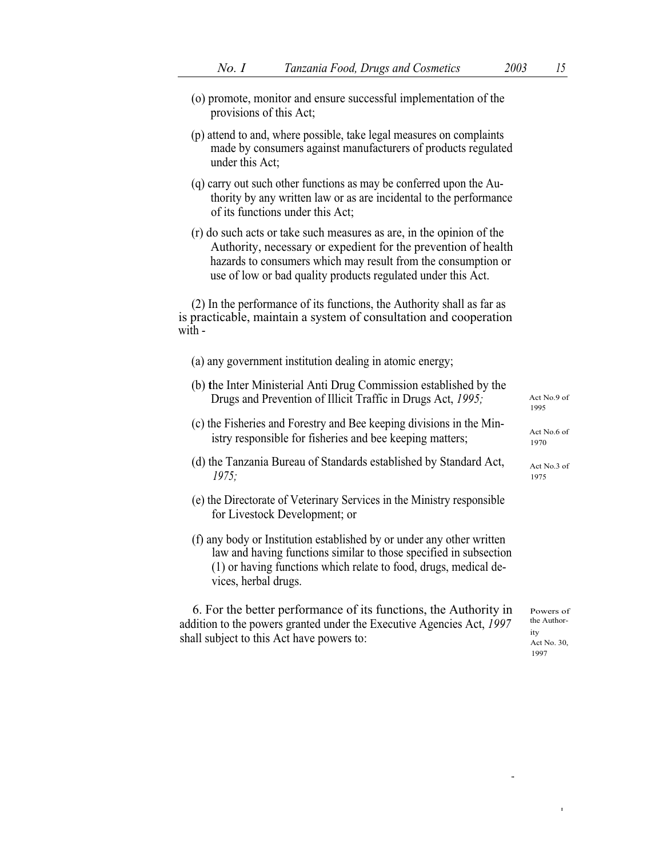...

I

| provisions of this Act,                                                                                                                                                                                                                                                 |                                                        |
|-------------------------------------------------------------------------------------------------------------------------------------------------------------------------------------------------------------------------------------------------------------------------|--------------------------------------------------------|
| (p) attend to and, where possible, take legal measures on complaints<br>made by consumers against manufacturers of products regulated<br>under this Act;                                                                                                                |                                                        |
| (q) carry out such other functions as may be conferred upon the Au-<br>thority by any written law or as are incidental to the performance<br>of its functions under this Act;                                                                                           |                                                        |
| (r) do such acts or take such measures as are, in the opinion of the<br>Authority, necessary or expedient for the prevention of health<br>hazards to consumers which may result from the consumption or<br>use of low or bad quality products regulated under this Act. |                                                        |
| (2) In the performance of its functions, the Authority shall as far as<br>is practicable, maintain a system of consultation and cooperation<br>with -                                                                                                                   |                                                        |
| (a) any government institution dealing in atomic energy;                                                                                                                                                                                                                |                                                        |
| (b) the Inter Ministerial Anti Drug Commission established by the<br>Drugs and Prevention of Illicit Traffic in Drugs Act, 1995;                                                                                                                                        | Act No.9 of<br>1995                                    |
| (c) the Fisheries and Forestry and Bee keeping divisions in the Min-<br>istry responsible for fisheries and bee keeping matters;                                                                                                                                        | Act No.6 of<br>1970                                    |
| (d) the Tanzania Bureau of Standards established by Standard Act,<br>1975:                                                                                                                                                                                              | Act No.3 of<br>1975                                    |
| (e) the Directorate of Veterinary Services in the Ministry responsible<br>for Livestock Development; or                                                                                                                                                                 |                                                        |
| (f) any body or Institution established by or under any other written<br>law and having functions similar to those specified in subsection<br>(1) or having functions which relate to food, drugs, medical de-<br>vices, herbal drugs.                                  |                                                        |
| 6. For the better performance of its functions, the Authority in<br>addition to the powers granted under the Executive Agencies Act, 1997<br>shall subject to this Act have powers to:                                                                                  | Powers of<br>the Author-<br>ity<br>Act No. 30,<br>1997 |
|                                                                                                                                                                                                                                                                         |                                                        |
|                                                                                                                                                                                                                                                                         |                                                        |

(o) promote, monitor and ensure successful implementation of the provisions of this Act;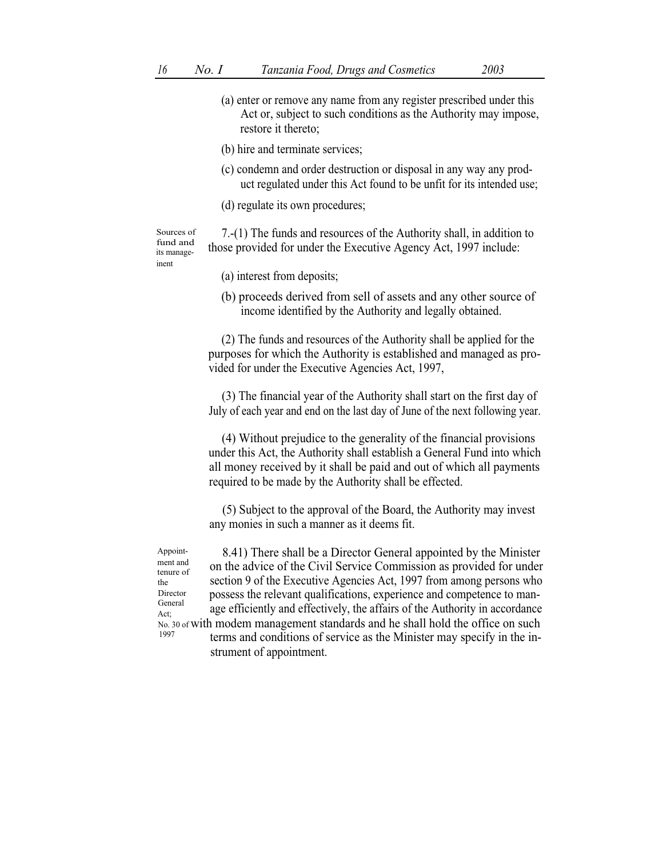- (a) enter or remove any name from any register prescribed under this Act or, subject to such conditions as the Authority may impose, restore it thereto;
- (b) hire and terminate services;
- (c) condemn and order destruction or disposal in any way any product regulated under this Act found to be unfit for its intended use;
- (d) regulate its own procedures;

Sources of fund and its manageinent

- 7.-(1) The funds and resources of the Authority shall, in addition to those provided for under the Executive Agency Act, 1997 include:
	- (a) interest from deposits;
	- (b) proceeds derived from sell of assets and any other source of income identified by the Authority and legally obtained.

(2) The funds and resources of the Authority shall be applied for the purposes for which the Authority is established and managed as provided for under the Executive Agencies Act, 1997,

(3) The financial year of the Authority shall start on the first day of July of each year and end on the last day of June of the next following year.

(4) Without prejudice to the generality of the financial provisions under this Act, the Authority shall establish a General Fund into which all money received by it shall be paid and out of which all payments required to be made by the Authority shall be effected.

(5) Subject to the approval of the Board, the Authority may invest any monies in such a manner as it deems fit.

8.41) There shall be a Director General appointed by the Minister on the advice of the Civil Service Commission as provided for under section 9 of the Executive Agencies Act, 1997 from among persons who possess the relevant qualifications, experience and competence to manage efficiently and effectively, the affairs of the Authority in accordance Appointment and tenure of the Director General Act; No. 30 of with modem management standards and he shall hold the office on such<br>1997 terms and conditions of service as the Minister may specify in the instrument of appointment.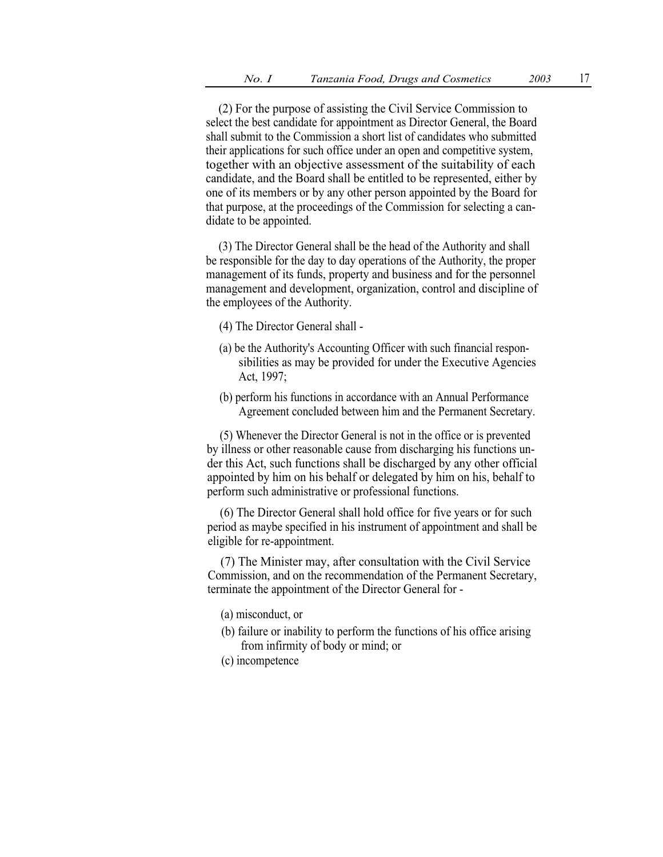(2) For the purpose of assisting the Civil Service Commission to select the best candidate for appointment as Director General, the Board shall submit to the Commission a short list of candidates who submitted their applications for such office under an open and competitive system, together with an objective assessment of the suitability of each candidate, and the Board shall be entitled to be represented, either by one of its members or by any other person appointed by the Board for that purpose, at the proceedings of the Commission for selecting a candidate to be appointed.

(3) The Director General shall be the head of the Authority and shall be responsible for the day to day operations of the Authority, the proper management of its funds, property and business and for the personnel management and development, organization, control and discipline of the employees of the Authority.

- (4) The Director General shall -
- (a) be the Authority's Accounting Officer with such financial responsibilities as may be provided for under the Executive Agencies Act, 1997;
- (b) perform his functions in accordance with an Annual Performance Agreement concluded between him and the Permanent Secretary.

(5) Whenever the Director General is not in the office or is prevented by illness or other reasonable cause from discharging his functions under this Act, such functions shall be discharged by any other official appointed by him on his behalf or delegated by him on his, behalf to perform such administrative or professional functions.

(6) The Director General shall hold office for five years or for such period as maybe specified in his instrument of appointment and shall be eligible for re-appointment.

(7) The Minister may, after consultation with the Civil Service Commission, and on the recommendation of the Permanent Secretary, terminate the appointment of the Director General for -

- (a) misconduct, or
- (b) failure or inability to perform the functions of his office arising from infirmity of body or mind; or
- (c) incompetence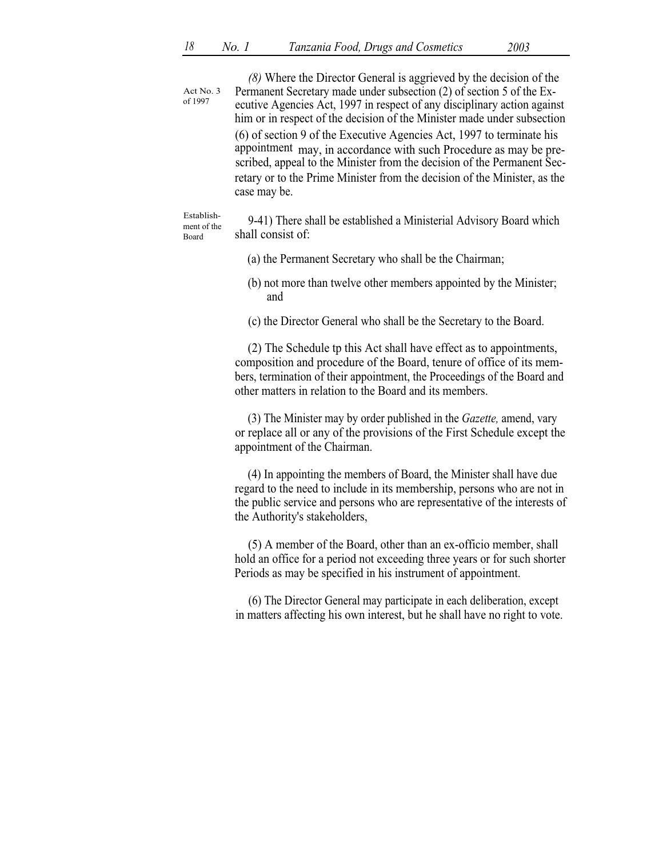| Act No. 3<br>of 1997               | (8) Where the Director General is aggrieved by the decision of the<br>Permanent Secretary made under subsection (2) of section 5 of the Ex-<br>ecutive Agencies Act, 1997 in respect of any disciplinary action against<br>him or in respect of the decision of the Minister made under subsection<br>(6) of section 9 of the Executive Agencies Act, 1997 to terminate his<br>appointment may, in accordance with such Procedure as may be pre-<br>scribed, appeal to the Minister from the decision of the Permanent Sec-<br>retary or to the Prime Minister from the decision of the Minister, as the<br>case may be. |
|------------------------------------|--------------------------------------------------------------------------------------------------------------------------------------------------------------------------------------------------------------------------------------------------------------------------------------------------------------------------------------------------------------------------------------------------------------------------------------------------------------------------------------------------------------------------------------------------------------------------------------------------------------------------|
| Establish-<br>ment of the<br>Board | 9-41) There shall be established a Ministerial Advisory Board which<br>shall consist of:                                                                                                                                                                                                                                                                                                                                                                                                                                                                                                                                 |
|                                    | (a) the Permanent Secretary who shall be the Chairman;                                                                                                                                                                                                                                                                                                                                                                                                                                                                                                                                                                   |
|                                    | (b) not more than twelve other members appointed by the Minister;<br>and                                                                                                                                                                                                                                                                                                                                                                                                                                                                                                                                                 |
|                                    | (c) the Director General who shall be the Secretary to the Board.                                                                                                                                                                                                                                                                                                                                                                                                                                                                                                                                                        |
|                                    | (2) The Schedule tp this Act shall have effect as to appointments,<br>composition and procedure of the Board, tenure of office of its mem-<br>bers, termination of their appointment, the Proceedings of the Board and<br>other matters in relation to the Board and its members.                                                                                                                                                                                                                                                                                                                                        |
|                                    | (3) The Minister may by order published in the Gazette, amend, vary<br>or replace all or any of the provisions of the First Schedule except the<br>appointment of the Chairman.                                                                                                                                                                                                                                                                                                                                                                                                                                          |
|                                    | (4) In appointing the members of Board, the Minister shall have due<br>regard to the need to include in its membership, persons who are not in<br>the public service and persons who are representative of the interests of<br>the Authority's stakeholders,                                                                                                                                                                                                                                                                                                                                                             |
|                                    | (5) A member of the Board, other than an ex-officio member, shall<br>hold an office for a period not exceeding three years or for such shorter<br>Periods as may be specified in his instrument of appointment.                                                                                                                                                                                                                                                                                                                                                                                                          |
|                                    | (6) The Director General may participate in each deliberation, except<br>in matters affecting his own interest, but he shall have no right to vote.                                                                                                                                                                                                                                                                                                                                                                                                                                                                      |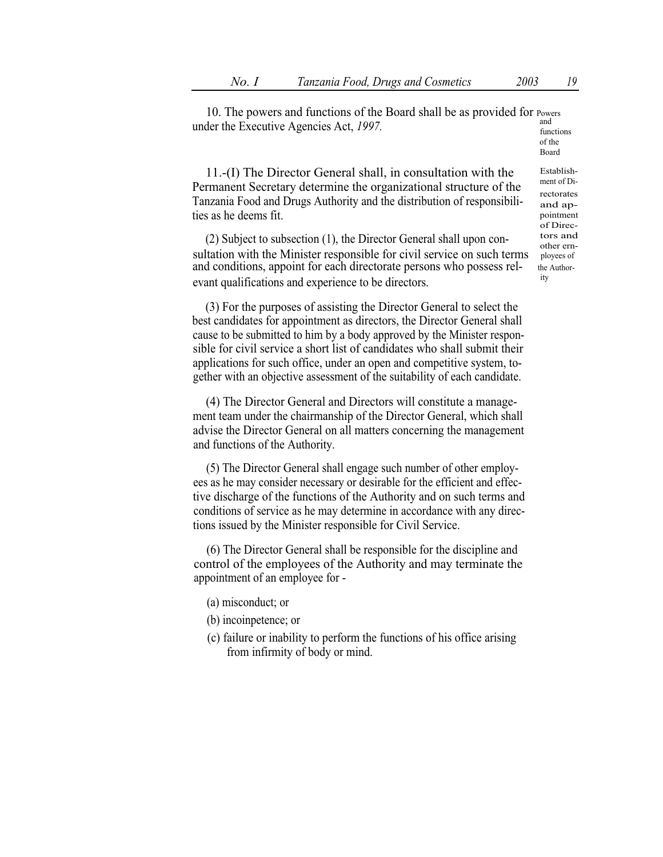10. The powers and functions of the Board shall be as provided for Powers under the Executive Agencies Act,  $1997$ .  $\frac{and}{functions}$ 

of the Board

11.-(I) The Director General shall, in consultation with the Permanent Secretary determine the organizational structure of the Tanzania Food and Drugs Authority and the distribution of responsibilities as he deems fit.

(2) Subject to subsection  $(1)$ , the Director General shall upon con-<br>other ernsultation with the Minister responsible for civil service on such terms playees of and conditions, appoint for each directorate persons who possess reland conditions, appoint for each directorate persons who possess rel- the Authorevant qualifications and experience to be directors.

(3) For the purposes of assisting the Director General to select the best candidates for appointment as directors, the Director General shall cause to be submitted to him by a body approved by the Minister responsible for civil service a short list of candidates who shall submit their applications for such office, under an open and competitive system, together with an objective assessment of the suitability of each candidate.

(4) The Director General and Directors will constitute a management team under the chairmanship of the Director General, which shall advise the Director General on all matters concerning the management and functions of the Authority.

(5) The Director General shall engage such number of other employees as he may consider necessary or desirable for the efficient and effective discharge of the functions of the Authority and on such terms and conditions of service as he may determine in accordance with any directions issued by the Minister responsible for Civil Service.

(6) The Director General shall be responsible for the discipline and control of the employees of the Authority and may terminate the appointment of an employee for -

- (a) misconduct; or
- (b) incoinpetence; or
- (c) failure or inability to perform the functions of his office arising from infirmity of body or mind.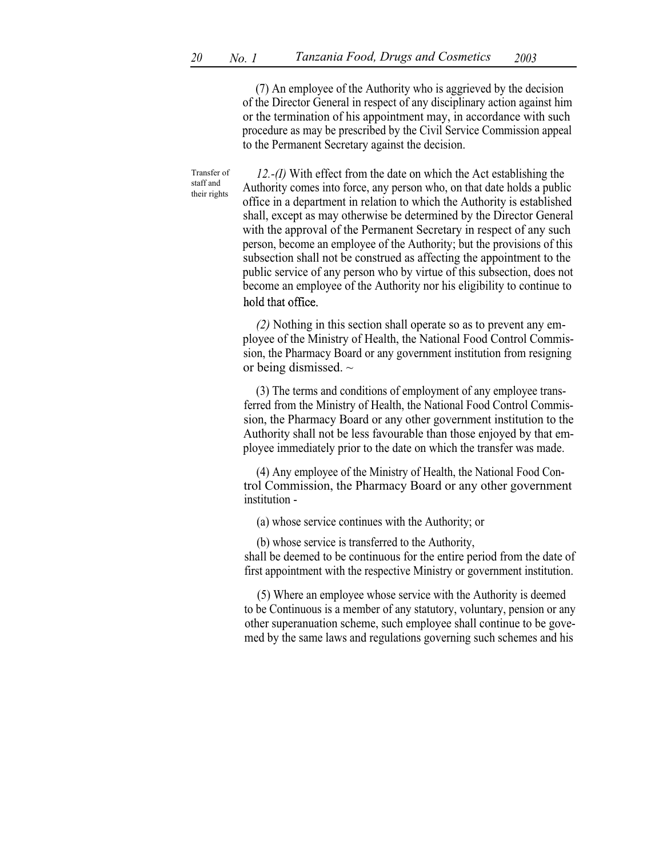(7) An employee of the Authority who is aggrieved by the decision of the Director General in respect of any disciplinary action against him or the termination of his appointment may, in accordance with such procedure as may be prescribed by the Civil Service Commission appeal to the Permanent Secretary against the decision.

Transfer of staff and their rights

12.-(I) With effect from the date on which the Act establishing the Authority comes into force, any person who, on that date holds a public office in a department in relation to which the Authority is established shall, except as may otherwise be determined by the Director General with the approval of the Permanent Secretary in respect of any such person, become an employee of the Authority; but the provisions of this subsection shall not be construed as affecting the appointment to the public service of any person who by virtue of this subsection, does not become an employee of the Authority nor his eligibility to continue to hold that office.

(2) Nothing in this section shall operate so as to prevent any employee of the Ministry of Health, the National Food Control Commission, the Pharmacy Board or any government institution from resigning or being dismissed.  $\sim$ 

(3) The terms and conditions of employment of any employee transferred from the Ministry of Health, the National Food Control Commission, the Pharmacy Board or any other government institution to the Authority shall not be less favourable than those enjoyed by that employee immediately prior to the date on which the transfer was made.

(4) Any employee of the Ministry of Health, the National Food Control Commission, the Pharmacy Board or any other government institution -

(a) whose service continues with the Authority; or

(b) whose service is transferred to the Authority,

shall be deemed to be continuous for the entire period from the date of first appointment with the respective Ministry or government institution.

(5) Where an employee whose service with the Authority is deemed to be Continuous is a member of any statutory, voluntary, pension or any other superanuation scheme, such employee shall continue to be govemed by the same laws and regulations governing such schemes and his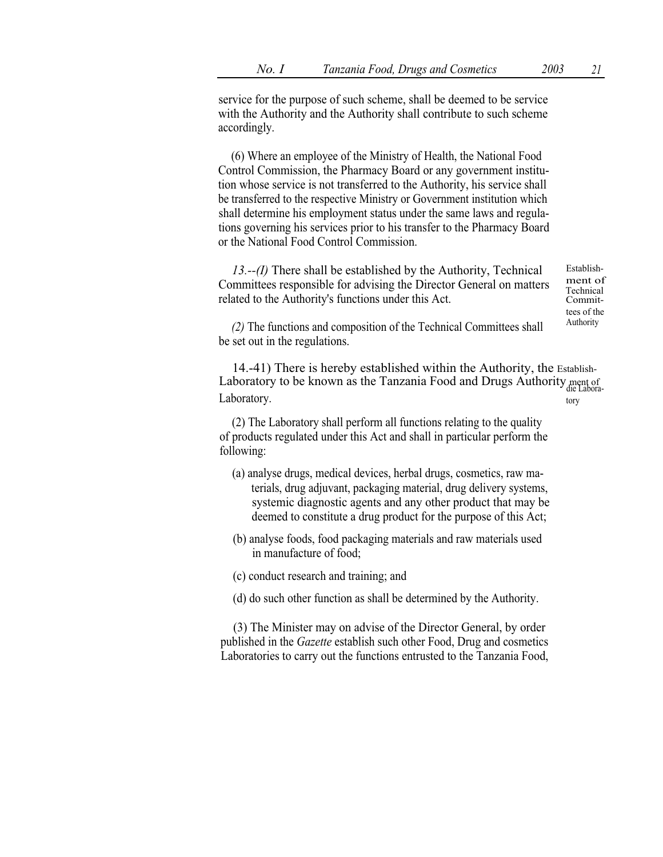service for the purpose of such scheme, shall be deemed to be service with the Authority and the Authority shall contribute to such scheme accordingly.

(6) Where an employee of the Ministry of Health, the National Food Control Commission, the Pharmacy Board or any government institution whose service is not transferred to the Authority, his service shall be transferred to the respective Ministry or Government institution which shall determine his employment status under the same laws and regulations governing his services prior to his transfer to the Pharmacy Board or the National Food Control Commission.

13.--(I) There shall be established by the Authority, Technical Committees responsible for advising the Director General on matters related to the Authority's functions under this Act. Establish-

ment of Technical Committees of the

 $(2)$  The functions and composition of the Technical Committees shall  $\overline{\phantom{a}}^{\text{Authority}}$ be set out in the regulations.

14.-41) There is hereby established within the Authority, the Establish-Laboratory to be known as the Tanzania Food and Drugs Authority ment of die Labora-Laboratory. tory

(2) The Laboratory shall perform all functions relating to the quality of products regulated under this Act and shall in particular perform the following:

- (a) analyse drugs, medical devices, herbal drugs, cosmetics, raw materials, drug adjuvant, packaging material, drug delivery systems, systemic diagnostic agents and any other product that may be deemed to constitute a drug product for the purpose of this Act;
- (b) analyse foods, food packaging materials and raw materials used in manufacture of food;

(c) conduct research and training; and

(d) do such other function as shall be determined by the Authority.

(3) The Minister may on advise of the Director General, by order published in the Gazette establish such other Food, Drug and cosmetics Laboratories to carry out the functions entrusted to the Tanzania Food,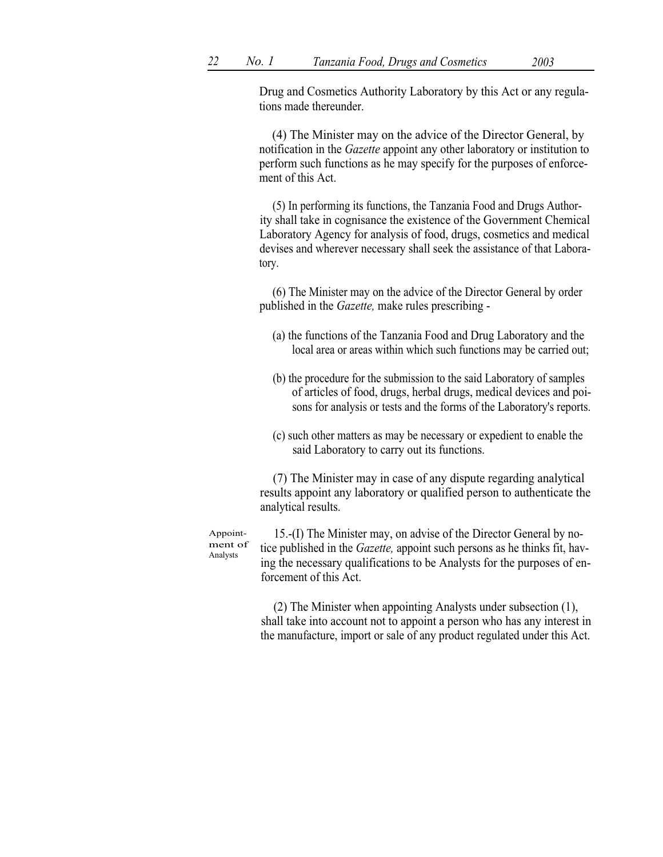Drug and Cosmetics Authority Laboratory by this Act or any regulations made thereunder.

(4) The Minister may on the advice of the Director General, by notification in the Gazette appoint any other laboratory or institution to perform such functions as he may specify for the purposes of enforcement of this Act.

(5) In performing its functions, the Tanzania Food and Drugs Authority shall take in cognisance the existence of the Government Chemical Laboratory Agency for analysis of food, drugs, cosmetics and medical devises and wherever necessary shall seek the assistance of that Laboratory.

(6) The Minister may on the advice of the Director General by order published in the Gazette, make rules prescribing -

- (a) the functions of the Tanzania Food and Drug Laboratory and the local area or areas within which such functions may be carried out;
- (b) the procedure for the submission to the said Laboratory of samples of articles of food, drugs, herbal drugs, medical devices and poisons for analysis or tests and the forms of the Laboratory's reports.
- (c) such other matters as may be necessary or expedient to enable the said Laboratory to carry out its functions.

(7) The Minister may in case of any dispute regarding analytical results appoint any laboratory or qualified person to authenticate the analytical results.

Appointment of Analysts

15.-(I) The Minister may, on advise of the Director General by notice published in the *Gazette*, appoint such persons as he thinks fit, having the necessary qualifications to be Analysts for the purposes of enforcement of this Act.

(2) The Minister when appointing Analysts under subsection (1), shall take into account not to appoint a person who has any interest in the manufacture, import or sale of any product regulated under this Act.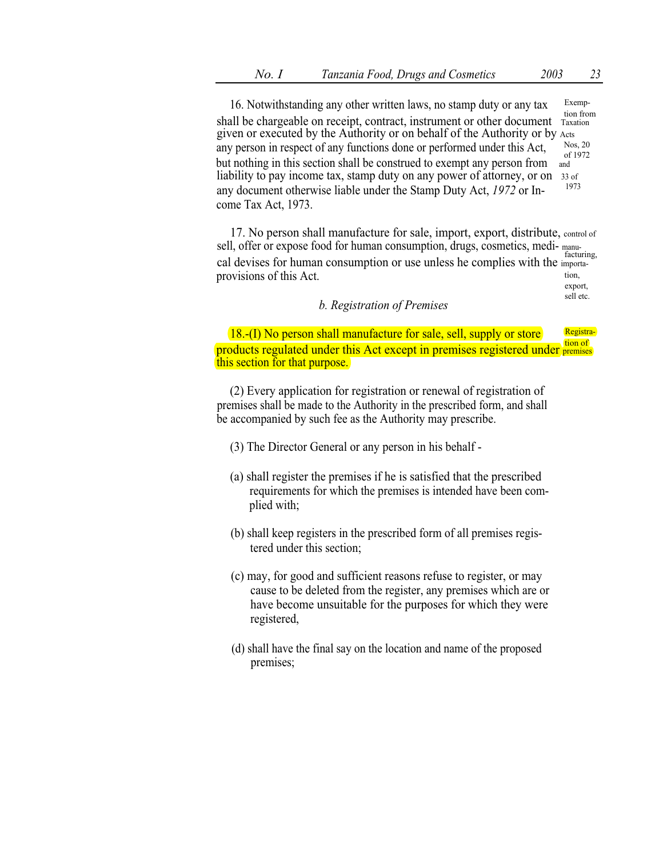sell etc.

16. Notwithstanding any other written laws, no stamp duty or any tax Exemption from shall be chargeable on receipt, contract, instrument or other document Taxation given or executed by the Authority or on behalf of the Authority or by Acts<br>any parson in respect of any functions done or performed under this Act Nos. 20 any person in respect of any functions done or performed under this Act,  $N_{\text{obs, }20}^{\text{Nos, }20}$ but nothing in this section shall be construed to exempt any person from  $\frac{1}{2}$ liability to pay income tax, stamp duty on any power of attorney, or on 33 of any document otherwise liable under the Stamp Duty Act,  $1972$  or Income Tax Act, 1973.

17. No person shall manufacture for sale, import, export, distribute, control of sell, offer or expose food for human consumption, drugs, cosmetics, medi- manufacturing, cal devises for human consumption or use unless he complies with the importaprovisions of this Act. export,

## b. Registration of Premises

18.-(I) No person shall manufacture for sale, sell, supply or store Registraproducts regulated under this Act except in premises registered under premises this section for that purpose.

(2) Every application for registration or renewal of registration of premises shall be made to the Authority in the prescribed form, and shall be accompanied by such fee as the Authority may prescribe.

- (3) The Director General or any person in his behalf -
- (a) shall register the premises if he is satisfied that the prescribed requirements for which the premises is intended have been complied with;
- (b) shall keep registers in the prescribed form of all premises registered under this section;
- (c) may, for good and sufficient reasons refuse to register, or may cause to be deleted from the register, any premises which are or have become unsuitable for the purposes for which they were registered,
- (d) shall have the final say on the location and name of the proposed premises;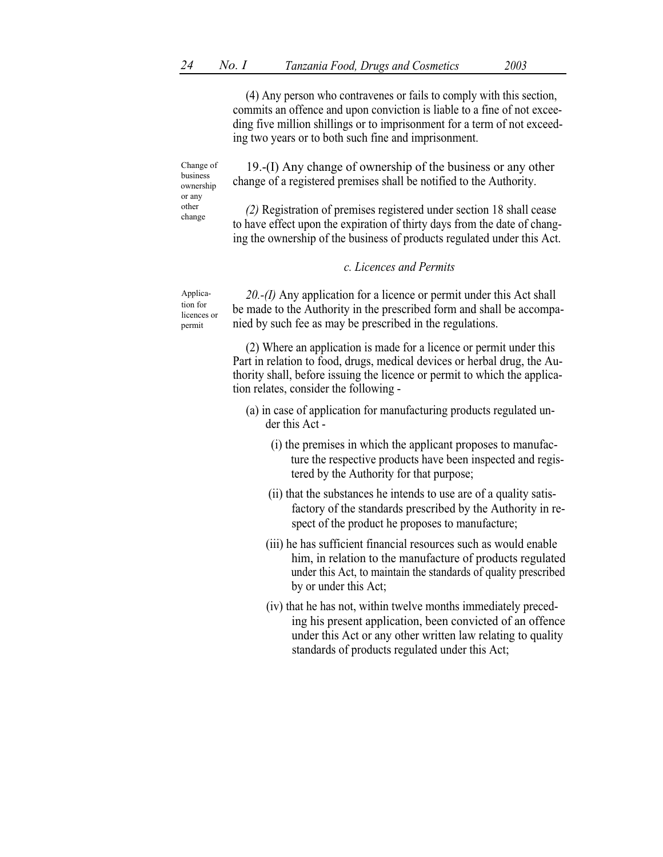(4) Any person who contravenes or fails to comply with this section, commits an offence and upon conviction is liable to a fine of not exceeding five million shillings or to imprisonment for a term of not exceeding two years or to both such fine and imprisonment.

Change of business ownership or any change

19.-(I) Any change of ownership of the business or any other change of a registered premises shall be notified to the Authority.

other (2) Registration of premises registered under section 18 shall cease to have effect upon the expiration of thirty days from the date of changing the ownership of the business of products regulated under this Act.

## c. Licences and Permits

Application for licences or permit

20.-(I) Any application for a licence or permit under this Act shall be made to the Authority in the prescribed form and shall be accompanied by such fee as may be prescribed in the regulations.

(2) Where an application is made for a licence or permit under this Part in relation to food, drugs, medical devices or herbal drug, the Authority shall, before issuing the licence or permit to which the application relates, consider the following -

- (a) in case of application for manufacturing products regulated under this Act -
	- (i) the premises in which the applicant proposes to manufacture the respective products have been inspected and registered by the Authority for that purpose;
	- (ii) that the substances he intends to use are of a quality satisfactory of the standards prescribed by the Authority in respect of the product he proposes to manufacture;
	- (iii) he has sufficient financial resources such as would enable him, in relation to the manufacture of products regulated under this Act, to maintain the standards of quality prescribed by or under this Act;
	- (iv) that he has not, within twelve months immediately preceding his present application, been convicted of an offence under this Act or any other written law relating to quality standards of products regulated under this Act;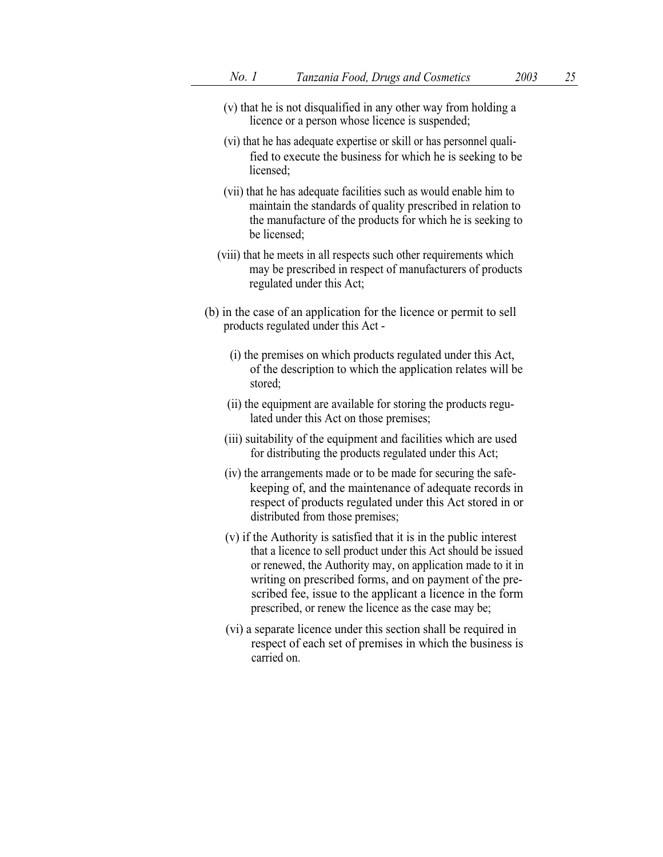- (v) that he is not disqualified in any other way from holding a licence or a person whose licence is suspended;
- (vi) that he has adequate expertise or skill or has personnel qualified to execute the business for which he is seeking to be licensed;
- (vii) that he has adequate facilities such as would enable him to maintain the standards of quality prescribed in relation to the manufacture of the products for which he is seeking to be licensed;
- (viii) that he meets in all respects such other requirements which may be prescribed in respect of manufacturers of products regulated under this Act;
- (b) in the case of an application for the licence or permit to sell products regulated under this Act -
	- (i) the premises on which products regulated under this Act, of the description to which the application relates will be stored;
	- (ii) the equipment are available for storing the products regulated under this Act on those premises;
	- (iii) suitability of the equipment and facilities which are used for distributing the products regulated under this Act;
	- (iv) the arrangements made or to be made for securing the safekeeping of, and the maintenance of adequate records in respect of products regulated under this Act stored in or distributed from those premises;
	- (v) if the Authority is satisfied that it is in the public interest that a licence to sell product under this Act should be issued or renewed, the Authority may, on application made to it in writing on prescribed forms, and on payment of the prescribed fee, issue to the applicant a licence in the form prescribed, or renew the licence as the case may be;
	- (vi) a separate licence under this section shall be required in respect of each set of premises in which the business is carried on.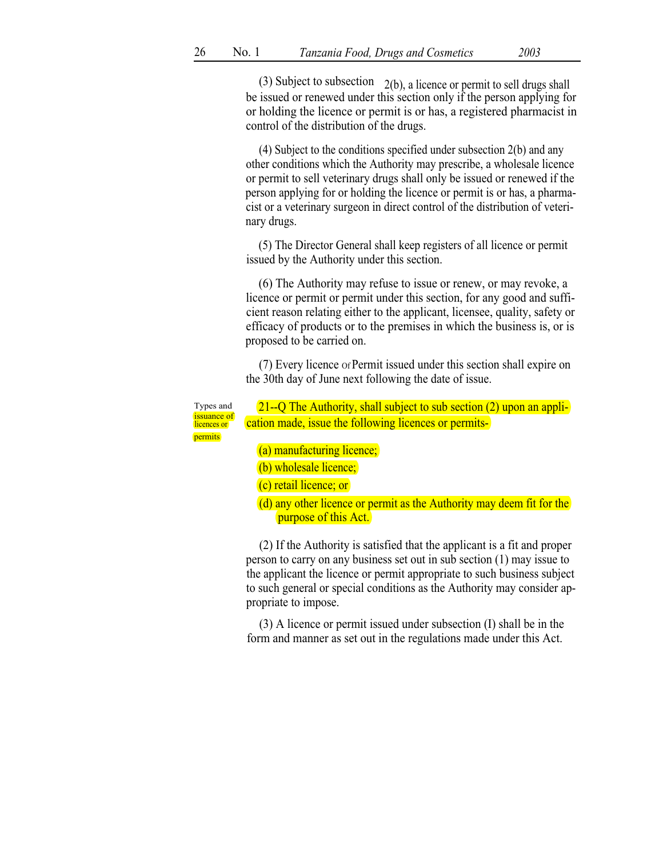(3) Subject to subsection  $2(b)$ , a licence or permit to sell drugs shall be issued or renewed under this section only if the person applying for or holding the licence or permit is or has, a registered pharmacist in control of the distribution of the drugs.

(4) Subject to the conditions specified under subsection 2(b) and any other conditions which the Authority may prescribe, a wholesale licence or permit to sell veterinary drugs shall only be issued or renewed if the person applying for or holding the licence or permit is or has, a pharmacist or a veterinary surgeon in direct control of the distribution of veterinary drugs.

(5) The Director General shall keep registers of all licence or permit issued by the Authority under this section.

(6) The Authority may refuse to issue or renew, or may revoke, a licence or permit or permit under this section, for any good and sufficient reason relating either to the applicant, licensee, quality, safety or efficacy of products or to the premises in which the business is, or is proposed to be carried on.

(7) Every licence Of Permit issued under this section shall expire on the 30th day of June next following the date of issue.

permits

Types and  $21-\text{Q}$  The Authority, shall subject to sub section (2) upon an appli-<br>issuance of cation made, issue the following licences or permitscation made, issue the following licences or permits-

(a) manufacturing licence;

(b) wholesale licence;

(c) retail licence; or

(d) any other licence or permit as the Authority may deem fit for the purpose of this Act.

(2) If the Authority is satisfied that the applicant is a fit and proper person to carry on any business set out in sub section (1) may issue to the applicant the licence or permit appropriate to such business subject to such general or special conditions as the Authority may consider appropriate to impose.

(3) A licence or permit issued under subsection (I) shall be in the form and manner as set out in the regulations made under this Act.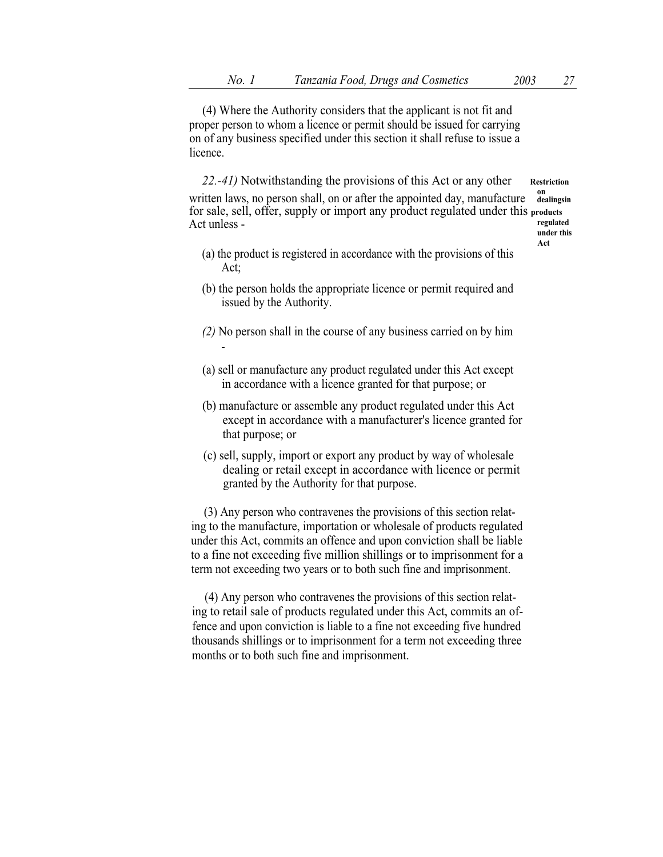(4) Where the Authority considers that the applicant is not fit and proper person to whom a licence or permit should be issued for carrying on of any business specified under this section it shall refuse to issue a licence.

22.-41) Notwithstanding the provisions of this Act or any other Restriction written laws, no person shall, on or after the appointed day, manufacture dealingsin for sale, sell, offer, supply or import any product regulated under this products<br>Act unless -Act unless -

under this Act

- (a) the product is registered in accordance with the provisions of this Act;
- (b) the person holds the appropriate licence or permit required and issued by the Authority.
- (2) No person shall in the course of any business carried on by him -
- (a) sell or manufacture any product regulated under this Act except in accordance with a licence granted for that purpose; or
- (b) manufacture or assemble any product regulated under this Act except in accordance with a manufacturer's licence granted for that purpose; or
- (c) sell, supply, import or export any product by way of wholesale dealing or retail except in accordance with licence or permit granted by the Authority for that purpose.

(3) Any person who contravenes the provisions of this section relating to the manufacture, importation or wholesale of products regulated under this Act, commits an offence and upon conviction shall be liable to a fine not exceeding five million shillings or to imprisonment for a term not exceeding two years or to both such fine and imprisonment.

(4) Any person who contravenes the provisions of this section relating to retail sale of products regulated under this Act, commits an offence and upon conviction is liable to a fine not exceeding five hundred thousands shillings or to imprisonment for a term not exceeding three months or to both such fine and imprisonment.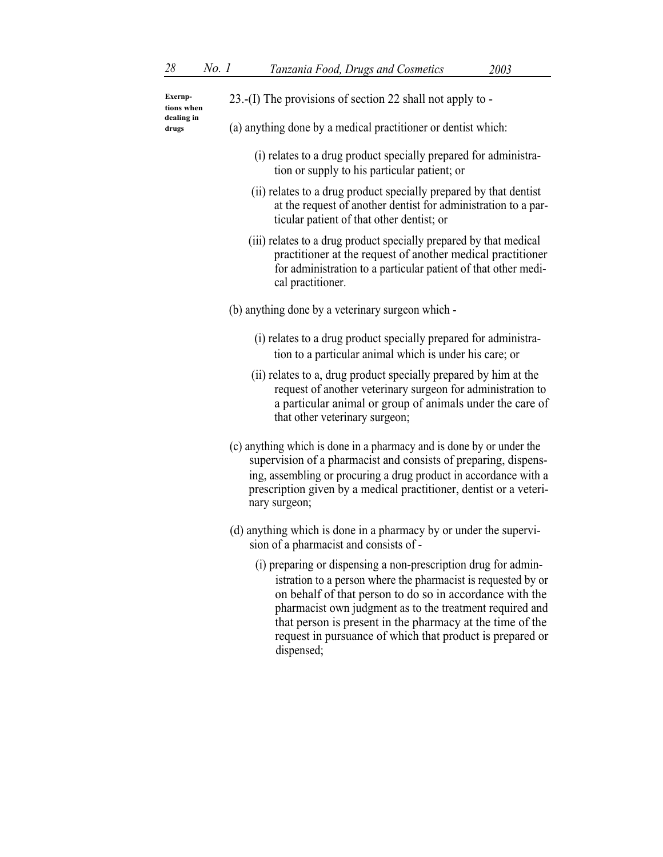| Exernp-<br>tions when | 23.-(I) The provisions of section 22 shall not apply to -                                                                                                                                                                                                                                                            |
|-----------------------|----------------------------------------------------------------------------------------------------------------------------------------------------------------------------------------------------------------------------------------------------------------------------------------------------------------------|
| dealing in<br>drugs   | (a) anything done by a medical practitioner or dentist which:                                                                                                                                                                                                                                                        |
|                       | (i) relates to a drug product specially prepared for administra-<br>tion or supply to his particular patient; or                                                                                                                                                                                                     |
|                       | (ii) relates to a drug product specially prepared by that dentist<br>at the request of another dentist for administration to a par-<br>ticular patient of that other dentist; or                                                                                                                                     |
|                       | (iii) relates to a drug product specially prepared by that medical<br>practitioner at the request of another medical practitioner<br>for administration to a particular patient of that other medi-<br>cal practitioner.                                                                                             |
|                       | (b) anything done by a veterinary surgeon which -                                                                                                                                                                                                                                                                    |
|                       | (i) relates to a drug product specially prepared for administra-<br>tion to a particular animal which is under his care; or                                                                                                                                                                                          |
|                       | (ii) relates to a, drug product specially prepared by him at the<br>request of another veterinary surgeon for administration to<br>a particular animal or group of animals under the care of<br>that other veterinary surgeon;                                                                                       |
|                       | (c) anything which is done in a pharmacy and is done by or under the<br>supervision of a pharmacist and consists of preparing, dispens-<br>ing, assembling or procuring a drug product in accordance with a<br>prescription given by a medical practitioner, dentist or a veteri-<br>nary surgeon;                   |
|                       | (d) anything which is done in a pharmacy by or under the supervi-<br>sion of a pharmacist and consists of -                                                                                                                                                                                                          |
|                       | (i) preparing or dispensing a non-prescription drug for admin-<br>istration to a person where the pharmacist is requested by or<br>on behalf of that person to do so in accordance with the<br>pharmacist own judgment as to the treatment required and<br>that person is present in the pharmacy at the time of the |

request in pursuance of which that product is prepared or

dispensed;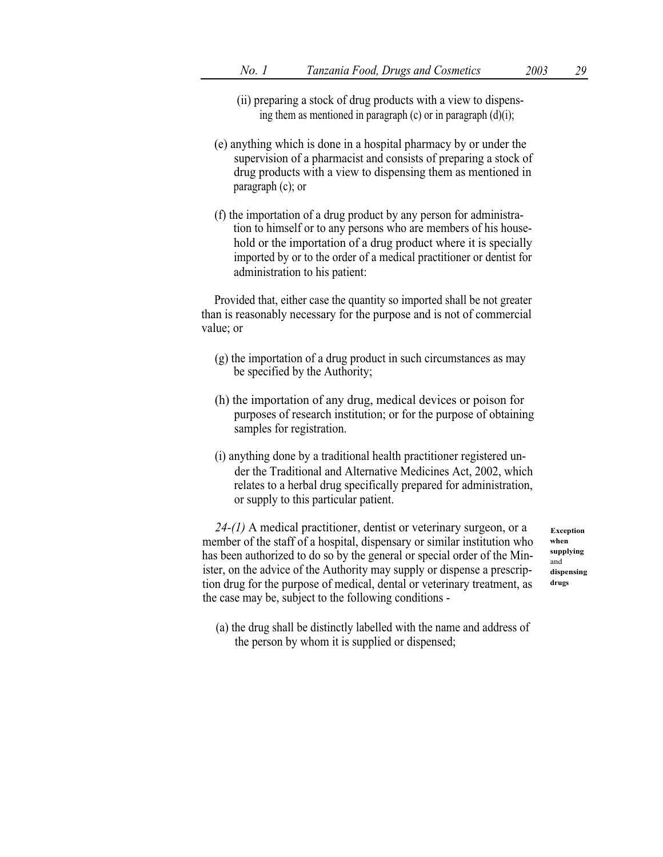- (ii) preparing a stock of drug products with a view to dispensing them as mentioned in paragraph  $(c)$  or in paragraph  $(d)(i)$ ;
- (e) anything which is done in a hospital pharmacy by or under the supervision of a pharmacist and consists of preparing a stock of drug products with a view to dispensing them as mentioned in paragraph (c); or
- (f) the importation of a drug product by any person for administration to himself or to any persons who are members of his household or the importation of a drug product where it is specially imported by or to the order of a medical practitioner or dentist for administration to his patient:

Provided that, either case the quantity so imported shall be not greater than is reasonably necessary for the purpose and is not of commercial value; or

- (g) the importation of a drug product in such circumstances as may be specified by the Authority;
- (h) the importation of any drug, medical devices or poison for purposes of research institution; or for the purpose of obtaining samples for registration.
- (i) anything done by a traditional health practitioner registered under the Traditional and Alternative Medicines Act, 2002, which relates to a herbal drug specifically prepared for administration, or supply to this particular patient.

 $24-(1)$  A medical practitioner, dentist or veterinary surgeon, or a member of the staff of a hospital, dispensary or similar institution who has been authorized to do so by the general or special order of the Minister, on the advice of the Authority may supply or dispense a prescription drug for the purpose of medical, dental or veterinary treatment, as the case may be, subject to the following conditions -

Exception when supplying and dispensing drugs

(a) the drug shall be distinctly labelled with the name and address of the person by whom it is supplied or dispensed;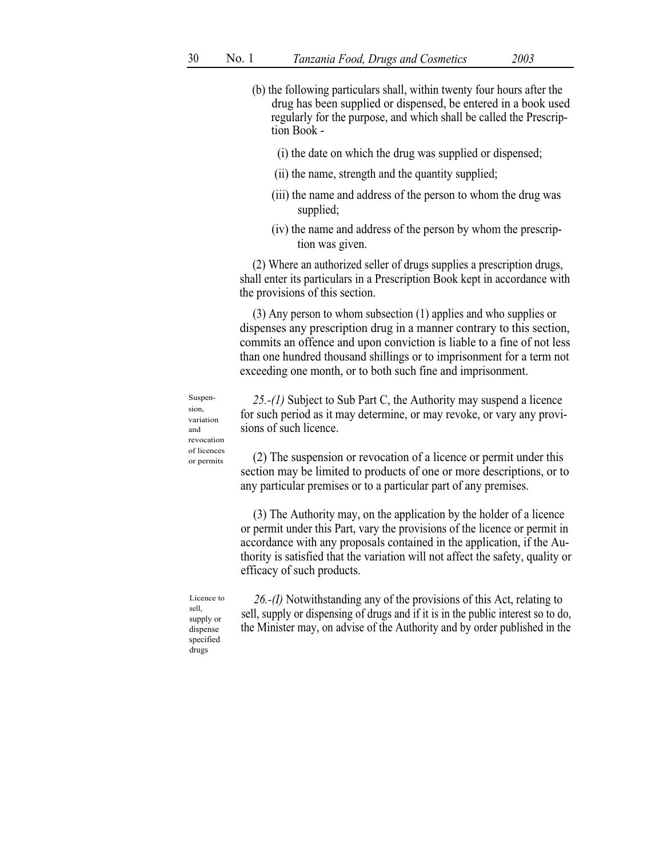- (b) the following particulars shall, within twenty four hours after the drug has been supplied or dispensed, be entered in a book used regularly for the purpose, and which shall be called the Prescription Book -
	- (i) the date on which the drug was supplied or dispensed;
	- (ii) the name, strength and the quantity supplied;
	- (iii) the name and address of the person to whom the drug was supplied;
	- (iv) the name and address of the person by whom the prescription was given.

(2) Where an authorized seller of drugs supplies a prescription drugs, shall enter its particulars in a Prescription Book kept in accordance with the provisions of this section.

(3) Any person to whom subsection (1) applies and who supplies or dispenses any prescription drug in a manner contrary to this section, commits an offence and upon conviction is liable to a fine of not less than one hundred thousand shillings or to imprisonment for a term not exceeding one month, or to both such fine and imprisonment.

Suspension, variation and revocation or permits

25.-(1) Subject to Sub Part C, the Authority may suspend a licence for such period as it may determine, or may revoke, or vary any provisions of such licence.

 $\sigma$ <sup>of licences</sup> (2) The suspension or revocation of a licence or permit under this section may be limited to products of one or more descriptions, or to any particular premises or to a particular part of any premises.

> (3) The Authority may, on the application by the holder of a licence or permit under this Part, vary the provisions of the licence or permit in accordance with any proposals contained in the application, if the Authority is satisfied that the variation will not affect the safety, quality or efficacy of such products.

Licence to sell, supply or dispense specified drugs

26.-(I) Notwithstanding any of the provisions of this Act, relating to sell, supply or dispensing of drugs and if it is in the public interest so to do, the Minister may, on advise of the Authority and by order published in the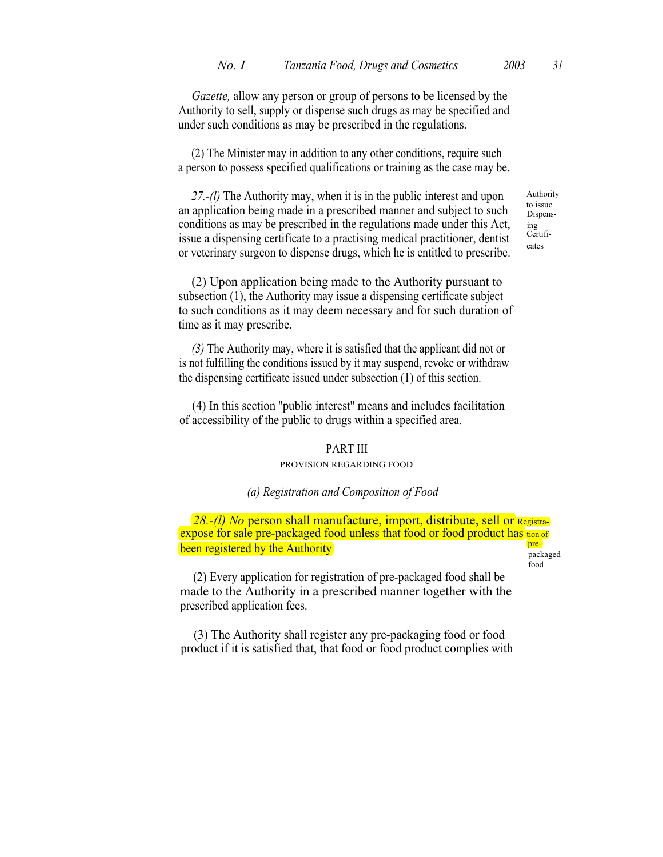Gazette, allow any person or group of persons to be licensed by the

Authority to sell, supply or dispense such drugs as may be specified and under such conditions as may be prescribed in the regulations.

(2) The Minister may in addition to any other conditions, require such a person to possess specified qualifications or training as the case may be.

27.-(l) The Authority may, when it is in the public interest and upon an application being made in a prescribed manner and subject to such conditions as may be prescribed in the regulations made under this Act, issue a dispensing certificate to a practising medical practitioner, dentist or veterinary surgeon to dispense drugs, which he is entitled to prescribe. Authority to issue Dispensing Certificates

(2) Upon application being made to the Authority pursuant to subsection (1), the Authority may issue a dispensing certificate subject to such conditions as it may deem necessary and for such duration of time as it may prescribe.

(3) The Authority may, where it is satisfied that the applicant did not or is not fulfilling the conditions issued by it may suspend, revoke or withdraw the dispensing certificate issued under subsection (1) of this section.

(4) In this section ''public interest'' means and includes facilitation of accessibility of the public to drugs within a specified area.

### PART III

### PROVISION REGARDING FOOD

#### (a) Registration and Composition of Food

28.-(l) No person shall manufacture, import, distribute, sell or Registraexpose for sale pre-packaged food unless that food or food product has tion of **been registered by the Authority pre-** pre-

food

(2) Every application for registration of pre-packaged food shall be made to the Authority in a prescribed manner together with the prescribed application fees.

(3) The Authority shall register any pre-packaging food or food product if it is satisfied that, that food or food product complies with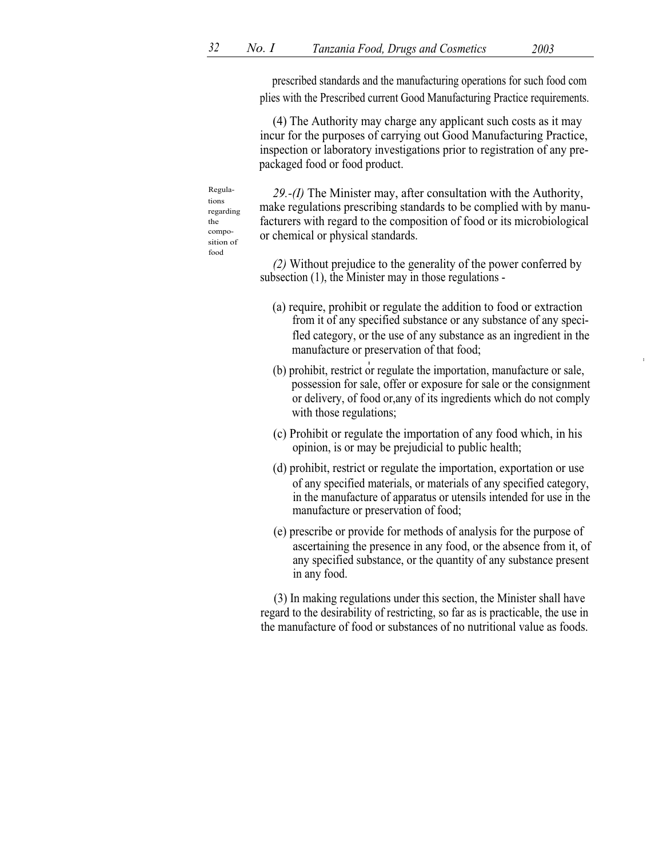prescribed standards and the manufacturing operations for such food com plies with the Prescribed current Good Manufacturing Practice requirements.

(4) The Authority may charge any applicant such costs as it may incur for the purposes of carrying out Good Manufacturing Practice, inspection or laboratory investigations prior to registration of any prepackaged food or food product.

Regula- 29.- $(I)$  The Minister may, after consultation with the Authority, make regulations prescribing standards to be complied with by manufacturers with regard to the composition of food or its microbiological or chemical or physical standards.

> (2) Without prejudice to the generality of the power conferred by subsection (1), the Minister may in those regulations -

- (a) require, prohibit or regulate the addition to food or extraction from it of any specified substance or any substance of any specifled category, or the use of any substance as an ingredient in the manufacture or preservation of that food;
- (b) prohibit, restrict or regulate the importation, manufacture or sale, possession for sale, offer or exposure for sale or the consignment or delivery, of food or,any of its ingredients which do not comply with those regulations;
- (c) Prohibit or regulate the importation of any food which, in his opinion, is or may be prejudicial to public health;
- (d) prohibit, restrict or regulate the importation, exportation or use of any specified materials, or materials of any specified category, in the manufacture of apparatus or utensils intended for use in the manufacture or preservation of food;
- (e) prescribe or provide for methods of analysis for the purpose of ascertaining the presence in any food, or the absence from it, of any specified substance, or the quantity of any substance present in any food.

(3) In making regulations under this section, the Minister shall have regard to the desirability of restricting, so far as is practicable, the use in the manufacture of food or substances of no nutritional value as foods.

tions regarding the composition of food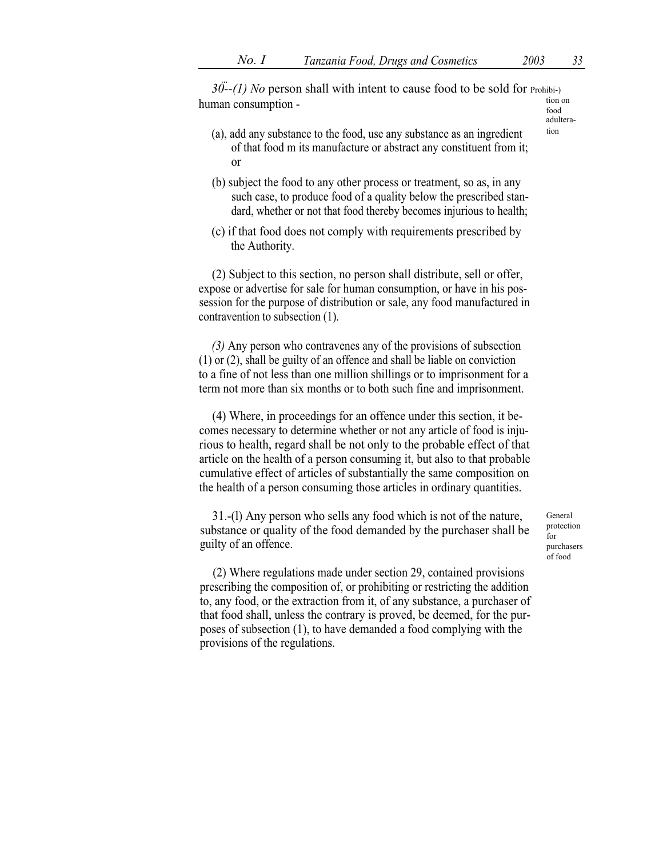$30-(-1)$  No person shall with intent to cause food to be sold for Prohibi-)  $t_{\text{total}}$  tion on  $t_{\text{total}}$ 

adultera-

- $(a)$ , add any substance to the food, use any substance as an ingredient tion of that food m its manufacture or abstract any constituent from it; or
- (b) subject the food to any other process or treatment, so as, in any such case, to produce food of a quality below the prescribed standard, whether or not that food thereby becomes injurious to health;
- (c) if that food does not comply with requirements prescribed by the Authority.

(2) Subject to this section, no person shall distribute, sell or offer, expose or advertise for sale for human consumption, or have in his possession for the purpose of distribution or sale, any food manufactured in contravention to subsection (1).

(3) Any person who contravenes any of the provisions of subsection (1) or (2), shall be guilty of an offence and shall be liable on conviction to a fine of not less than one million shillings or to imprisonment for a term not more than six months or to both such fine and imprisonment.

(4) Where, in proceedings for an offence under this section, it becomes necessary to determine whether or not any article of food is injurious to health, regard shall be not only to the probable effect of that article on the health of a person consuming it, but also to that probable cumulative effect of articles of substantially the same composition on the health of a person consuming those articles in ordinary quantities.

31.-(l) Any person who sells any food which is not of the nature, substance or quality of the food demanded by the purchaser shall be guilty of an offence.

General protection  $f_{\Omega}r$ purchasers of food

(2) Where regulations made under section 29, contained provisions prescribing the composition of, or prohibiting or restricting the addition to, any food, or the extraction from it, of any substance, a purchaser of that food shall, unless the contrary is proved, be deemed, for the purposes of subsection (1), to have demanded a food complying with the provisions of the regulations.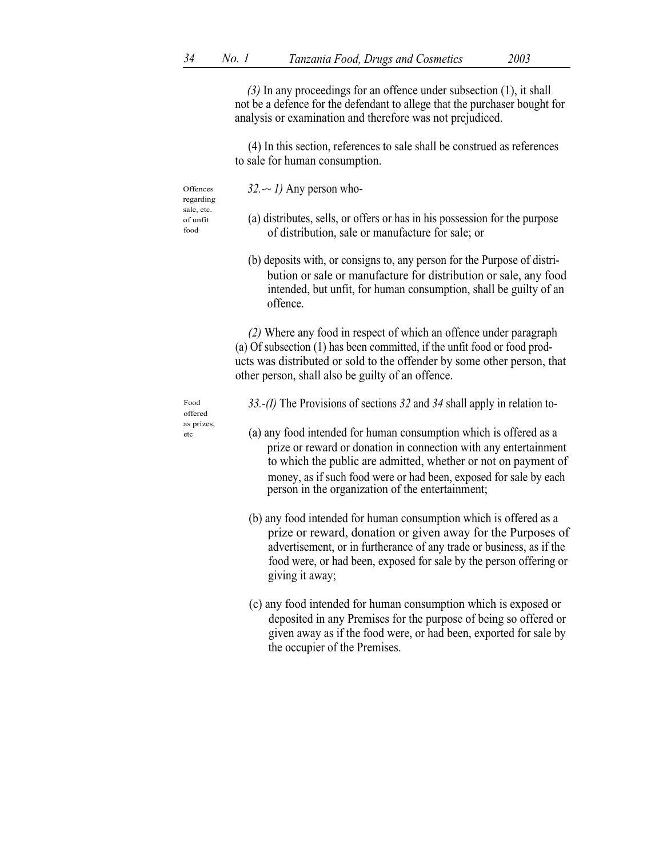(3) In any proceedings for an offence under subsection (1), it shall not be a defence for the defendant to allege that the purchaser bought for analysis or examination and therefore was not prejudiced.

(4) In this section, references to sale shall be construed as references to sale for human consumption.

| Offences<br>regarding          | $32 - 1$ ) Any person who-                               |
|--------------------------------|----------------------------------------------------------|
| sale, etc.<br>of unfit<br>food | (a) distributes, sells, or of<br>of distribution, sale o |
|                                |                                                          |

- stributes, sells, or offers or has in his possession for the purpose f distribution, sale or manufacture for sale; or
- (b) deposits with, or consigns to, any person for the Purpose of distribution or sale or manufacture for distribution or sale, any food intended, but unfit, for human consumption, shall be guilty of an offence.

(2) Where any food in respect of which an offence under paragraph (a) Of subsection (1) has been committed, if the unfit food or food products was distributed or sold to the offender by some other person, that other person, shall also be guilty of an offence.

offered as prizes,

- Food 33.-(I) The Provisions of sections 32 and 34 shall apply in relation to-
- etc (a) any food intended for human consumption which is offered as a prize or reward or donation in connection with any entertainment to which the public are admitted, whether or not on payment of money, as if such food were or had been, exposed for sale by each person in the organization of the entertainment;
	- (b) any food intended for human consumption which is offered as a prize or reward, donation or given away for the Purposes of advertisement, or in furtherance of any trade or business, as if the food were, or had been, exposed for sale by the person offering or giving it away;
	- (c) any food intended for human consumption which is exposed or deposited in any Premises for the purpose of being so offered or given away as if the food were, or had been, exported for sale by the occupier of the Premises.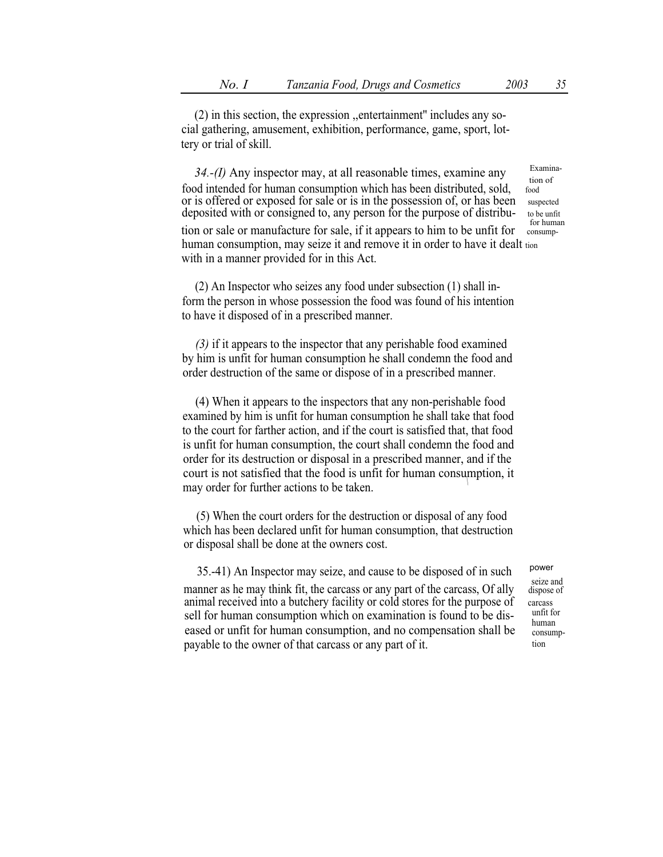(2) in this section, the expression ,,entertainment'' includes any social gathering, amusement, exhibition, performance, game, sport, lottery or trial of skill.

34.-(I) Any inspector may, at all reasonable times, examine any  $\frac{\text{Examination}}{\text{top of}}$  or  $\frac{\text{Examination}}{\text{top of}}$ food intended for human consumption which has been distributed, sold, or is offered or exposed for sale or is in the possession of, or has been suspected deposited with or consigned to, any person for the purpose of distribu- to be unfit tion or sale or manufacture for sale, if it appears to him to be unfit for human consumption, may seize it and remove it in order to have it dealt tion with in a manner provided for in this Act.

(2) An Inspector who seizes any food under subsection (1) shall inform the person in whose possession the food was found of his intention to have it disposed of in a prescribed manner.

(3) if it appears to the inspector that any perishable food examined by him is unfit for human consumption he shall condemn the food and order destruction of the same or dispose of in a prescribed manner.

(4) When it appears to the inspectors that any non-perishable food examined by him is unfit for human consumption he shall take that food to the court for farther action, and if the court is satisfied that, that food is unfit for human consumption, the court shall condemn the food and order for its destruction or disposal in a prescribed manner, and if the court is not satisfied that the food is unfit for human consumption, it may order for further actions to be taken.

(5) When the court orders for the destruction or disposal of any food which has been declared unfit for human consumption, that destruction or disposal shall be done at the owners cost.

35.-41) An Inspector may seize, and cause to be disposed of in such seize and manner as he may think fit, the carcass or any part of the carcass, Of ally dispose of animal received into a butchery facility or cold stores for the purpose of carcass<br>soll for human consumption which on examination is found to be disentified sell for human consumption which on examination is found to be diseased or unfit for human consumption, and no compensation shall be payable to the owner of that carcass or any part of it.

human consumption

power

for human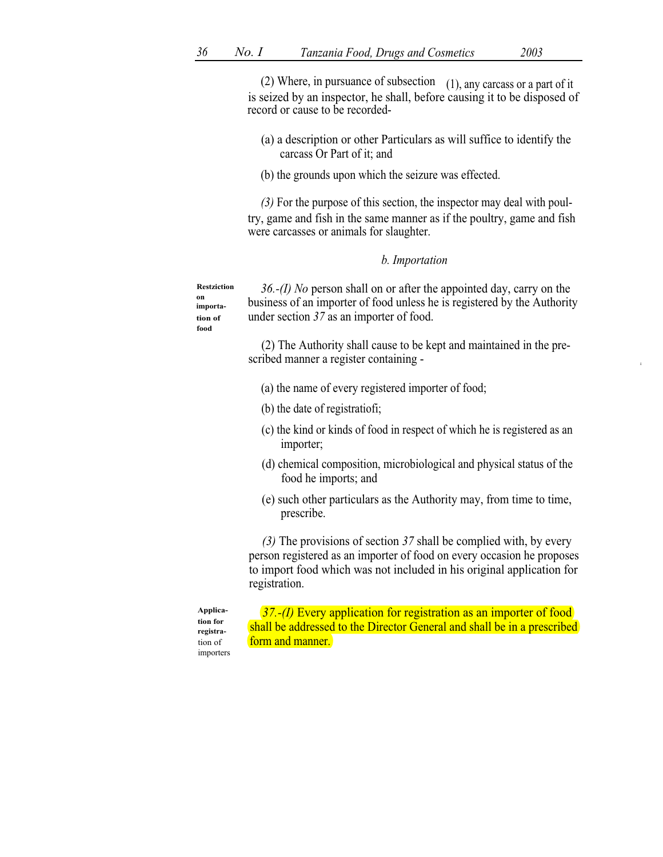(2) Where, in pursuance of subsection  $(1)$ , any carcass or a part of it is seized by an inspector, he shall, before causing it to be disposed of record or cause to be recorded-

- (a) a description or other Particulars as will suffice to identify the carcass Or Part of it; and
- (b) the grounds upon which the seizure was effected.

(3) For the purpose of this section, the inspector may deal with poultry, game and fish in the same manner as if the poultry, game and fish were carcasses or animals for slaughter.

### b. Importation

Restziction on importation of food

36.-(I) No person shall on or after the appointed day, carry on the business of an importer of food unless he is registered by the Authority under section 37 as an importer of food.

(2) The Authority shall cause to be kept and maintained in the prescribed manner a register containing -

- (a) the name of every registered importer of food;
- (b) the date of registratiofi;
- (c) the kind or kinds of food in respect of which he is registered as an importer;
- (d) chemical composition, microbiological and physical status of the food he imports; and
- (e) such other particulars as the Authority may, from time to time, prescribe.

(3) The provisions of section 37 shall be complied with, by every person registered as an importer of food on every occasion he proposes to import food which was not included in his original application for registration.

Application for registration of importers

37.-(I) Every application for registration as an importer of food shall be addressed to the Director General and shall be in a prescribed form and manner.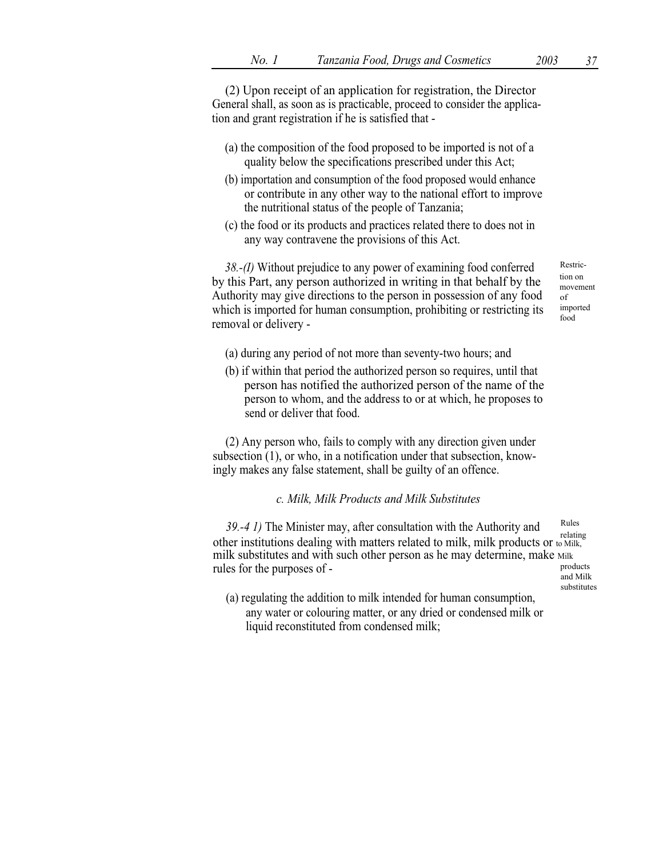(2) Upon receipt of an application for registration, the Director General shall, as soon as is practicable, proceed to consider the application and grant registration if he is satisfied that -

- (a) the composition of the food proposed to be imported is not of a quality below the specifications prescribed under this Act;
- (b) importation and consumption of the food proposed would enhance or contribute in any other way to the national effort to improve the nutritional status of the people of Tanzania;
- (c) the food or its products and practices related there to does not in any way contravene the provisions of this Act.

 $38.-(1)$  Without prejudice to any power of examining food conferred Restricby this Part, any person authorized in writing in that behalf by the Authority may give directions to the person in possession of any food which is imported for human consumption, prohibiting or restricting its removal or delivery -

tion on movement of imported food

- (a) during any period of not more than seventy-two hours; and
- (b) if within that period the authorized person so requires, until that person has notified the authorized person of the name of the person to whom, and the address to or at which, he proposes to send or deliver that food.

(2) Any person who, fails to comply with any direction given under subsection (1), or who, in a notification under that subsection, knowingly makes any false statement, shall be guilty of an offence.

c. Milk, Milk Products and Milk Substitutes

39.-4 1) The Minister may, after consultation with the Authority and relating other institutions dealing with matters related to milk, milk products or to Milk, milk substitutes and with such other person as he may determine, make  $M$  milk rules for the purposes of  $\epsilon$ rules for the purposes of -

and Milk substitutes

(a) regulating the addition to milk intended for human consumption, any water or colouring matter, or any dried or condensed milk or liquid reconstituted from condensed milk;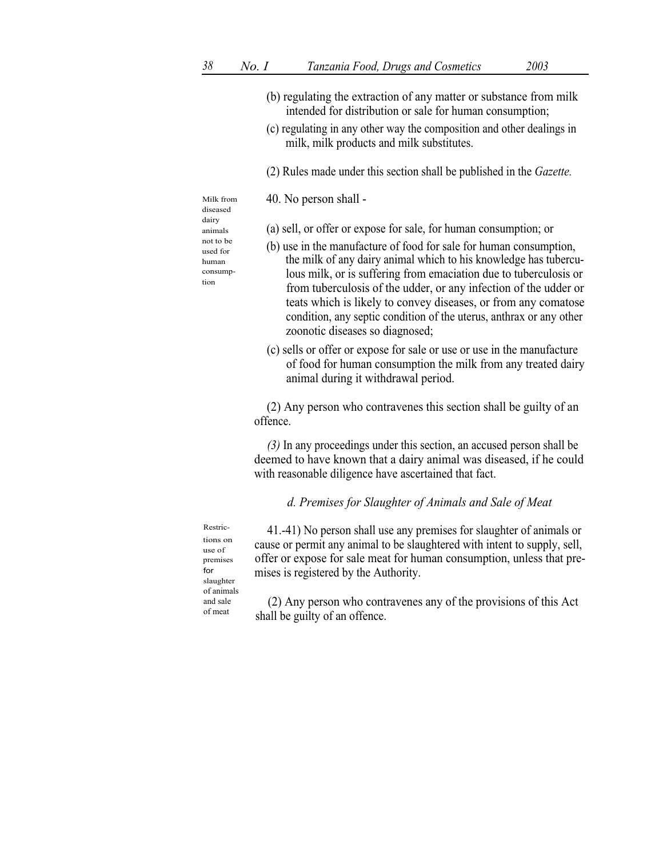- (b) regulating the extraction of any matter or substance from milk intended for distribution or sale for human consumption;
- (c) regulating in any other way the composition and other dealings in milk, milk products and milk substitutes.
- (2) Rules made under this section shall be published in the Gazette.

Milk from 40. No person shall -

diseased dairy human consumption

- animals (a) sell, or offer or expose for sale, for human consumption; or
- not to be  $($ b $)$  use in the manufacture of food for sale for human consumption, the milk of any dairy animal which to his knowledge has tuberculous milk, or is suffering from emaciation due to tuberculosis or from tuberculosis of the udder, or any infection of the udder or teats which is likely to convey diseases, or from any comatose condition, any septic condition of the uterus, anthrax or any other zoonotic diseases so diagnosed;
	- (c) sells or offer or expose for sale or use or use in the manufacture of food for human consumption the milk from any treated dairy animal during it withdrawal period.

(2) Any person who contravenes this section shall be guilty of an offence.

(3) In any proceedings under this section, an accused person shall be deemed to have known that a dairy animal was diseased, if he could with reasonable diligence have ascertained that fact.

# d. Premises for Slaughter of Animals and Sale of Meat

Restrictions on use of premises for slaughter of animals and sale of meat

41.-41) No person shall use any premises for slaughter of animals or cause or permit any animal to be slaughtered with intent to supply, sell, offer or expose for sale meat for human consumption, unless that premises is registered by the Authority.

(2) Any person who contravenes any of the provisions of this Act shall be guilty of an offence.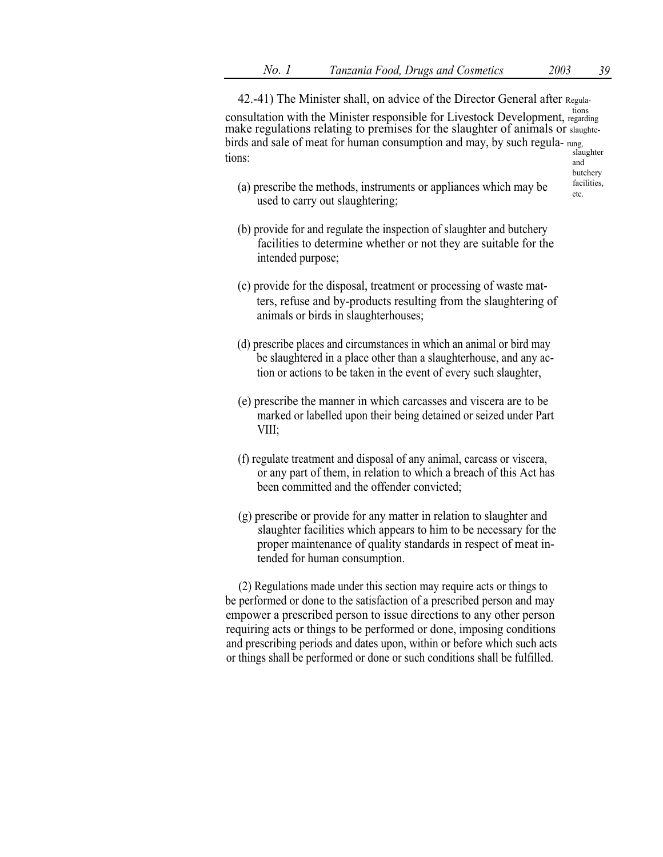42.-41) The Minister shall, on advice of the Director General after Regula-

tions consultation with the Minister responsible for Livestock Development, regarding make regulations relating to premises for the slaughter of animals or slaughtebirds and sale of meat for human consumption and may, by such regula- rung, slaughter slaughter tions:

- butchery<br>facilities,
- (a) prescribe the methods, instruments or appliances which may be  $\int_{\text{etc.}}^{\text{tac}}$ used to carry out slaughtering;
- (b) provide for and regulate the inspection of slaughter and butchery facilities to determine whether or not they are suitable for the intended purpose;
- (c) provide for the disposal, treatment or processing of waste matters, refuse and by-products resulting from the slaughtering of animals or birds in slaughterhouses;
- (d) prescribe places and circumstances in which an animal or bird may be slaughtered in a place other than a slaughterhouse, and any action or actions to be taken in the event of every such slaughter,
- (e) prescribe the manner in which carcasses and viscera are to be marked or labelled upon their being detained or seized under Part VIII;
- (f) regulate treatment and disposal of any animal, carcass or viscera, or any part of them, in relation to which a breach of this Act has been committed and the offender convicted;
- (g) prescribe or provide for any matter in relation to slaughter and slaughter facilities which appears to him to be necessary for the proper maintenance of quality standards in respect of meat intended for human consumption.

(2) Regulations made under this section may require acts or things to be performed or done to the satisfaction of a prescribed person and may empower a prescribed person to issue directions to any other person requiring acts or things to be performed or done, imposing conditions and prescribing periods and dates upon, within or before which such acts or things shall be performed or done or such conditions shall be fulfilled.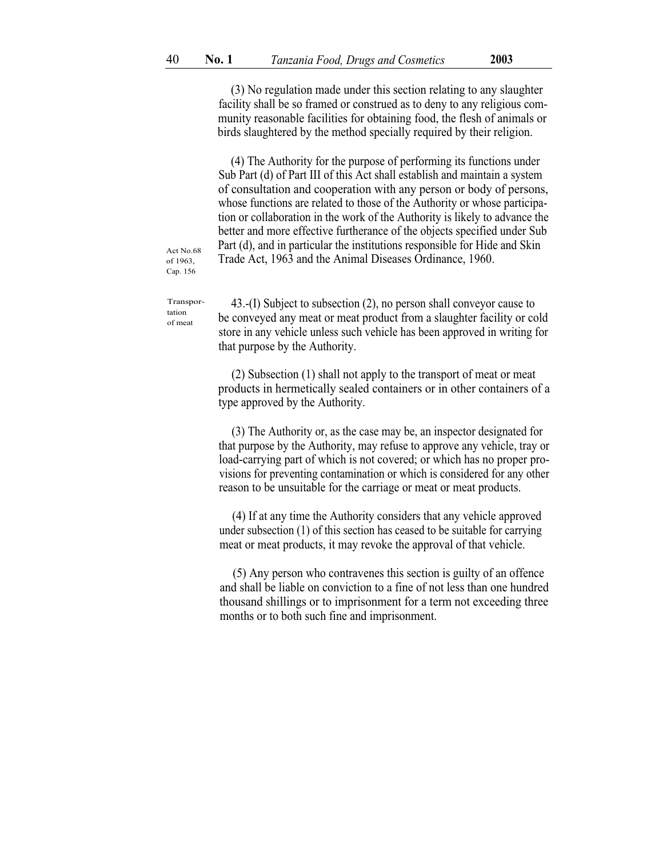(3) No regulation made under this section relating to any slaughter facility shall be so framed or construed as to deny to any religious community reasonable facilities for obtaining food, the flesh of animals or birds slaughtered by the method specially required by their religion.

(4) The Authority for the purpose of performing its functions under Sub Part (d) of Part III of this Act shall establish and maintain a system of consultation and cooperation with any person or body of persons, whose functions are related to those of the Authority or whose participation or collaboration in the work of the Authority is likely to advance the better and more effective furtherance of the objects specified under Sub Part (d), and in particular the institutions responsible for Hide and Skin Trade Act, 1963 and the Animal Diseases Ordinance, 1960.

Act No.68 of 1963, Cap. 156

Transportation of meat

43.-(I) Subject to subsection (2), no person shall conveyor cause to be conveyed any meat or meat product from a slaughter facility or cold store in any vehicle unless such vehicle has been approved in writing for that purpose by the Authority.

(2) Subsection (1) shall not apply to the transport of meat or meat products in hermetically sealed containers or in other containers of a type approved by the Authority.

(3) The Authority or, as the case may be, an inspector designated for that purpose by the Authority, may refuse to approve any vehicle, tray or load-carrying part of which is not covered; or which has no proper provisions for preventing contamination or which is considered for any other reason to be unsuitable for the carriage or meat or meat products.

(4) If at any time the Authority considers that any vehicle approved under subsection (1) of this section has ceased to be suitable for carrying meat or meat products, it may revoke the approval of that vehicle.

(5) Any person who contravenes this section is guilty of an offence and shall be liable on conviction to a fine of not less than one hundred thousand shillings or to imprisonment for a term not exceeding three months or to both such fine and imprisonment.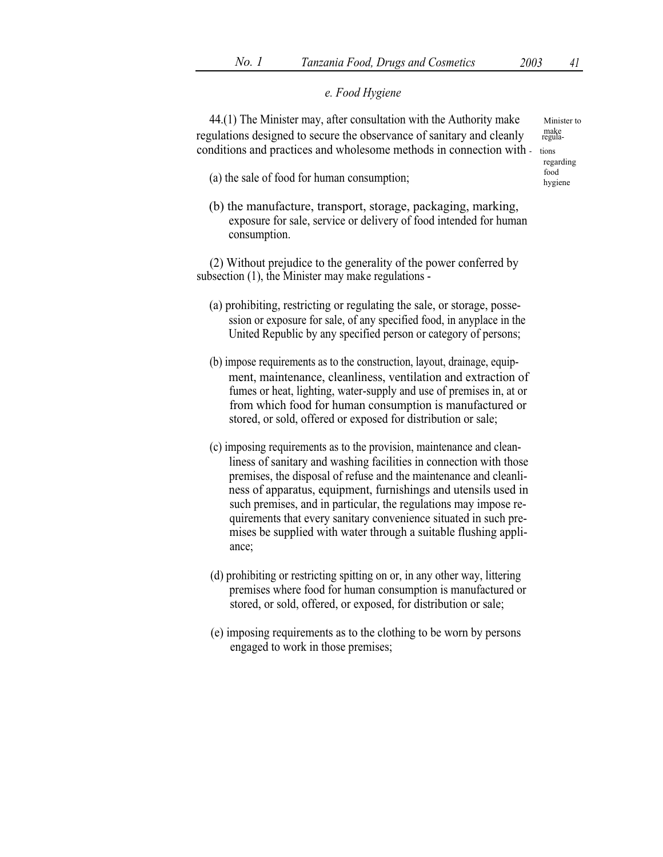# e. Food Hygiene

44.(1) The Minister may, after consultation with the Authority make  $\frac{M_{\text{inister to}}}{M_{\text{inorder}}}$  Minister to  $\frac{M_{\text{inorder}}}{M_{\text{outorder}}}$ regulations designed to secure the observance of sanitary and cleanly conditions and practices and wholesome methods in connection with - tions

- (a) the sale of food for human consumption;  $f_{\text{bogine}}$
- (b) the manufacture, transport, storage, packaging, marking, exposure for sale, service or delivery of food intended for human consumption.

(2) Without prejudice to the generality of the power conferred by subsection (1), the Minister may make regulations -

- (a) prohibiting, restricting or regulating the sale, or storage, possession or exposure for sale, of any specified food, in anyplace in the United Republic by any specified person or category of persons;
- (b) impose requirements as to the construction, layout, drainage, equipment, maintenance, cleanliness, ventilation and extraction of fumes or heat, lighting, water-supply and use of premises in, at or from which food for human consumption is manufactured or stored, or sold, offered or exposed for distribution or sale;
- (c) imposing requirements as to the provision, maintenance and cleanliness of sanitary and washing facilities in connection with those premises, the disposal of refuse and the maintenance and cleanliness of apparatus, equipment, furnishings and utensils used in such premises, and in particular, the regulations may impose requirements that every sanitary convenience situated in such premises be supplied with water through a suitable flushing appliance;
- (d) prohibiting or restricting spitting on or, in any other way, littering premises where food for human consumption is manufactured or stored, or sold, offered, or exposed, for distribution or sale;
- (e) imposing requirements as to the clothing to be worn by persons engaged to work in those premises;

regarding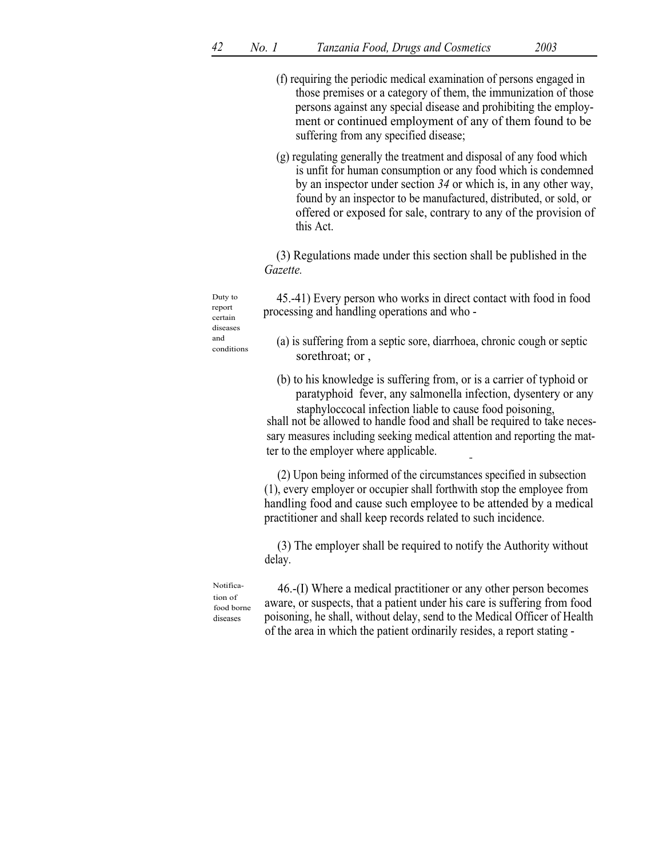- (f) requiring the periodic medical examination of persons engaged in those premises or a category of them, the immunization of those persons against any special disease and prohibiting the employment or continued employment of any of them found to be suffering from any specified disease;
- (g) regulating generally the treatment and disposal of any food which is unfit for human consumption or any food which is condemned by an inspector under section 34 or which is, in any other way, found by an inspector to be manufactured, distributed, or sold, or offered or exposed for sale, contrary to any of the provision of this Act.

(3) Regulations made under this section shall be published in the Gazette.

45.-41) Every person who works in direct contact with food in food processing and handling operations and who -

- (a) is suffering from a septic sore, diarrhoea, chronic cough or septic sorethroat; or ,
- (b) to his knowledge is suffering from, or is a carrier of typhoid or paratyphoid fever, any salmonella infection, dysentery or any staphyloccocal infection liable to cause food poisoning,

shall not be allowed to handle food and shall be required to take necessary measures including seeking medical attention and reporting the matter to the employer where applicable.

(2) Upon being informed of the circumstances specified in subsection (1), every employer or occupier shall forthwith stop the employee from handling food and cause such employee to be attended by a medical practitioner and shall keep records related to such incidence.

(3) The employer shall be required to notify the Authority without delay.

Notification of food borne diseases

46.-(I) Where a medical practitioner or any other person becomes aware, or suspects, that a patient under his care is suffering from food poisoning, he shall, without delay, send to the Medical Officer of Health of the area in which the patient ordinarily resides, a report stating -

Duty to report certain diseases and conditions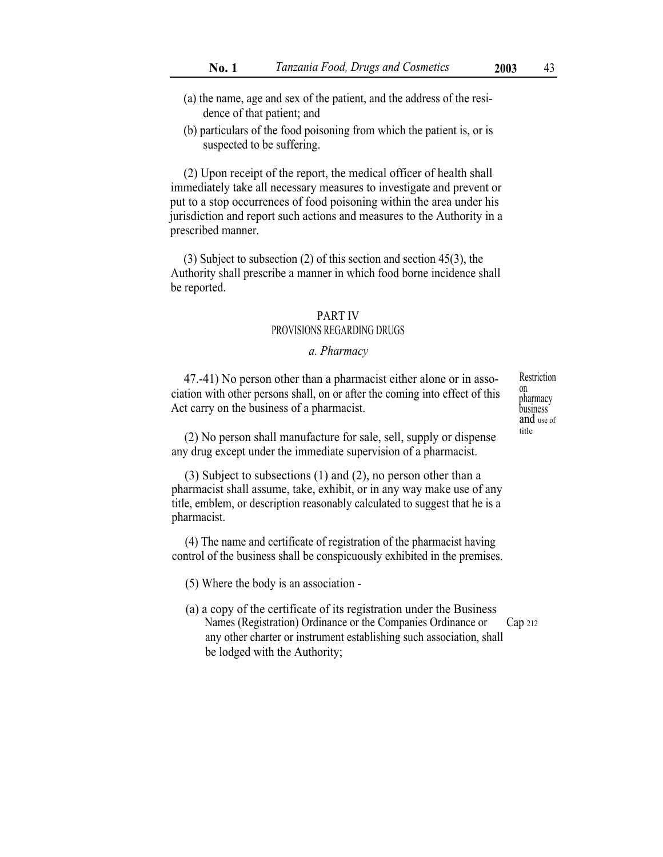- (a) the name, age and sex of the patient, and the address of the residence of that patient; and
- (b) particulars of the food poisoning from which the patient is, or is suspected to be suffering.

(2) Upon receipt of the report, the medical officer of health shall immediately take all necessary measures to investigate and prevent or put to a stop occurrences of food poisoning within the area under his jurisdiction and report such actions and measures to the Authority in a prescribed manner.

(3) Subject to subsection (2) of this section and section 45(3), the Authority shall prescribe a manner in which food borne incidence shall be reported.

## PART IV PROVISIONS REGARDING DRUGS

### a. Pharmacy

47.-41) No person other than a pharmacist either alone or in asso- Restriction ciation with other persons shall, on or after the coming into effect of this Act carry on the business of a pharmacist.

 $(2)$  No person shall manufacture for sale, sell, supply or dispense any drug except under the immediate supervision of a pharmacist.

(3) Subject to subsections (1) and (2), no person other than a pharmacist shall assume, take, exhibit, or in any way make use of any title, emblem, or description reasonably calculated to suggest that he is a pharmacist.

(4) The name and certificate of registration of the pharmacist having control of the business shall be conspicuously exhibited in the premises.

(5) Where the body is an association -

(a) a copy of the certificate of its registration under the Business Names (Registration) Ordinance or the Companies Ordinance or Cap 212 any other charter or instrument establishing such association, shall be lodged with the Authority;

on pharmacy business and use of<br>title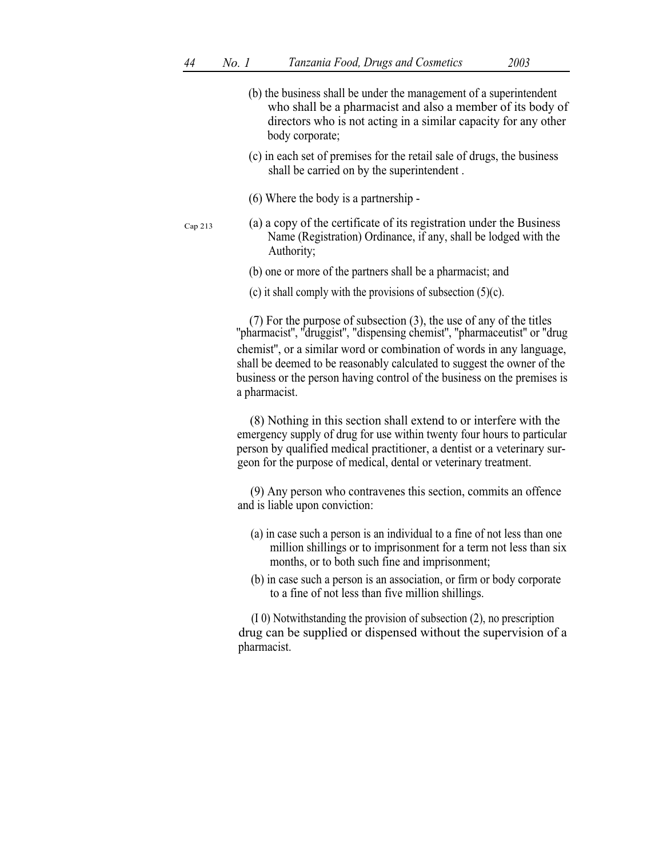|         | (b) the business shall be under the management of a superintendent<br>who shall be a pharmacist and also a member of its body of<br>directors who is not acting in a similar capacity for any other<br>body corporate;                                                                       |
|---------|----------------------------------------------------------------------------------------------------------------------------------------------------------------------------------------------------------------------------------------------------------------------------------------------|
|         | (c) in each set of premises for the retail sale of drugs, the business<br>shall be carried on by the superintendent.                                                                                                                                                                         |
|         | (6) Where the body is a partnership -                                                                                                                                                                                                                                                        |
| Cap 213 | (a) a copy of the certificate of its registration under the Business<br>Name (Registration) Ordinance, if any, shall be lodged with the<br>Authority;                                                                                                                                        |
|         | (b) one or more of the partners shall be a pharmacist; and                                                                                                                                                                                                                                   |
|         | (c) it shall comply with the provisions of subsection $(5)(c)$ .                                                                                                                                                                                                                             |
|         | (7) For the purpose of subsection (3), the use of any of the titles "pharmacist", "druggist", "dispensing chemist", "pharmaceutist" or "drug                                                                                                                                                 |
|         | chemist", or a similar word or combination of words in any language,<br>shall be deemed to be reasonably calculated to suggest the owner of the<br>business or the person having control of the business on the premises is<br>a pharmacist.                                                 |
|         | (8) Nothing in this section shall extend to or interfere with the<br>emergency supply of drug for use within twenty four hours to particular<br>person by qualified medical practitioner, a dentist or a veterinary sur-<br>geon for the purpose of medical, dental or veterinary treatment. |
|         | (9) Any person who contravenes this section, commits an offence<br>and is liable upon conviction:                                                                                                                                                                                            |
|         | (a) in case such a person is an individual to a fine of not less than one<br>million shillings or to imprisonment for a term not less than six<br>months, or to both such fine and imprisonment;                                                                                             |
|         | (b) in case such a person is an association, or firm or body corporate<br>to a fine of not less than five million shillings.                                                                                                                                                                 |
|         | (I 0) Notwithstanding the provision of subsection (2), no prescription<br>drug can be supplied or dispensed without the supervision of a<br>pharmacist.                                                                                                                                      |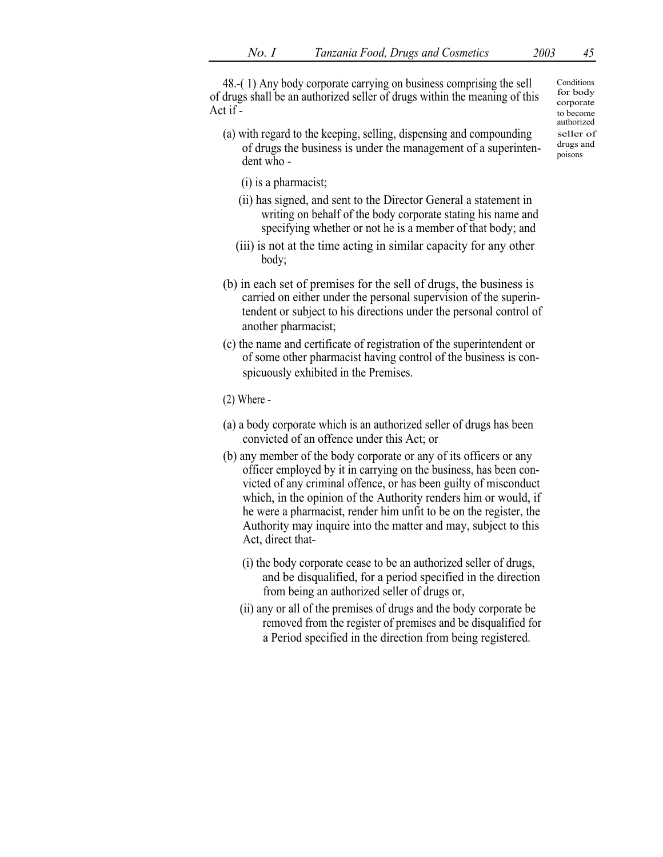48.-( 1) Any body corporate carrying on business comprising the sell of drugs shall be an authorized seller of drugs within the meaning of this Act if -

- (a) with regard to the keeping, selling, dispensing and compounding seller of  $\epsilon$  seller of of drugs the business is under the management of a superinten-<br>material being the submess to three the management of a superintent poisons poisons
	- (i) is a pharmacist;
	- (ii) has signed, and sent to the Director General a statement in writing on behalf of the body corporate stating his name and specifying whether or not he is a member of that body; and
	- (iii) is not at the time acting in similar capacity for any other body;
- (b) in each set of premises for the sell of drugs, the business is carried on either under the personal supervision of the superintendent or subject to his directions under the personal control of another pharmacist;
- (c) the name and certificate of registration of the superintendent or of some other pharmacist having control of the business is conspicuously exhibited in the Premises.
- (2) Where -
- (a) a body corporate which is an authorized seller of drugs has been convicted of an offence under this Act; or
- (b) any member of the body corporate or any of its officers or any officer employed by it in carrying on the business, has been convicted of any criminal offence, or has been guilty of misconduct which, in the opinion of the Authority renders him or would, if he were a pharmacist, render him unfit to be on the register, the Authority may inquire into the matter and may, subject to this Act, direct that-
	- (i) the body corporate cease to be an authorized seller of drugs, and be disqualified, for a period specified in the direction from being an authorized seller of drugs or,
	- (ii) any or all of the premises of drugs and the body corporate be removed from the register of premises and be disqualified for a Period specified in the direction from being registered.

**Conditions** for body corporate to become authorized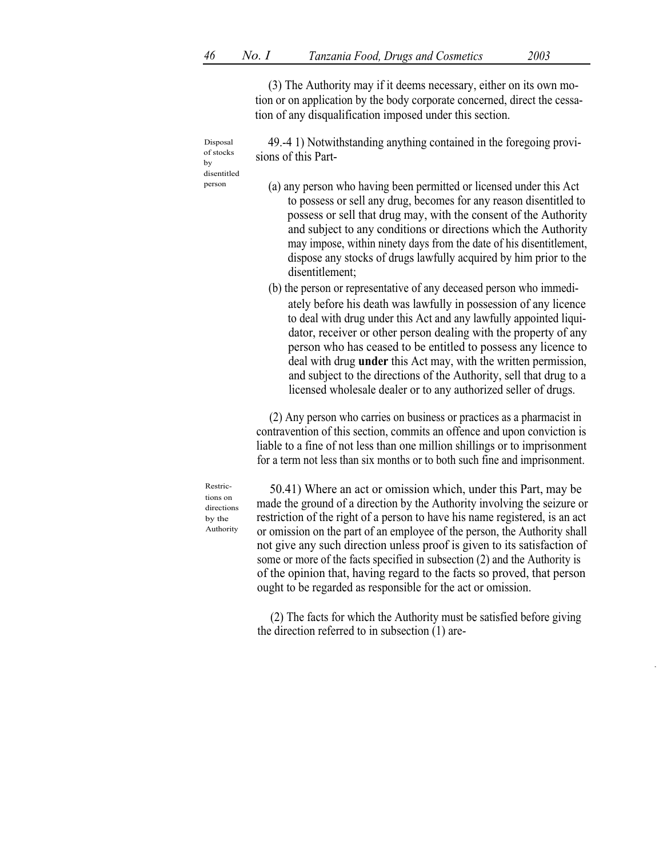(3) The Authority may if it deems necessary, either on its own motion or on application by the body corporate concerned, direct the cessation of any disqualification imposed under this section.

49.-4 1) Notwithstanding anything contained in the foregoing provisions of this Part-

Disposal of stocks by disentitled

(a) any person who having been permitted or licensed under this Act person to possess or sell any drug, becomes for any reason disentitled to possess or sell that drug may, with the consent of the Authority and subject to any conditions or directions which the Authority may impose, within ninety days from the date of his disentitlement, dispose any stocks of drugs lawfully acquired by him prior to the disentitlement;

> (b) the person or representative of any deceased person who immediately before his death was lawfully in possession of any licence to deal with drug under this Act and any lawfully appointed liquidator, receiver or other person dealing with the property of any person who has ceased to be entitled to possess any licence to deal with drug under this Act may, with the written permission, and subject to the directions of the Authority, sell that drug to a licensed wholesale dealer or to any authorized seller of drugs.

(2) Any person who carries on business or practices as a pharmacist in contravention of this section, commits an offence and upon conviction is liable to a fine of not less than one million shillings or to imprisonment for a term not less than six months or to both such fine and imprisonment.

Restrictions on directions by the Authority

50.41) Where an act or omission which, under this Part, may be made the ground of a direction by the Authority involving the seizure or restriction of the right of a person to have his name registered, is an act or omission on the part of an employee of the person, the Authority shall not give any such direction unless proof is given to its satisfaction of some or more of the facts specified in subsection (2) and the Authority is of the opinion that, having regard to the facts so proved, that person ought to be regarded as responsible for the act or omission.

(2) The facts for which the Authority must be satisfied before giving the direction referred to in subsection (1) are-

,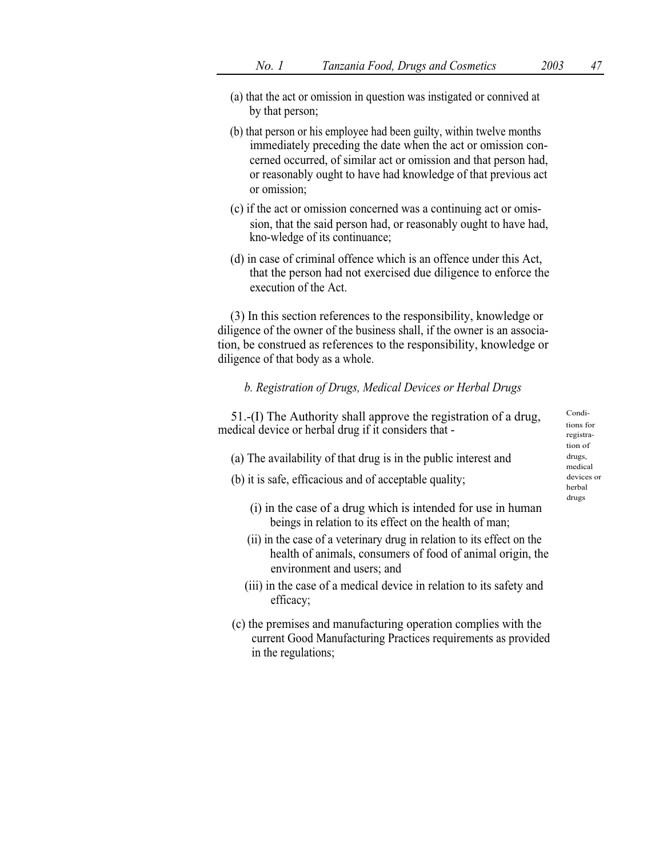- (a) that the act or omission in question was instigated or connived at by that person;
- (b) that person or his employee had been guilty, within twelve months immediately preceding the date when the act or omission concerned occurred, of similar act or omission and that person had, or reasonably ought to have had knowledge of that previous act or omission;
- (c) if the act or omission concerned was a continuing act or omission, that the said person had, or reasonably ought to have had, kno-wledge of its continuance;
- (d) in case of criminal offence which is an offence under this Act, that the person had not exercised due diligence to enforce the execution of the Act.

(3) In this section references to the responsibility, knowledge or diligence of the owner of the business shall, if the owner is an association, be construed as references to the responsibility, knowledge or diligence of that body as a whole.

## b. Registration of Drugs, Medical Devices or Herbal Drugs

51.-(I) The Authority shall approve the registration of a drug,  $\frac{\text{Condi}}{\text{tions for}}$ medical device or herbal drug if it considers that -

- (a) The availability of that drug is in the public interest and  $\frac{drugs}{dt}$
- (b) it is safe, efficacious and of acceptable quality; devices or
	- (i) in the case of a drug which is intended for use in human beings in relation to its effect on the health of man;
	- (ii) in the case of a veterinary drug in relation to its effect on the health of animals, consumers of food of animal origin, the environment and users; and
	- (iii) in the case of a medical device in relation to its safety and efficacy;
- (c) the premises and manufacturing operation complies with the current Good Manufacturing Practices requirements as provided in the regulations;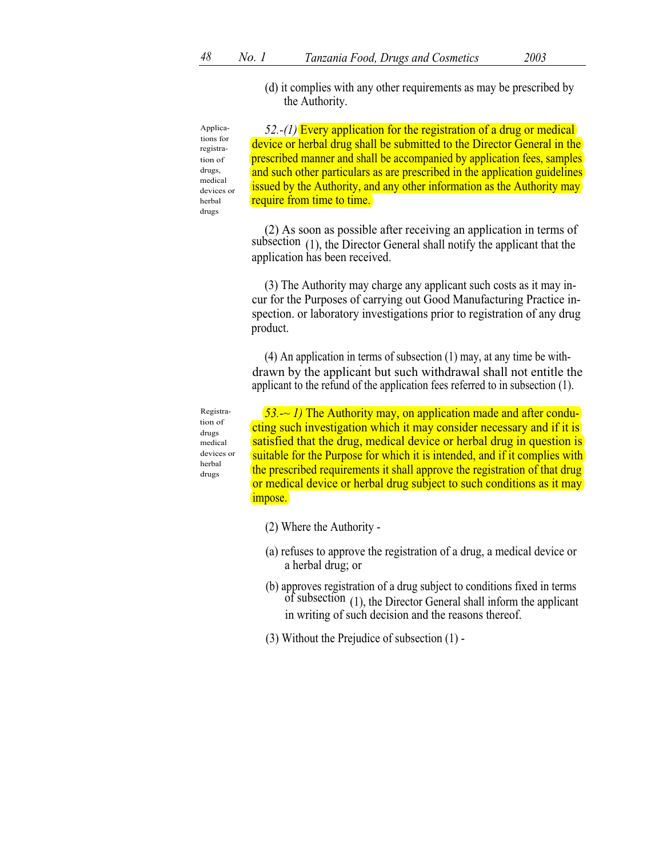(d) it complies with any other requirements as may be prescribed by the Authority.

Applications for registration of drugs, medical devices or herbal drugs

 $52-(1)$  Every application for the registration of a drug or medical device or herbal drug shall be submitted to the Director General in the prescribed manner and shall be accompanied by application fees, samples and such other particulars as are prescribed in the application guidelines issued by the Authority, and any other information as the Authority may require from time to time.

(2) As soon as possible after receiving an application in terms of subsection (1), the Director General shall notify the applicant that the application has been received.

(3) The Authority may charge any applicant such costs as it may incur for the Purposes of carrying out Good Manufacturing Practice inspection. or laboratory investigations prior to registration of any drug product.

(4) An application in terms of subsection  $(1)$  may, at any time be with- drawn by the applicant but such withdrawal shall not entitle the applicant to the refund of the application fees referred to in subsection (1).

Registration of drugs medical devices or herbal drugs

 $53.$   $\sim$  1) The Authority may, on application made and after conducting such investigation which it may consider necessary and if it is satisfied that the drug, medical device or herbal drug in question is suitable for the Purpose for which it is intended, and if it complies with the prescribed requirements it shall approve the registration of that drug or medical device or herbal drug subject to such conditions as it may impose.

- (2) Where the Authority -
- (a) refuses to approve the registration of a drug, a medical device or a herbal drug; or
- (b) approves registration of a drug subject to conditions fixed in terms of subsection (1), the Director General shall inform the applicant in writing of such decision and the reasons thereof.
- (3) Without the Prejudice of subsection (1) -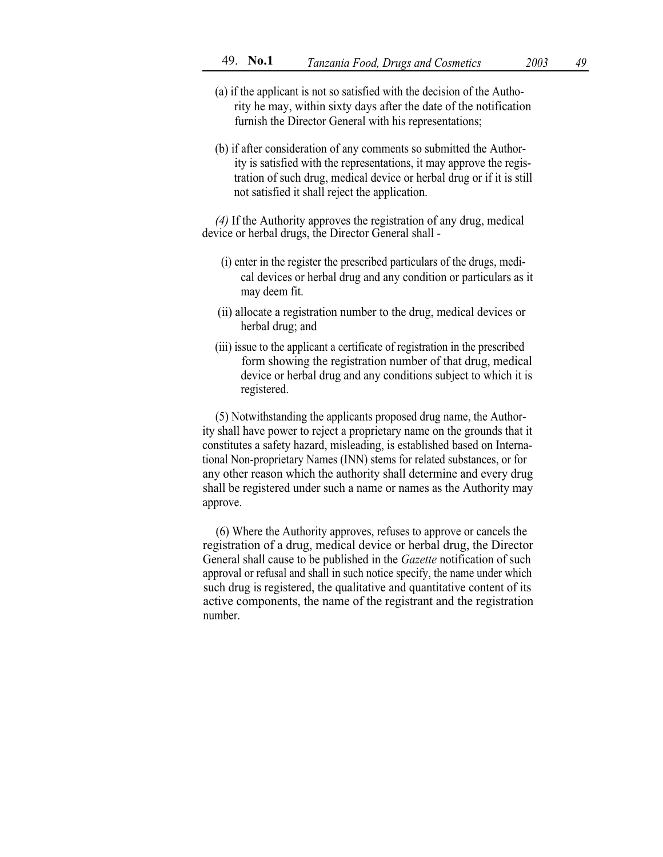- (a) if the applicant is not so satisfied with the decision of the Authority he may, within sixty days after the date of the notification furnish the Director General with his representations;
- (b) if after consideration of any comments so submitted the Authority is satisfied with the representations, it may approve the registration of such drug, medical device or herbal drug or if it is still not satisfied it shall reject the application.

(4) If the Authority approves the registration of any drug, medical device or herbal drugs, the Director General shall -

- (i) enter in the register the prescribed particulars of the drugs, medical devices or herbal drug and any condition or particulars as it may deem fit.
- (ii) allocate a registration number to the drug, medical devices or herbal drug; and
- (iii) issue to the applicant a certificate of registration in the prescribed form showing the registration number of that drug, medical device or herbal drug and any conditions subject to which it is registered.

(5) Notwithstanding the applicants proposed drug name, the Authority shall have power to reject a proprietary name on the grounds that it constitutes a safety hazard, misleading, is established based on International Non-proprietary Names (INN) stems for related substances, or for any other reason which the authority shall determine and every drug shall be registered under such a name or names as the Authority may approve.

(6) Where the Authority approves, refuses to approve or cancels the registration of a drug, medical device or herbal drug, the Director General shall cause to be published in the Gazette notification of such approval or refusal and shall in such notice specify, the name under which such drug is registered, the qualitative and quantitative content of its active components, the name of the registrant and the registration number.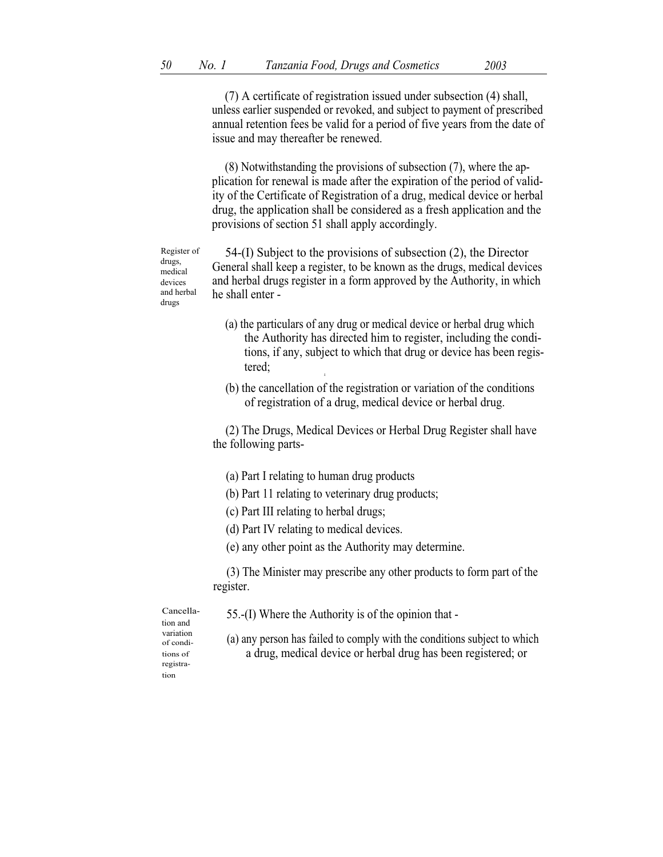(7) A certificate of registration issued under subsection (4) shall, unless earlier suspended or revoked, and subject to payment of prescribed annual retention fees be valid for a period of five years from the date of issue and may thereafter be renewed.

(8) Notwithstanding the provisions of subsection (7), where the application for renewal is made after the expiration of the period of validity of the Certificate of Registration of a drug, medical device or herbal drug, the application shall be considered as a fresh application and the provisions of section 51 shall apply accordingly.

Register of drugs, medical devices and herbal drugs

54-(I) Subject to the provisions of subsection (2), the Director General shall keep a register, to be known as the drugs, medical devices and herbal drugs register in a form approved by the Authority, in which he shall enter -

- (a) the particulars of any drug or medical device or herbal drug which the Authority has directed him to register, including the conditions, if any, subject to which that drug or device has been registered;
- (b) the cancellation of the registration or variation of the conditions of registration of a drug, medical device or herbal drug.

(2) The Drugs, Medical Devices or Herbal Drug Register shall have the following parts-

(a) Part I relating to human drug products

A

- (b) Part 11 relating to veterinary drug products;
- (c) Part III relating to herbal drugs;
- (d) Part IV relating to medical devices.
- (e) any other point as the Authority may determine.

(3) The Minister may prescribe any other products to form part of the register.

of conditions of registration

Cancella-  $55-(I)$  Where the Authority is of the opinion that -

variation (a) any person has failed to comply with the conditions subject to which a drug, medical device or herbal drug has been registered; or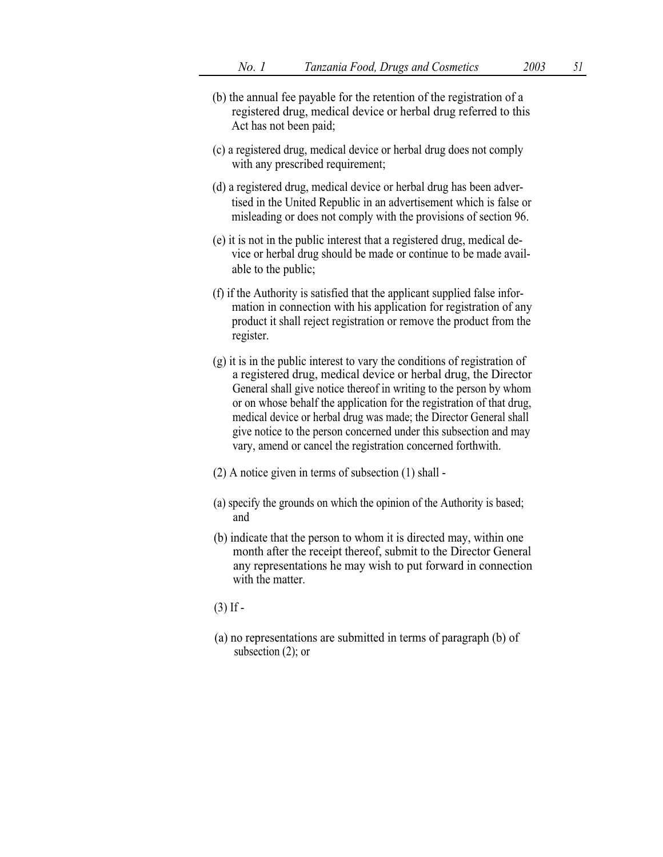- (b) the annual fee payable for the retention of the registration of a registered drug, medical device or herbal drug referred to this Act has not been paid;
- (c) a registered drug, medical device or herbal drug does not comply with any prescribed requirement;
- (d) a registered drug, medical device or herbal drug has been advertised in the United Republic in an advertisement which is false or misleading or does not comply with the provisions of section 96.
- (e) it is not in the public interest that a registered drug, medical device or herbal drug should be made or continue to be made available to the public;
- (f) if the Authority is satisfied that the applicant supplied false information in connection with his application for registration of any product it shall reject registration or remove the product from the register.
- (g) it is in the public interest to vary the conditions of registration of a registered drug, medical device or herbal drug, the Director General shall give notice thereof in writing to the person by whom or on whose behalf the application for the registration of that drug, medical device or herbal drug was made; the Director General shall give notice to the person concerned under this subsection and may vary, amend or cancel the registration concerned forthwith.
- (2) A notice given in terms of subsection (1) shall -
- (a) specify the grounds on which the opinion of the Authority is based; and
- (b) indicate that the person to whom it is directed may, within one month after the receipt thereof, submit to the Director General any representations he may wish to put forward in connection with the matter.
- $(3)$  If  $-$
- (a) no representations are submitted in terms of paragraph (b) of subsection (2); or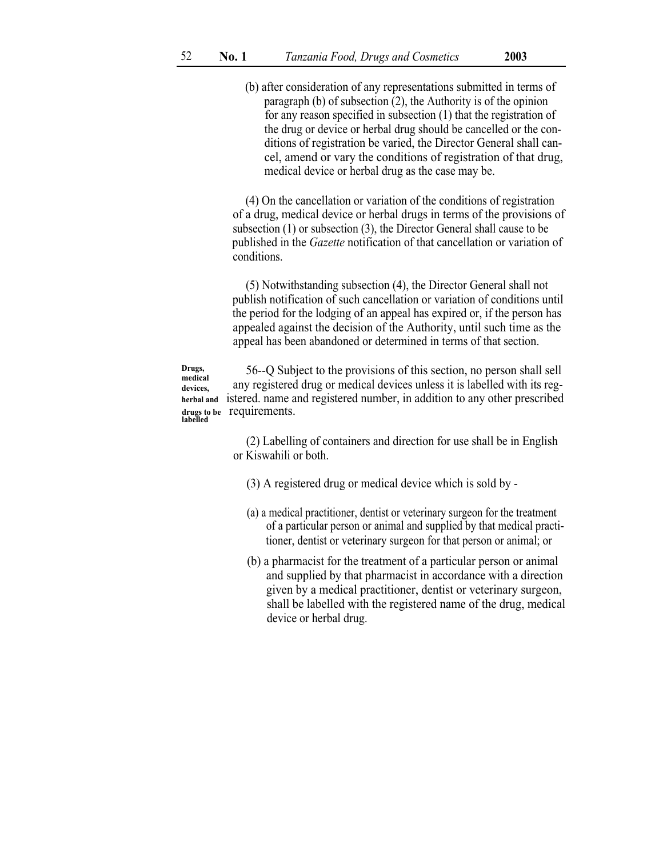(b) after consideration of any representations submitted in terms of paragraph (b) of subsection (2), the Authority is of the opinion for any reason specified in subsection (1) that the registration of the drug or device or herbal drug should be cancelled or the conditions of registration be varied, the Director General shall cancel, amend or vary the conditions of registration of that drug, medical device or herbal drug as the case may be.

(4) On the cancellation or variation of the conditions of registration of a drug, medical device or herbal drugs in terms of the provisions of subsection (1) or subsection (3), the Director General shall cause to be published in the Gazette notification of that cancellation or variation of conditions.

(5) Notwithstanding subsection (4), the Director General shall not publish notification of such cancellation or variation of conditions until the period for the lodging of an appeal has expired or, if the person has appealed against the decision of the Authority, until such time as the appeal has been abandoned or determined in terms of that section.

56--Q Subject to the provisions of this section, no person shall sell any registered drug or medical devices unless it is labelled with its reg-Drugs, medical devices, herbal and istered. name and registered number, in addition to any other prescribed drugs to be requirements. labelled

> (2) Labelling of containers and direction for use shall be in English or Kiswahili or both.

(3) A registered drug or medical device which is sold by -

- (a) a medical practitioner, dentist or veterinary surgeon for the treatment of a particular person or animal and supplied by that medical practitioner, dentist or veterinary surgeon for that person or animal; or
- (b) a pharmacist for the treatment of a particular person or animal and supplied by that pharmacist in accordance with a direction given by a medical practitioner, dentist or veterinary surgeon, shall be labelled with the registered name of the drug, medical device or herbal drug.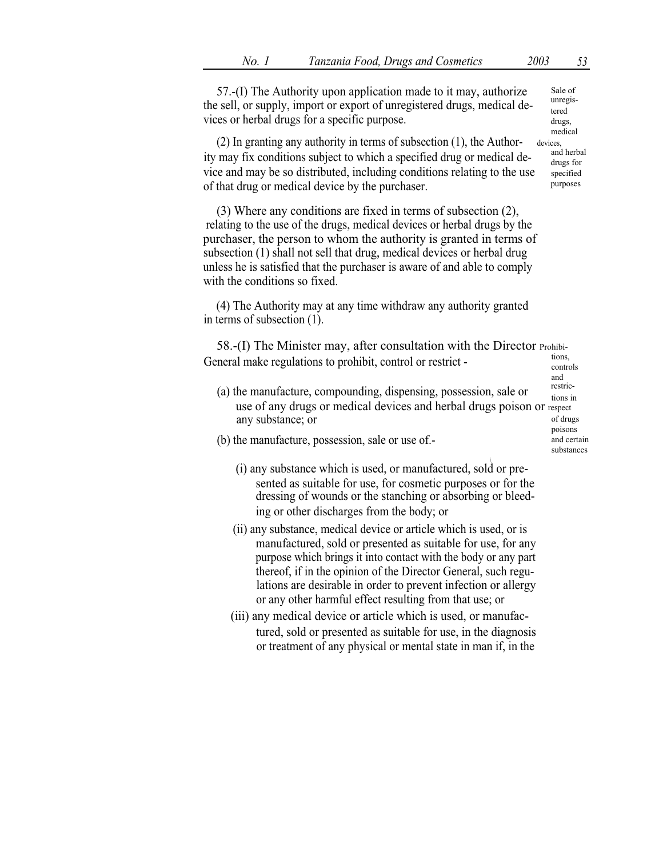57.-(I) The Authority upon application made to it may, authorize the sell, or supply, import or export of unregistered drugs, medical devices or herbal drugs for a specific purpose.

(2) In granting any authority in terms of subsection  $(1)$ , the Author- devices, ity may fix conditions subject to which a specified drug or medical device and may be so distributed, including conditions relating to the use of that drug or medical device by the purchaser.

(3) Where any conditions are fixed in terms of subsection (2), relating to the use of the drugs, medical devices or herbal drugs by the purchaser, the person to whom the authority is granted in terms of subsection (1) shall not sell that drug, medical devices or herbal drug unless he is satisfied that the purchaser is aware of and able to comply with the conditions so fixed.

(4) The Authority may at any time withdraw any authority granted in terms of subsection (1).

58.-(I) The Minister may, after consultation with the Director Prohibi-General make regulations to prohibit, control or restrict -  $\frac{1001}{\text{controls}}$ 

(a) the manufacture, compounding, dispensing, possession, sale or  $\frac{resinc}{tions in}$ use of any drugs or medical devices and herbal drugs poison or respect any substance; or

and<br>restricof drugs poisons and certain substances

- (b) the manufacture, possession, sale or use of.-
	- \ (i) any substance which is used, or manufactured, sold or presented as suitable for use, for cosmetic purposes or for the dressing of wounds or the stanching or absorbing or bleeding or other discharges from the body; or
	- (ii) any substance, medical device or article which is used, or is manufactured, sold or presented as suitable for use, for any purpose which brings it into contact with the body or any part thereof, if in the opinion of the Director General, such regulations are desirable in order to prevent infection or allergy or any other harmful effect resulting from that use; or
	- (iii) any medical device or article which is used, or manufactured, sold or presented as suitable for use, in the diagnosis or treatment of any physical or mental state in man if, in the

Sale of unregistered drugs, medical

drugs for specified purposes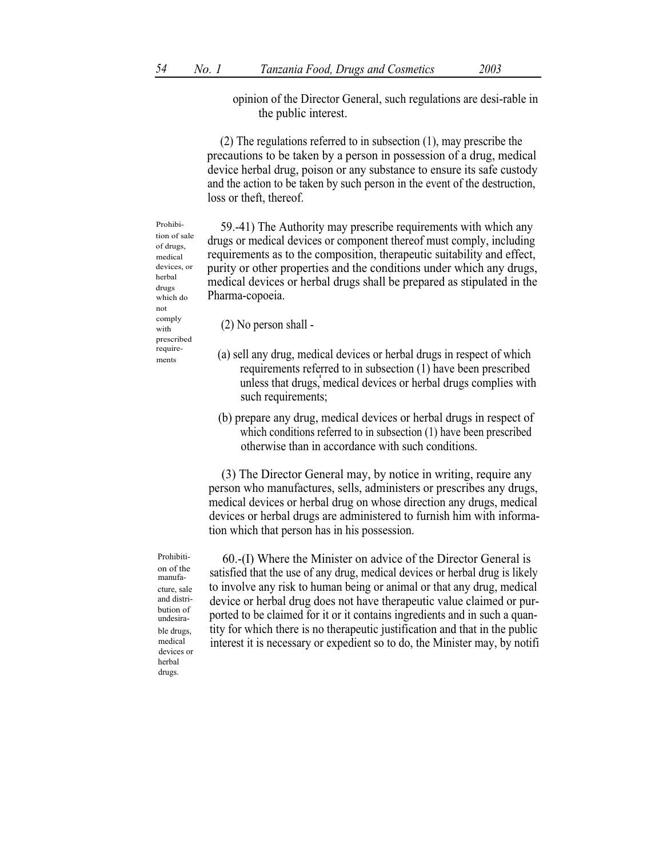opinion of the Director General, such regulations are desi-rable in the public interest.

(2) The regulations referred to in subsection (1), may prescribe the precautions to be taken by a person in possession of a drug, medical device herbal drug, poison or any substance to ensure its safe custody and the action to be taken by such person in the event of the destruction, loss or theft, thereof.

59.-41) The Authority may prescribe requirements with which any drugs or medical devices or component thereof must comply, including requirements as to the composition, therapeutic suitability and effect, purity or other properties and the conditions under which any drugs, medical devices or herbal drugs shall be prepared as stipulated in the Pharma-copoeia.

 $\sum_{\text{with}}$  (2) No person shall -

- require-<br>
(a) sell any drug, medical devices or herbal drugs in respect of which requirements referred to in subsection (1) have been prescribed unless that drugs, medical devices or herbal drugs complies with such requirements;
	- (b) prepare any drug, medical devices or herbal drugs in respect of which conditions referred to in subsection (1) have been prescribed otherwise than in accordance with such conditions.

(3) The Director General may, by notice in writing, require any person who manufactures, sells, administers or prescribes any drugs, medical devices or herbal drug on whose direction any drugs, medical devices or herbal drugs are administered to furnish him with information which that person has in his possession.

Prohibition of the manufacture, sale and distribution of undesirable drugs, medical devices or herbal drugs.

60.-(I) Where the Minister on advice of the Director General is satisfied that the use of any drug, medical devices or herbal drug is likely to involve any risk to human being or animal or that any drug, medical device or herbal drug does not have therapeutic value claimed or purported to be claimed for it or it contains ingredients and in such a quantity for which there is no therapeutic justification and that in the public interest it is necessary or expedient so to do, the Minister may, by notifi

Prohibition of sale of drugs, medical devices or herbal drugs which do not comply prescribed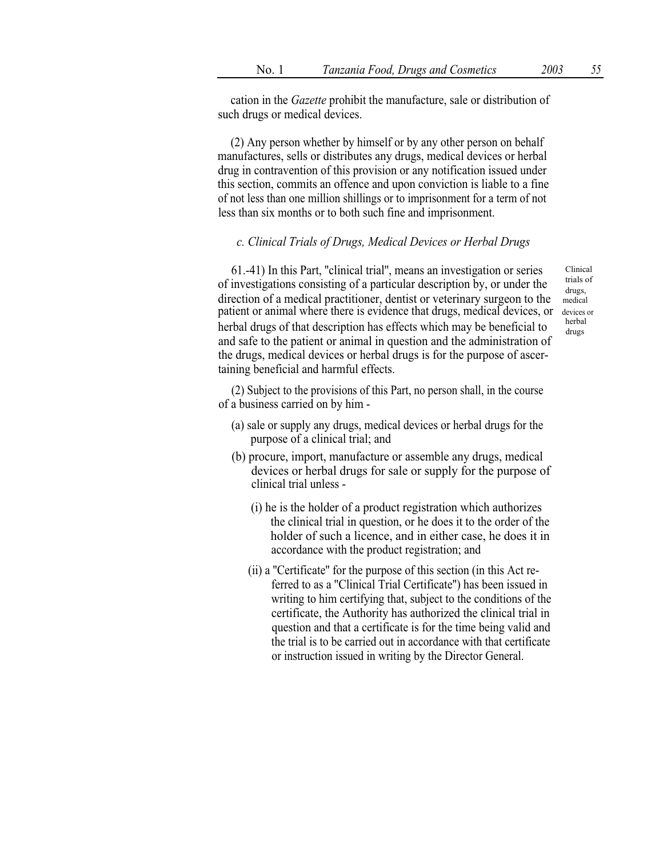cation in the Gazette prohibit the manufacture, sale or distribution of such drugs or medical devices.

(2) Any person whether by himself or by any other person on behalf manufactures, sells or distributes any drugs, medical devices or herbal drug in contravention of this provision or any notification issued under this section, commits an offence and upon conviction is liable to a fine of not less than one million shillings or to imprisonment for a term of not less than six months or to both such fine and imprisonment.

## c. Clinical Trials of Drugs, Medical Devices or Herbal Drugs

61.-41) In this Part, ''clinical trial'', means an investigation or series of investigations consisting of a particular description by, or under the direction of a medical practitioner, dentist or veterinary surgeon to the medical patient or animal where there is evidence that drugs, medical devices, or devices or herbal herbal drugs of that description has effects which may be beneficial to and safe to the patient or animal in question and the administration of the drugs, medical devices or herbal drugs is for the purpose of ascertaining beneficial and harmful effects.

Clinical trials of drugs, drugs

(2) Subject to the provisions of this Part, no person shall, in the course of a business carried on by him -

- (a) sale or supply any drugs, medical devices or herbal drugs for the purpose of a clinical trial; and
- (b) procure, import, manufacture or assemble any drugs, medical devices or herbal drugs for sale or supply for the purpose of clinical trial unless -
	- (i) he is the holder of a product registration which authorizes the clinical trial in question, or he does it to the order of the holder of such a licence, and in either case, he does it in accordance with the product registration; and
	- (ii) a ''Certificate'' for the purpose of this section (in this Act referred to as a ''Clinical Trial Certificate'') has been issued in writing to him certifying that, subject to the conditions of the certificate, the Authority has authorized the clinical trial in question and that a certificate is for the time being valid and the trial is to be carried out in accordance with that certificate or instruction issued in writing by the Director General.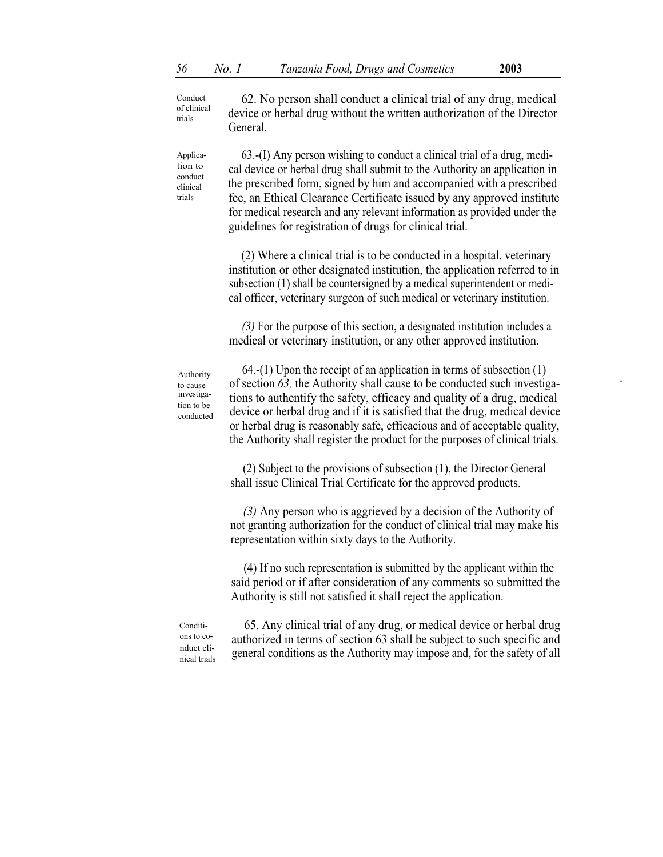A

62. No person shall conduct a clinical trial of any drug, medical device or herbal drug without the written authorization of the Director General. Conduct of clinical trials

63.-(I) Any person wishing to conduct a clinical trial of a drug, medical device or herbal drug shall submit to the Authority an application in the prescribed form, signed by him and accompanied with a prescribed fee, an Ethical Clearance Certificate issued by any approved institute for medical research and any relevant information as provided under the guidelines for registration of drugs for clinical trial.

(2) Where a clinical trial is to be conducted in a hospital, veterinary institution or other designated institution, the application referred to in subsection (1) shall be countersigned by a medical superintendent or medical officer, veterinary surgeon of such medical or veterinary institution.

(3) For the purpose of this section, a designated institution includes a medical or veterinary institution, or any other approved institution.

Authority to cause investigation to be conducted

Application to conduct clinical trials

> 64.-(1) Upon the receipt of an application in terms of subsection (1) of section 63, the Authority shall cause to be conducted such investigations to authentify the safety, efficacy and quality of a drug, medical device or herbal drug and if it is satisfied that the drug, medical device or herbal drug is reasonably safe, efficacious and of acceptable quality, the Authority shall register the product for the purposes of clinical trials.

(2) Subject to the provisions of subsection (1), the Director General shall issue Clinical Trial Certificate for the approved products.

(3) Any person who is aggrieved by a decision of the Authority of not granting authorization for the conduct of clinical trial may make his representation within sixty days to the Authority.

(4) If no such representation is submitted by the applicant within the said period or if after consideration of any comments so submitted the Authority is still not satisfied it shall reject the application.

Conditions to conduct clinical trials

65. Any clinical trial of any drug, or medical device or herbal drug authorized in terms of section 63 shall be subject to such specific and general conditions as the Authority may impose and, for the safety of all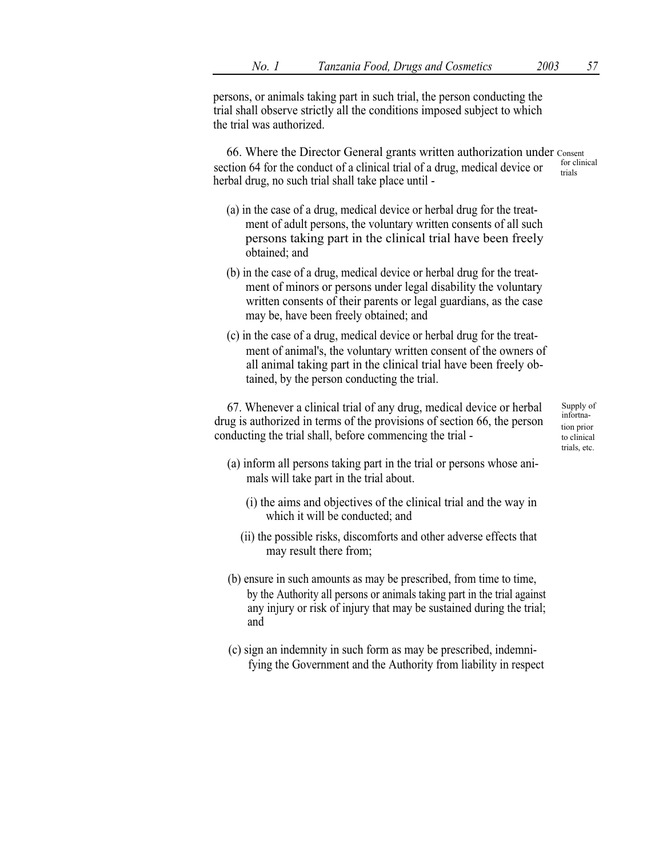persons, or animals taking part in such trial, the person conducting the trial shall observe strictly all the conditions imposed subject to which the trial was authorized.

66. Where the Director General grants written authorization under Consent<br>tion 64 for the senduated foodinized trial of a drug modical device and for clinical section 64 for the conduct of a clinical trial of a drug, medical device or  $\frac{\text{for } \text{cl}}{\text{trials}}$ herbal drug, no such trial shall take place until -

- (a) in the case of a drug, medical device or herbal drug for the treatment of adult persons, the voluntary written consents of all such persons taking part in the clinical trial have been freely obtained; and
- (b) in the case of a drug, medical device or herbal drug for the treatment of minors or persons under legal disability the voluntary written consents of their parents or legal guardians, as the case may be, have been freely obtained; and
- (c) in the case of a drug, medical device or herbal drug for the treatment of animal's, the voluntary written consent of the owners of all animal taking part in the clinical trial have been freely obtained, by the person conducting the trial.

67. Whenever a clinical trial of any drug, medical device or herbal drug is authorized in terms of the provisions of section 66, the person conducting the trial shall, before commencing the trial -

Supply of infortnation prior to clinical trials, etc.

- (a) inform all persons taking part in the trial or persons whose animals will take part in the trial about.
	- (i) the aims and objectives of the clinical trial and the way in which it will be conducted; and
	- (ii) the possible risks, discomforts and other adverse effects that may result there from;
- (b) ensure in such amounts as may be prescribed, from time to time, by the Authority all persons or animals taking part in the trial against any injury or risk of injury that may be sustained during the trial; and
- (c) sign an indemnity in such form as may be prescribed, indemnifying the Government and the Authority from liability in respect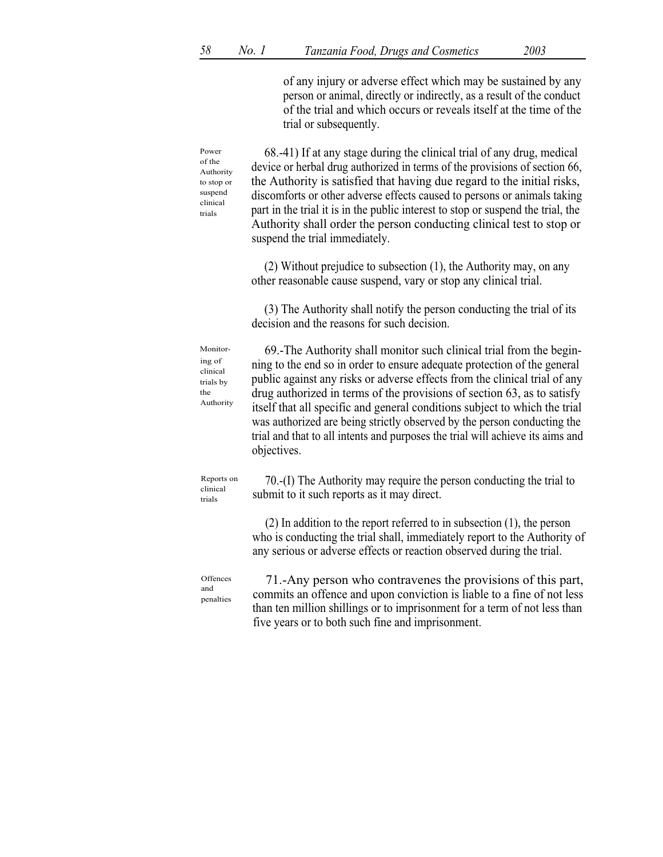|                                                                             | of any injury or adverse effect which may be sustained by any<br>person or animal, directly or indirectly, as a result of the conduct<br>of the trial and which occurs or reveals itself at the time of the<br>trial or subsequently.                                                                                                                                                                                                                                                                                                                              |
|-----------------------------------------------------------------------------|--------------------------------------------------------------------------------------------------------------------------------------------------------------------------------------------------------------------------------------------------------------------------------------------------------------------------------------------------------------------------------------------------------------------------------------------------------------------------------------------------------------------------------------------------------------------|
| Power<br>of the<br>Authority<br>to stop or<br>suspend<br>clinical<br>trials | 68.-41) If at any stage during the clinical trial of any drug, medical<br>device or herbal drug authorized in terms of the provisions of section 66,<br>the Authority is satisfied that having due regard to the initial risks,<br>discomforts or other adverse effects caused to persons or animals taking<br>part in the trial it is in the public interest to stop or suspend the trial, the<br>Authority shall order the person conducting clinical test to stop or<br>suspend the trial immediately.                                                          |
|                                                                             | $(2)$ Without prejudice to subsection $(1)$ , the Authority may, on any<br>other reasonable cause suspend, vary or stop any clinical trial.                                                                                                                                                                                                                                                                                                                                                                                                                        |
|                                                                             | (3) The Authority shall notify the person conducting the trial of its<br>decision and the reasons for such decision.                                                                                                                                                                                                                                                                                                                                                                                                                                               |
| Monitor-<br>ing of<br>clinical<br>trials by<br>the<br>Authority             | 69.-The Authority shall monitor such clinical trial from the begin-<br>ning to the end so in order to ensure adequate protection of the general<br>public against any risks or adverse effects from the clinical trial of any<br>drug authorized in terms of the provisions of section 63, as to satisfy<br>itself that all specific and general conditions subject to which the trial<br>was authorized are being strictly observed by the person conducting the<br>trial and that to all intents and purposes the trial will achieve its aims and<br>objectives. |
| Reports on<br>clinical<br>trials                                            | 70.-(I) The Authority may require the person conducting the trial to<br>submit to it such reports as it may direct.                                                                                                                                                                                                                                                                                                                                                                                                                                                |
|                                                                             | $(2)$ In addition to the report referred to in subsection $(1)$ , the person<br>who is conducting the trial shall, immediately report to the Authority of<br>any serious or adverse effects or reaction observed during the trial.                                                                                                                                                                                                                                                                                                                                 |
| Offences<br>and<br>penalties                                                | 71.-Any person who contravenes the provisions of this part,<br>commits an offence and upon conviction is liable to a fine of not less<br>than ten million shillings or to imprisonment for a term of not less than<br>five years or to both such fine and imprisonment.                                                                                                                                                                                                                                                                                            |
|                                                                             |                                                                                                                                                                                                                                                                                                                                                                                                                                                                                                                                                                    |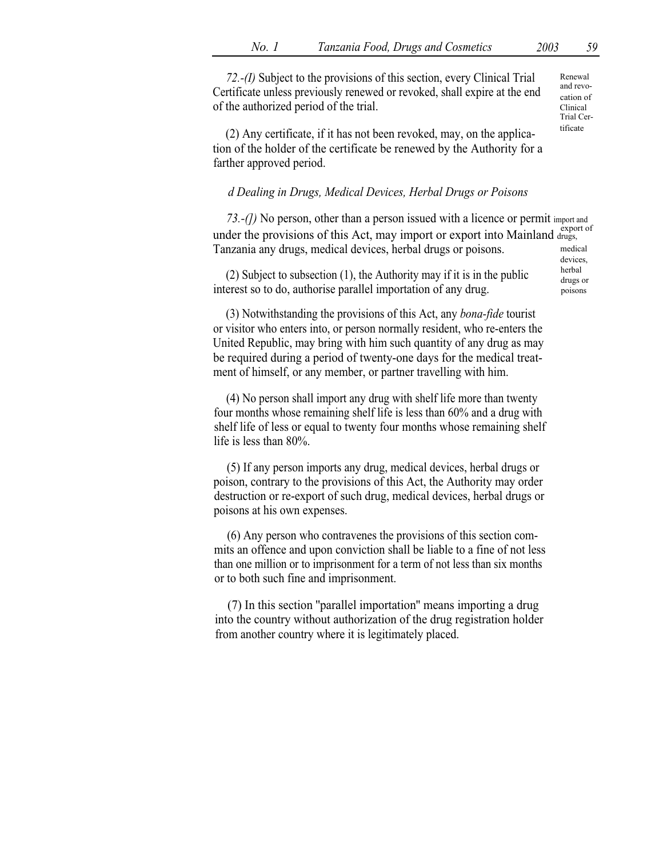72.-(I) Subject to the provisions of this section, every Clinical Trial Certificate unless previously renewed or revoked, shall expire at the end of the authorized period of the trial.

Renewal and revocation of Clinical Trial Cer-

devices,

poisons

 $(2)$  Any certificate, if it has not been revoked, may, on the application of the holder of the certificate be renewed by the Authority for a farther approved period.

# d Dealing in Drugs, Medical Devices, Herbal Drugs or Poisons

73.-(*I*) No person, other than a person issued with a licence or permit import and under the provisions of this Act, may import or export into Mainland drugs, Tanzania any drugs, medical devices, herbal drugs or poisons. medical

(2) Subject to subsection (1), the Authority may if it is in the public  $\frac{\text{herbal}}{\text{drugs or}}$ interest so to do, authorise parallel importation of any drug.

(3) Notwithstanding the provisions of this Act, any bona-fide tourist or visitor who enters into, or person normally resident, who re-enters the United Republic, may bring with him such quantity of any drug as may be required during a period of twenty-one days for the medical treatment of himself, or any member, or partner travelling with him.

(4) No person shall import any drug with shelf life more than twenty four months whose remaining shelf life is less than 60% and a drug with shelf life of less or equal to twenty four months whose remaining shelf life is less than 80%.

(5) If any person imports any drug, medical devices, herbal drugs or poison, contrary to the provisions of this Act, the Authority may order destruction or re-export of such drug, medical devices, herbal drugs or poisons at his own expenses.

(6) Any person who contravenes the provisions of this section commits an offence and upon conviction shall be liable to a fine of not less than one million or to imprisonment for a term of not less than six months or to both such fine and imprisonment.

(7) In this section ''parallel importation'' means importing a drug into the country without authorization of the drug registration holder from another country where it is legitimately placed.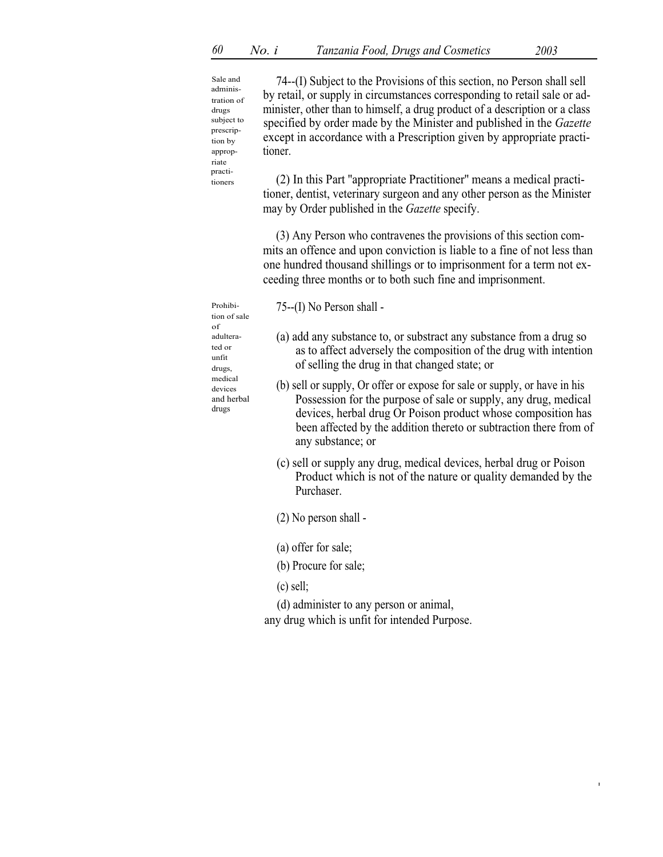I

Sale and administration of drugs subject to prescription by appropriate practi tioners

74--(I) Subject to the Provisions of this section, no Person shall sell by retail, or supply in circumstances corresponding to retail sale or administer, other than to himself, a drug product of a description or a class specified by order made by the Minister and published in the *Gazette* except in accordance with a Prescription given by appropriate practitioner.

(2) In this Part ''appropriate Practitioner'' means a medical practitioner, dentist, veterinary surgeon and any other person as the Minister may by Order published in the *Gazette* specify.

(3) Any Person who contravenes the provisions of this section commits an offence and upon conviction is liable to a fine of not less than one hundred thousand shillings or to imprisonment for a term not exceeding three months or to both such fine and imprisonment.

Prohibi- $75-(I)$  No Person shall -

tion of sale of ted or unfit drugs, medical and herbal drugs

adultera- (a) add any substance to, or substract any substance from a drug so as to affect adversely the composition of the drug with intention of selling the drug in that changed state; or

- devices (b) sell or supply, Or offer or expose for sale or supply, or have in his Possession for the purpose of sale or supply, any drug, medical devices, herbal drug Or Poison product whose composition has been affected by the addition thereto or subtraction there from of any substance; or
	- (c) sell or supply any drug, medical devices, herbal drug or Poison Product which is not of the nature or quality demanded by the Purchaser.
	- (2) No person shall -
	- (a) offer for sale;
	- (b) Procure for sale;
	- (c) sell;

(d) administer to any person or animal,

any drug which is unfit for intended Purpose.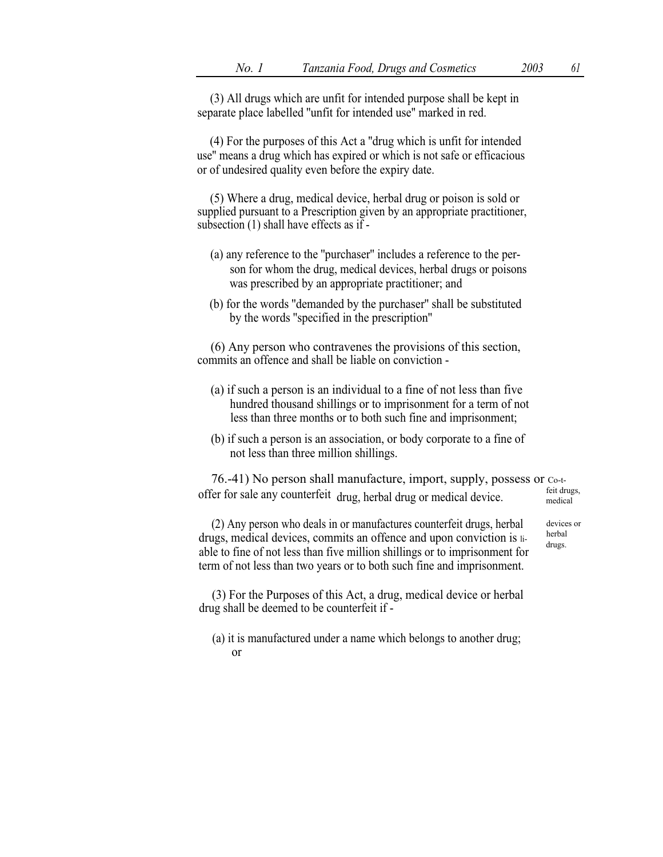(3) All drugs which are unfit for intended purpose shall be kept in separate place labelled ''unfit for intended use'' marked in red.

(4) For the purposes of this Act a ''drug which is unfit for intended use'' means a drug which has expired or which is not safe or efficacious or of undesired quality even before the expiry date.

(5) Where a drug, medical device, herbal drug or poison is sold or supplied pursuant to a Prescription given by an appropriate practitioner, subsection (1) shall have effects as if -

- (a) any reference to the ''purchaser'' includes a reference to the person for whom the drug, medical devices, herbal drugs or poisons was prescribed by an appropriate practitioner; and
- (b) for the words ''demanded by the purchaser'' shall be substituted by the words ''specified in the prescription''

(6) Any person who contravenes the provisions of this section, commits an offence and shall be liable on conviction -

- (a) if such a person is an individual to a fine of not less than five hundred thousand shillings or to imprisonment for a term of not less than three months or to both such fine and imprisonment;
- (b) if such a person is an association, or body corporate to a fine of not less than three million shillings.

76.-41) No person shall manufacture, import, supply, possess or Co-toffer for sale any counterfeit drug, herbal drug or medical device. medical

(2) Any person who deals in or manufactures counterfeit drugs, herbal drugs, medical devices, commits an offence and upon conviction is liable to fine of not less than five million shillings or to imprisonment for term of not less than two years or to both such fine and imprisonment.

(3) For the Purposes of this Act, a drug, medical device or herbal drug shall be deemed to be counterfeit if -

(a) it is manufactured under a name which belongs to another drug; or

devices or herbal drugs.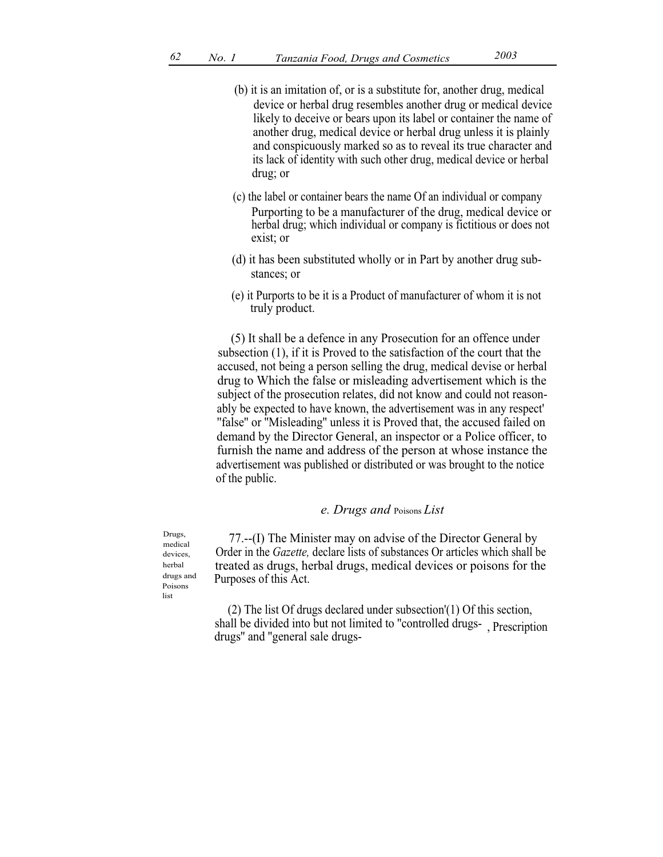- (b) it is an imitation of, or is a substitute for, another drug, medical device or herbal drug resembles another drug or medical device likely to deceive or bears upon its label or container the name of another drug, medical device or herbal drug unless it is plainly and conspicuously marked so as to reveal its true character and its lack of identity with such other drug, medical device or herbal drug; or
- (c) the label or container bears the name Of an individual or company Purporting to be a manufacturer of the drug, medical device or herbal drug; which individual or company is fictitious or does not exist; or
- (d) it has been substituted wholly or in Part by another drug substances; or
- (e) it Purports to be it is a Product of manufacturer of whom it is not truly product.

(5) It shall be a defence in any Prosecution for an offence under subsection (1), if it is Proved to the satisfaction of the court that the accused, not being a person selling the drug, medical devise or herbal drug to Which the false or misleading advertisement which is the subject of the prosecution relates, did not know and could not reasonably be expected to have known, the advertisement was in any respect' ''false'' or ''Misleading'' unless it is Proved that, the accused failed on demand by the Director General, an inspector or a Police officer, to furnish the name and address of the person at whose instance the advertisement was published or distributed or was brought to the notice of the public.

## e. Drugs and Poisons List

 $D_{\text{rugs}}$ ,  $77$ .--(I) The Minister may on advise of the Director General by Order in the Gazette, declare lists of substances Or articles which shall be treated as drugs, herbal drugs, medical devices or poisons for the Purposes of this Act.

> (2) The list Of drugs declared under subsection'(1) Of this section, shall be divided into but not limited to ''controlled drugs-drugs'' and ''general sale drugs- , Prescription

medical devices, herbal drugs and Poisons list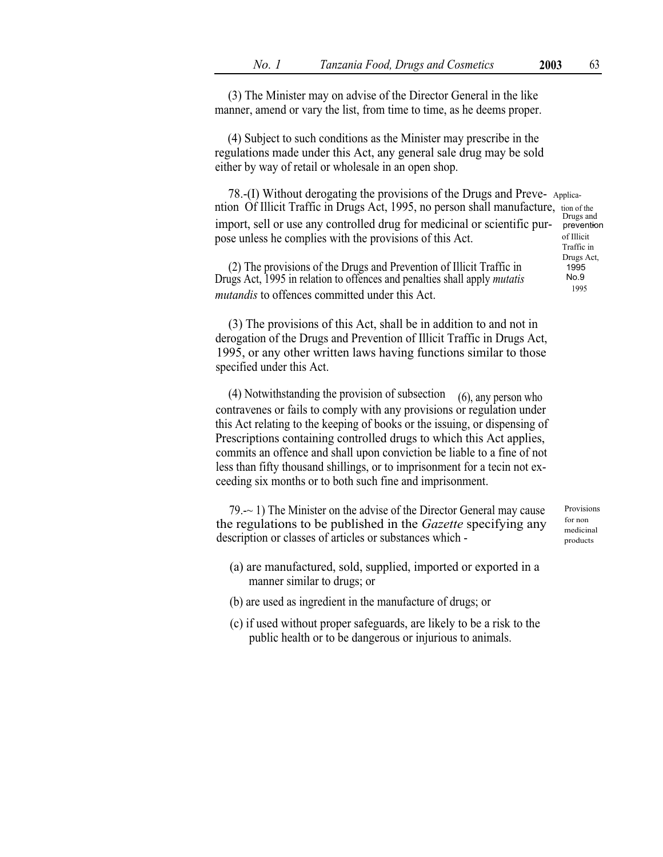(3) The Minister may on advise of the Director General in the like manner, amend or vary the list, from time to time, as he deems proper.

(4) Subject to such conditions as the Minister may prescribe in the regulations made under this Act, any general sale drug may be sold either by way of retail or wholesale in an open shop.

78.-(I) Without derogating the provisions of the Drugs and Preve- Applicantion Of Illicit Traffic in Drugs Act, 1995, no person shall manufacture, tion of the import, sell or use any controlled drug for medicinal or scientific pur-<br>nose unless be complies with the provisions of this Act pose unless he complies with the provisions of this Act.

(2) The provisions of the Drugs and Prevention of Illicit Traffic in Drugs Act, 1995 in relation to offences and penalties shall apply mutatis mutandis to offences committed under this Act.

(3) The provisions of this Act, shall be in addition to and not in derogation of the Drugs and Prevention of Illicit Traffic in Drugs Act, 1995, or any other written laws having functions similar to those specified under this Act.

(4) Notwithstanding the provision of subsection  $(6)$ , any person who contravenes or fails to comply with any provisions or regulation under this Act relating to the keeping of books or the issuing, or dispensing of Prescriptions containing controlled drugs to which this Act applies, commits an offence and shall upon conviction be liable to a fine of not less than fifty thousand shillings, or to imprisonment for a tecin not exceeding six months or to both such fine and imprisonment.

79.-~ 1) The Minister on the advise of the Director General may cause the regulations to be published in the *Gazette* specifying any description or classes of articles or substances which -

- (a) are manufactured, sold, supplied, imported or exported in a manner similar to drugs; or
- (b) are used as ingredient in the manufacture of drugs; or
- (c) if used without proper safeguards, are likely to be a risk to the public health or to be dangerous or injurious to animals.

Provisions for non medicinal products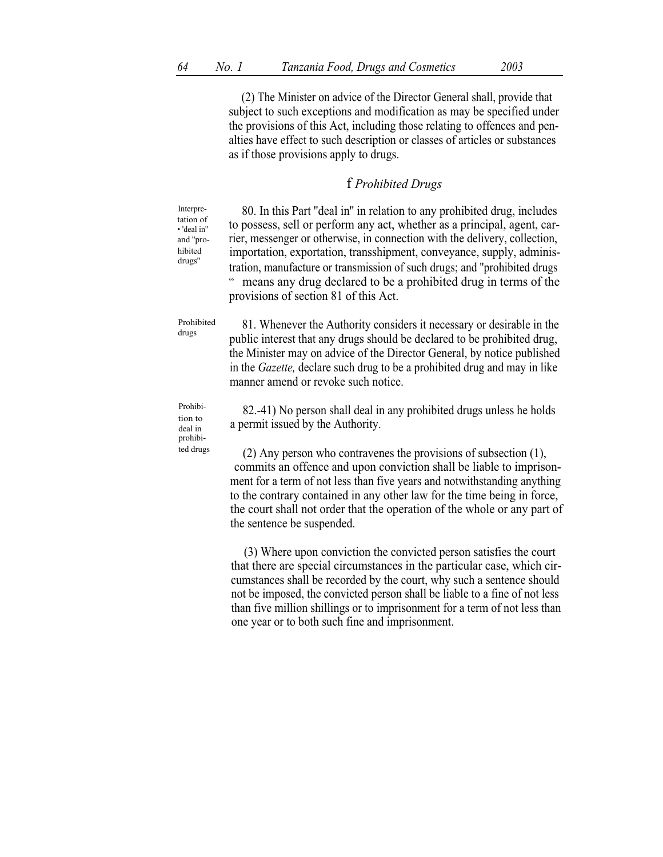(2) The Minister on advice of the Director General shall, provide that subject to such exceptions and modification as may be specified under the provisions of this Act, including those relating to offences and penalties have effect to such description or classes of articles or substances as if those provisions apply to drugs.

# f Prohibited Drugs

80. In this Part ''deal in'' in relation to any prohibited drug, includes to possess, sell or perform any act, whether as a principal, agent, carrier, messenger or otherwise, in connection with the delivery, collection, importation, exportation, transshipment, conveyance, supply, administration, manufacture or transmission of such drugs; and "prohibited drugs means any drug declared to be a prohibited drug in terms of the provisions of section 81 of this Act. 66

81. Whenever the Authority considers it necessary or desirable in the public interest that any drugs should be declared to be prohibited drug, the Minister may on advice of the Director General, by notice published in the Gazette, declare such drug to be a prohibited drug and may in like manner amend or revoke such notice. Prohibited drugs

Prohibi- 82.-41) No person shall deal in any prohibited drugs unless he holds a permit issued by the Authority. deal in

ted drugs (2) Any person who contravenes the provisions of subsection  $(1)$ , commits an offence and upon conviction shall be liable to imprisonment for a term of not less than five years and notwithstanding anything to the contrary contained in any other law for the time being in force, the court shall not order that the operation of the whole or any part of the sentence be suspended.

> (3) Where upon conviction the convicted person satisfies the court that there are special circumstances in the particular case, which circumstances shall be recorded by the court, why such a sentence should not be imposed, the convicted person shall be liable to a fine of not less than five million shillings or to imprisonment for a term of not less than one year or to both such fine and imprisonment.

Interpretation of 'deal in'' and ''prohibited

prohibi-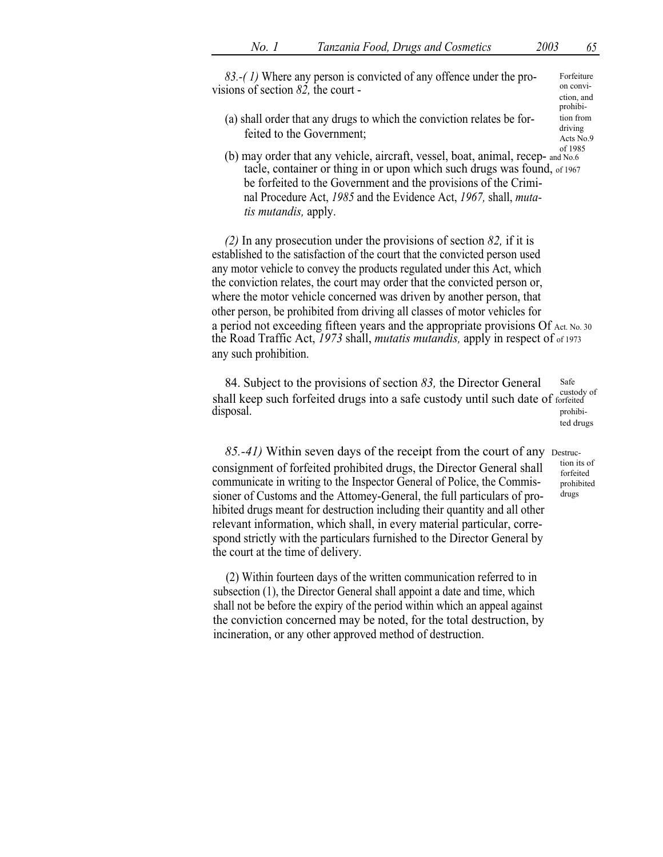83.-(1) Where any person is convicted of any offence under the provisions of section 82, the court -

(a) shall order that any drugs to which the conviction relates be forfeited to the Government;

Acts No.9<br>of 1985 (b) may order that any vehicle, aircraft, vessel, boat, animal, recep- and  $N_{0.6}$ tacle, container or thing in or upon which such drugs was found, of 1967 be forfeited to the Government and the provisions of the Criminal Procedure Act, 1985 and the Evidence Act, 1967, shall, mutatis mutandis, apply.

(2) In any prosecution under the provisions of section 82, if it is established to the satisfaction of the court that the convicted person used any motor vehicle to convey the products regulated under this Act, which the conviction relates, the court may order that the convicted person or, where the motor vehicle concerned was driven by another person, that other person, be prohibited from driving all classes of motor vehicles for a period not exceeding fifteen years and the appropriate provisions Of Act. No. 30 the Road Traffic Act, 1973 shall, mutatis mutandis, apply in respect of of 1973 any such prohibition.

84. Subject to the provisions of section  $83$ , the Director General Safe section of  $\frac{1}{2}$ shall keep such forfeited drugs into a safe custody until such date of forfeited disposal. disposal. The prohibited drugs

 $85.-41)$  Within seven days of the receipt from the court of any Destrucconsignment of forfeited prohibited drugs, the Director General shall communicate in writing to the Inspector General of Police, the Commissioner of Customs and the Attomey-General, the full particulars of prohibited drugs meant for destruction including their quantity and all other relevant information, which shall, in every material particular, correspond strictly with the particulars furnished to the Director General by the court at the time of delivery.

(2) Within fourteen days of the written communication referred to in subsection (1), the Director General shall appoint a date and time, which shall not be before the expiry of the period within which an appeal against the conviction concerned may be noted, for the total destruction, by incineration, or any other approved method of destruction.

Forfeiture on conviction, and prohibi-

tion from driving

forfeited prohibited drugs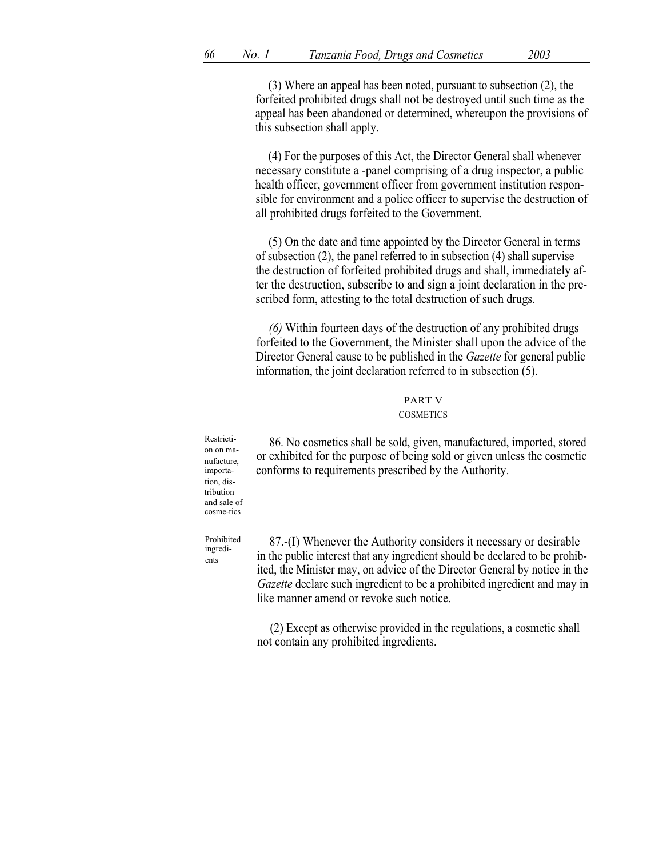(3) Where an appeal has been noted, pursuant to subsection (2), the forfeited prohibited drugs shall not be destroyed until such time as the appeal has been abandoned or determined, whereupon the provisions of this subsection shall apply.

(4) For the purposes of this Act, the Director General shall whenever necessary constitute a -panel comprising of a drug inspector, a public health officer, government officer from government institution responsible for environment and a police officer to supervise the destruction of all prohibited drugs forfeited to the Government.

(5) On the date and time appointed by the Director General in terms of subsection (2), the panel referred to in subsection (4) shall supervise the destruction of forfeited prohibited drugs and shall, immediately after the destruction, subscribe to and sign a joint declaration in the prescribed form, attesting to the total destruction of such drugs.

(6) Within fourteen days of the destruction of any prohibited drugs forfeited to the Government, the Minister shall upon the advice of the Director General cause to be published in the *Gazette* for general public information, the joint declaration referred to in subsection (5).

#### PART V COSMETICS

on on manufacture, importation, distribution and sale of cosme-tics

Restricti- 86. No cosmetics shall be sold, given, manufactured, imported, stored or exhibited for the purpose of being sold or given unless the cosmetic conforms to requirements prescribed by the Authority.

Prohibited ingredients

87.-(I) Whenever the Authority considers it necessary or desirable in the public interest that any ingredient should be declared to be prohibited, the Minister may, on advice of the Director General by notice in the Gazette declare such ingredient to be a prohibited ingredient and may in like manner amend or revoke such notice.

(2) Except as otherwise provided in the regulations, a cosmetic shall not contain any prohibited ingredients.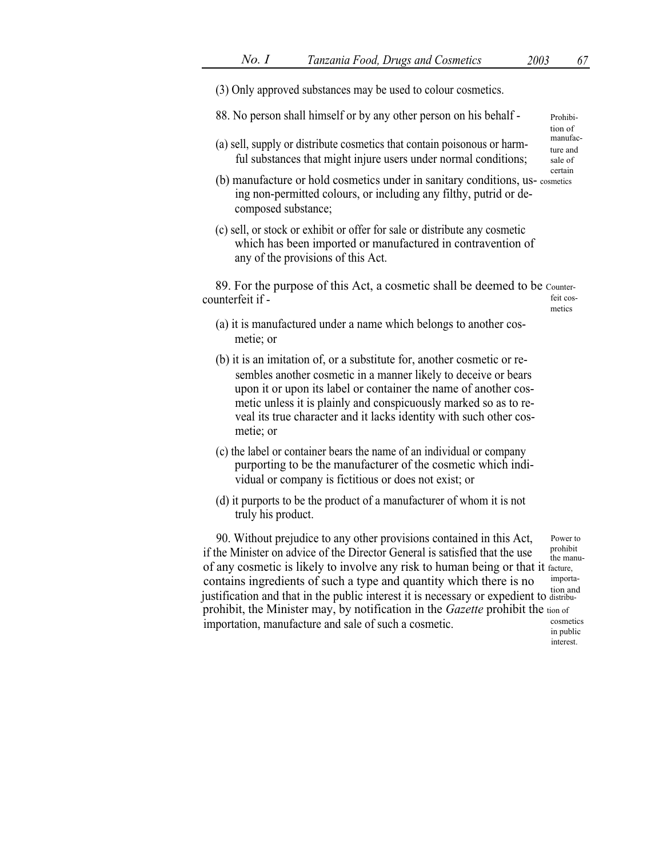(3) Only approved substances may be used to colour cosmetics. 88. No person shall himself or by any other person on his behalf - Prohibition of (a) sell, supply or distribute cosmetics that contain poisonous or harm- $\frac{1}{2}$ ful substances that might injure users under normal conditions; ture and sale of certain (b) manufacture or hold cosmetics under in sanitary conditions, us- cosmetics ing non-permitted colours, or including any filthy, putrid or decomposed substance; (c) sell, or stock or exhibit or offer for sale or distribute any cosmetic which has been imported or manufactured in contravention of any of the provisions of this Act. 89. For the purpose of this Act, a cosmetic shall be deemed to be Countercounterfeit if - feit cosmetics (a) it is manufactured under a name which belongs to another cosmetie; or (b) it is an imitation of, or a substitute for, another cosmetic or resembles another cosmetic in a manner likely to deceive or bears upon it or upon its label or container the name of another cosmetic unless it is plainly and conspicuously marked so as to reveal its true character and it lacks identity with such other cosmetie; or (c) the label or container bears the name of an individual or company purporting to be the manufacturer of the cosmetic which individual or company is fictitious or does not exist; or (d) it purports to be the product of a manufacturer of whom it is not truly his product. 90. Without prejudice to any other provisions contained in this Act, if the Minister on advice of the Director General is satisfied that the use Power to prohibit the manuof any cosmetic is likely to involve any risk to human being or that it facture, contains ingredients of such a type and quantity which there is no<br>justification and that in the public interest it is necessary or expedient to distribu-

prohibit, the Minister may, by notification in the Gazette prohibit the tion of importation, manufacture and sale of such a cosmetic.  $\sum_{\text{in public}}^{\text{cosmetics}}$ interest.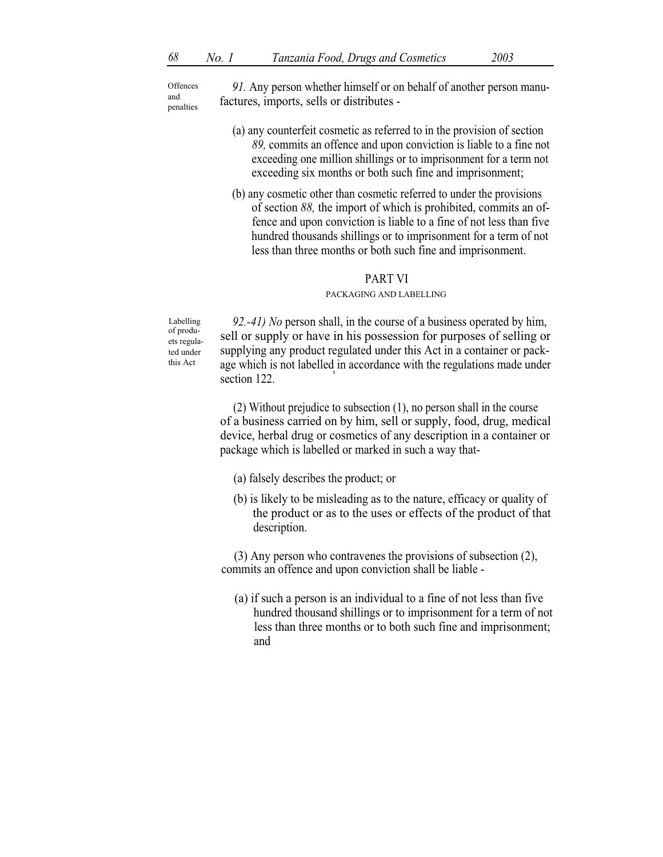**Offences** and penalties

91. Any person whether himself or on behalf of another person manufactures, imports, sells or distributes -

- (a) any counterfeit cosmetic as referred to in the provision of section 89, commits an offence and upon conviction is liable to a fine not exceeding one million shillings or to imprisonment for a term not exceeding six months or both such fine and imprisonment;
- (b) any cosmetic other than cosmetic referred to under the provisions of section 88, the import of which is prohibited, commits an offence and upon conviction is liable to a fine of not less than five hundred thousands shillings or to imprisonment for a term of not less than three months or both such fine and imprisonment.

## PART VI

#### PACKAGING AND LABELLING

Labelling of produets regulated under this Act

92.-41) No person shall, in the course of a business operated by him, sell or supply or have in his possession for purposes of selling or supplying any product regulated under this Act in a container or package which is not labelled in accordance with the regulations made under section 122.

(2) Without prejudice to subsection (1), no person shall in the course of a business carried on by him, sell or supply, food, drug, medical device, herbal drug or cosmetics of any description in a container or package which is labelled or marked in such a way that-

- (a) falsely describes the product; or
- (b) is likely to be misleading as to the nature, efficacy or quality of the product or as to the uses or effects of the product of that description.

(3) Any person who contravenes the provisions of subsection (2), commits an offence and upon conviction shall be liable -

(a) if such a person is an individual to a fine of not less than five hundred thousand shillings or to imprisonment for a term of not less than three months or to both such fine and imprisonment; and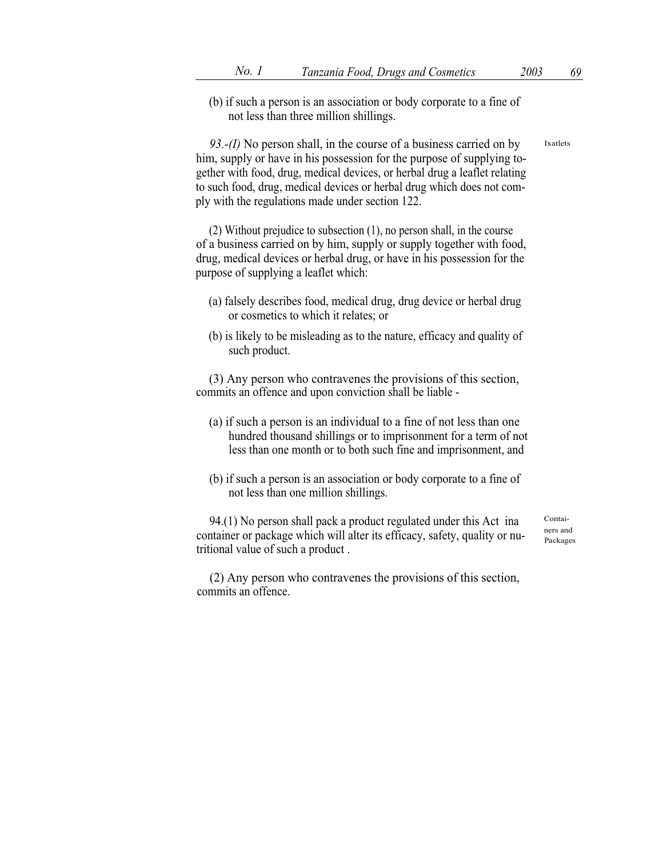(b) if such a person is an association or body corporate to a fine of not less than three million shillings.

93.-(I) No person shall, in the course of a business carried on by him, supply or have in his possession for the purpose of supplying together with food, drug, medical devices, or herbal drug a leaflet relating to such food, drug, medical devices or herbal drug which does not comply with the regulations made under section 122.

(2) Without prejudice to subsection (1), no person shall, in the course of a business carried on by him, supply or supply together with food, drug, medical devices or herbal drug, or have in his possession for the purpose of supplying a leaflet which:

- (a) falsely describes food, medical drug, drug device or herbal drug or cosmetics to which it relates; or
- (b) is likely to be misleading as to the nature, efficacy and quality of such product.

(3) Any person who contravenes the provisions of this section, commits an offence and upon conviction shall be liable -

- (a) if such a person is an individual to a fine of not less than one hundred thousand shillings or to imprisonment for a term of not less than one month or to both such fine and imprisonment, and
- (b) if such a person is an association or body corporate to a fine of not less than one million shillings.

94.(1) No person shall pack a product regulated under this Act ina container or package which will alter its efficacy, safety, quality or nutritional value of such a product .

Containers and Packages

(2) Any person who contravenes the provisions of this section, commits an offence.

Ixatlets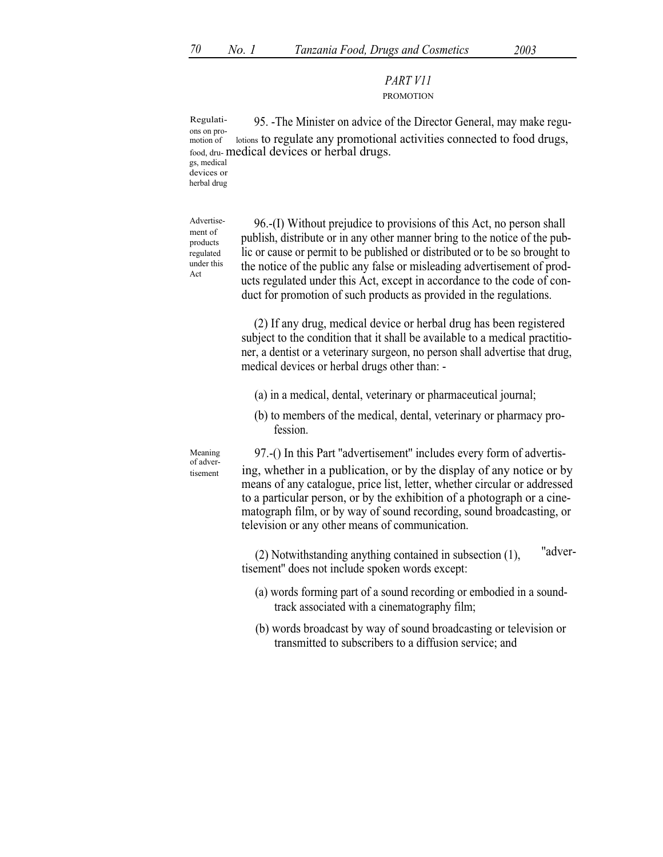# PART V11 PROMOTION

Regulati- 95. -The Minister on advice of the Director General, may make reguons on promotion of lotions to regulate any promotional activities connected to food drugs, food, dru- medical devices or herbal drugs. gs, medical devices or herbal drug

Advertisement of products regulated under this Act

tisement

96.-(I) Without prejudice to provisions of this Act, no person shall publish, distribute or in any other manner bring to the notice of the public or cause or permit to be published or distributed or to be so brought to the notice of the public any false or misleading advertisement of products regulated under this Act, except in accordance to the code of conduct for promotion of such products as provided in the regulations.

(2) If any drug, medical device or herbal drug has been registered subject to the condition that it shall be available to a medical practitioner, a dentist or a veterinary surgeon, no person shall advertise that drug, medical devices or herbal drugs other than: -

- (a) in a medical, dental, veterinary or pharmaceutical journal;
- (b) to members of the medical, dental, veterinary or pharmacy profession.

Meaning 97.-() In this Part "advertisement" includes every form of advertising, whether in a publication, or by the display of any notice or by means of any catalogue, price list, letter, whether circular or addressed to a particular person, or by the exhibition of a photograph or a cinematograph film, or by way of sound recording, sound broadcasting, or television or any other means of communication.

> (2) Notwithstanding anything contained in subsection  $(1)$ , "advertisement'' does not include spoken words except:

- (a) words forming part of a sound recording or embodied in a soundtrack associated with a cinematography film;
- (b) words broadcast by way of sound broadcasting or television or transmitted to subscribers to a diffusion service; and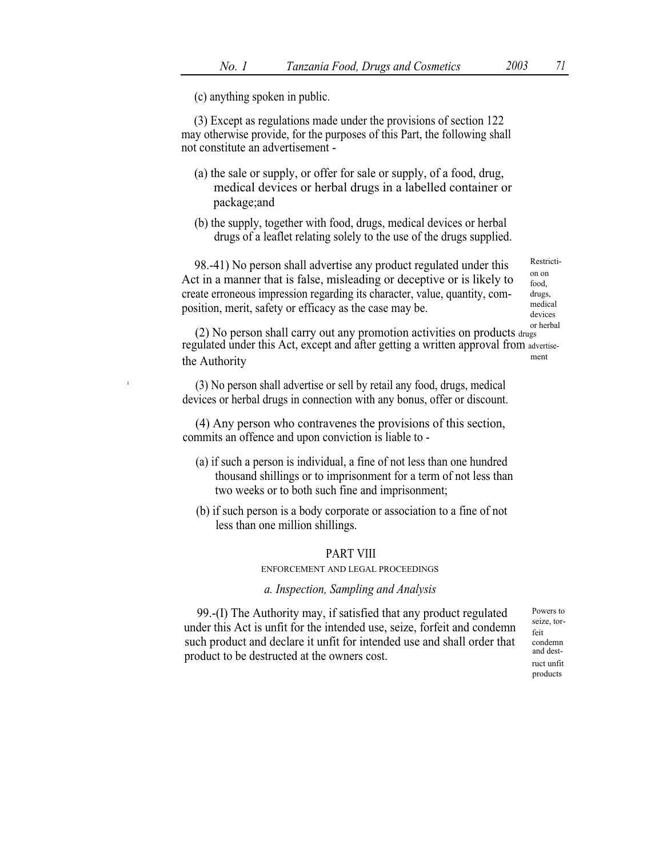(c) anything spoken in public.

I

(3) Except as regulations made under the provisions of section 122 may otherwise provide, for the purposes of this Part, the following shall not constitute an advertisement -

- (a) the sale or supply, or offer for sale or supply, of a food, drug, medical devices or herbal drugs in a labelled container or package;and
- (b) the supply, together with food, drugs, medical devices or herbal drugs of a leaflet relating solely to the use of the drugs supplied.

98.-41) No person shall advertise any product regulated under this Restricti-Act in a manner that is false, misleading or deceptive or is likely to create erroneous impression regarding its character, value, quantity, composition, merit, safety or efficacy as the case may be.

on on food, drugs, medical devices

or herbal (2) No person shall carry out any promotion activities on products drugs regulated under this Act, except and after getting a written approval from advertisethe Authority ment

(3) No person shall advertise or sell by retail any food, drugs, medical devices or herbal drugs in connection with any bonus, offer or discount.

(4) Any person who contravenes the provisions of this section, commits an offence and upon conviction is liable to -

- (a) if such a person is individual, a fine of not less than one hundred thousand shillings or to imprisonment for a term of not less than two weeks or to both such fine and imprisonment;
- (b) if such person is a body corporate or association to a fine of not less than one million shillings.

## PART VIII

ENFORCEMENT AND LEGAL PROCEEDINGS

## a. Inspection, Sampling and Analysis

99.-(I) The Authority may, if satisfied that any product regulated under this Act is unfit for the intended use, seize, forfeit and condemn such product and declare it unfit for intended use and shall order that product to be destructed at the owners cost.

Powers to seize, torfeit condemn and destruct unfit products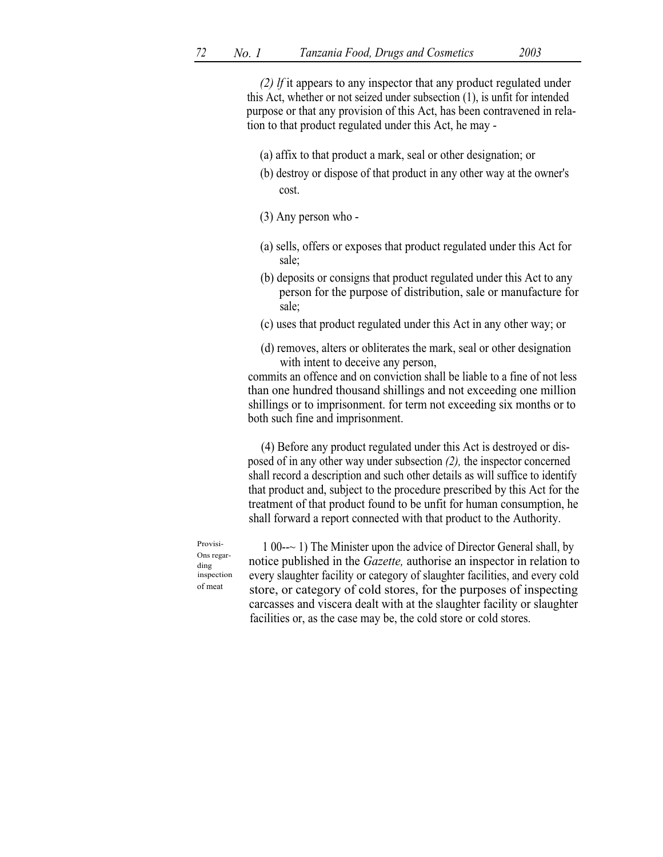(2) lf it appears to any inspector that any product regulated under this Act, whether or not seized under subsection (1), is unfit for intended purpose or that any provision of this Act, has been contravened in relation to that product regulated under this Act, he may -

- (a) affix to that product a mark, seal or other designation; or
- (b) destroy or dispose of that product in any other way at the owner's cost.
- (3) Any person who -
- (a) sells, offers or exposes that product regulated under this Act for sale;
- (b) deposits or consigns that product regulated under this Act to any person for the purpose of distribution, sale or manufacture for sale;
- (c) uses that product regulated under this Act in any other way; or
- (d) removes, alters or obliterates the mark, seal or other designation with intent to deceive any person,

commits an offence and on conviction shall be liable to a fine of not less than one hundred thousand shillings and not exceeding one million shillings or to imprisonment. for term not exceeding six months or to both such fine and imprisonment.

(4) Before any product regulated under this Act is destroyed or disposed of in any other way under subsection (2), the inspector concerned shall record a description and such other details as will suffice to identify that product and, subject to the procedure prescribed by this Act for the treatment of that product found to be unfit for human consumption, he shall forward a report connected with that product to the Authority.

Provisi-Ons regarding inspection of meat

1 00--~ 1) The Minister upon the advice of Director General shall, by notice published in the Gazette, authorise an inspector in relation to every slaughter facility or category of slaughter facilities, and every cold store, or category of cold stores, for the purposes of inspecting carcasses and viscera dealt with at the slaughter facility or slaughter facilities or, as the case may be, the cold store or cold stores.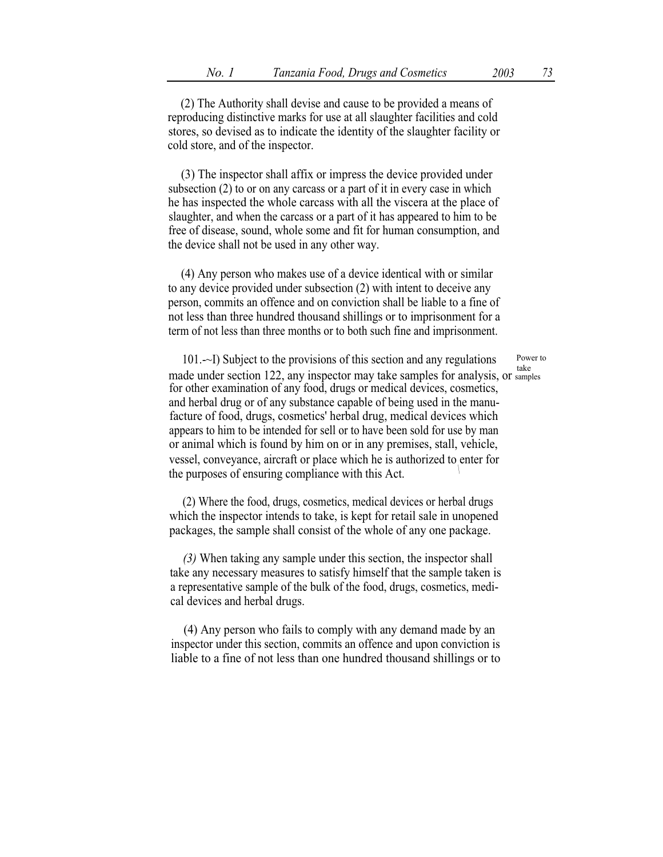(2) The Authority shall devise and cause to be provided a means of reproducing distinctive marks for use at all slaughter facilities and cold stores, so devised as to indicate the identity of the slaughter facility or cold store, and of the inspector.

(3) The inspector shall affix or impress the device provided under subsection (2) to or on any carcass or a part of it in every case in which he has inspected the whole carcass with all the viscera at the place of slaughter, and when the carcass or a part of it has appeared to him to be free of disease, sound, whole some and fit for human consumption, and the device shall not be used in any other way.

(4) Any person who makes use of a device identical with or similar to any device provided under subsection (2) with intent to deceive any person, commits an offence and on conviction shall be liable to a fine of not less than three hundred thousand shillings or to imprisonment for a term of not less than three months or to both such fine and imprisonment.

101. $-$ I) Subject to the provisions of this section and any regulations Power to take made under section 122, any inspector may take samples for analysis, or samples for other examination of any food, drugs or medical devices, cosmetics, and herbal drug or of any substance capable of being used in the manufacture of food, drugs, cosmetics' herbal drug, medical devices which appears to him to be intended for sell or to have been sold for use by man or animal which is found by him on or in any premises, stall, vehicle, vessel, conveyance, aircraft or place which he is authorized to enter for \ the purposes of ensuring compliance with this Act.

(2) Where the food, drugs, cosmetics, medical devices or herbal drugs which the inspector intends to take, is kept for retail sale in unopened packages, the sample shall consist of the whole of any one package.

(3) When taking any sample under this section, the inspector shall take any necessary measures to satisfy himself that the sample taken is a representative sample of the bulk of the food, drugs, cosmetics, medical devices and herbal drugs.

(4) Any person who fails to comply with any demand made by an inspector under this section, commits an offence and upon conviction is liable to a fine of not less than one hundred thousand shillings or to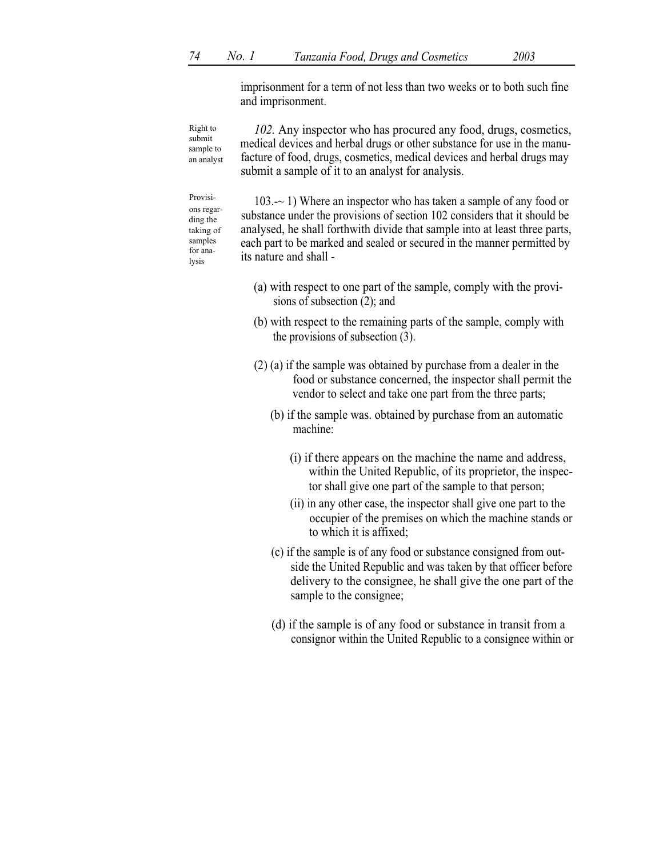lysis

imprisonment for a term of not less than two weeks or to both such fine and imprisonment.

102. Any inspector who has procured any food, drugs, cosmetics, medical devices and herbal drugs or other substance for use in the manufacture of food, drugs, cosmetics, medical devices and herbal drugs may submit a sample of it to an analyst for analysis. Right to submit sample to an analyst

Provisi- 103. $\sim$  1) Where an inspector who has taken a sample of any food or substance under the provisions of section 102 considers that it should be analysed, he shall forthwith divide that sample into at least three parts, each part to be marked and sealed or secured in the manner permitted by its nature and shall ons regarding the taking of samples for ana-

- (a) with respect to one part of the sample, comply with the provisions of subsection (2); and
- (b) with respect to the remaining parts of the sample, comply with the provisions of subsection (3).
- (2) (a) if the sample was obtained by purchase from a dealer in the food or substance concerned, the inspector shall permit the vendor to select and take one part from the three parts;
	- (b) if the sample was. obtained by purchase from an automatic machine:
		- (i) if there appears on the machine the name and address, within the United Republic, of its proprietor, the inspector shall give one part of the sample to that person;
		- (ii) in any other case, the inspector shall give one part to the occupier of the premises on which the machine stands or to which it is affixed;
	- (c) if the sample is of any food or substance consigned from outside the United Republic and was taken by that officer before delivery to the consignee, he shall give the one part of the sample to the consignee;
	- (d) if the sample is of any food or substance in transit from a consignor within the United Republic to a consignee within or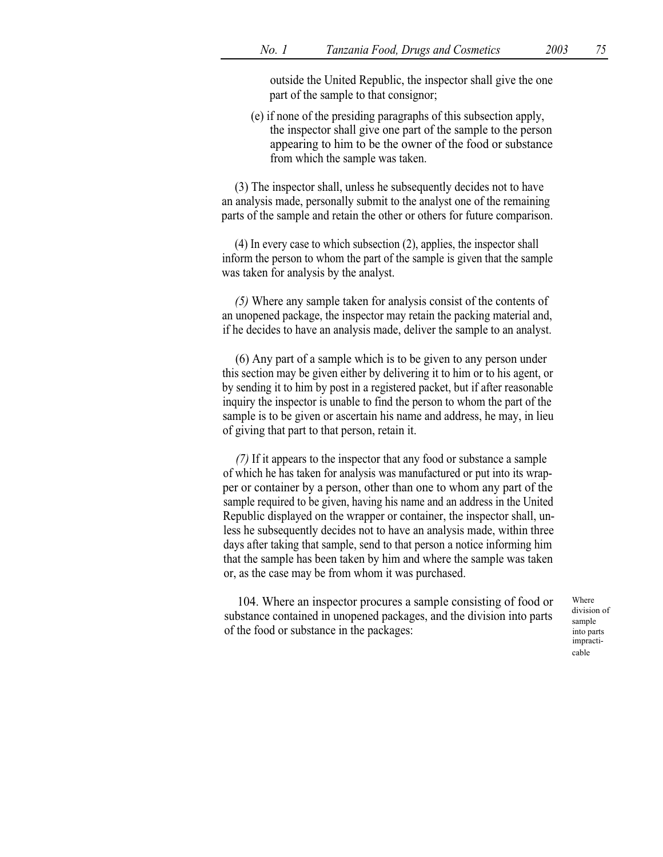outside the United Republic, the inspector shall give the one part of the sample to that consignor;

(e) if none of the presiding paragraphs of this subsection apply, the inspector shall give one part of the sample to the person appearing to him to be the owner of the food or substance from which the sample was taken.

(3) The inspector shall, unless he subsequently decides not to have an analysis made, personally submit to the analyst one of the remaining parts of the sample and retain the other or others for future comparison.

(4) In every case to which subsection (2), applies, the inspector shall inform the person to whom the part of the sample is given that the sample was taken for analysis by the analyst.

(5) Where any sample taken for analysis consist of the contents of an unopened package, the inspector may retain the packing material and, if he decides to have an analysis made, deliver the sample to an analyst.

(6) Any part of a sample which is to be given to any person under this section may be given either by delivering it to him or to his agent, or by sending it to him by post in a registered packet, but if after reasonable inquiry the inspector is unable to find the person to whom the part of the sample is to be given or ascertain his name and address, he may, in lieu of giving that part to that person, retain it.

(7) If it appears to the inspector that any food or substance a sample of which he has taken for analysis was manufactured or put into its wrapper or container by a person, other than one to whom any part of the sample required to be given, having his name and an address in the United Republic displayed on the wrapper or container, the inspector shall, unless he subsequently decides not to have an analysis made, within three days after taking that sample, send to that person a notice informing him that the sample has been taken by him and where the sample was taken or, as the case may be from whom it was purchased.

104. Where an inspector procures a sample consisting of food or substance contained in unopened packages, and the division into parts of the food or substance in the packages:

Where division of sample into parts impracticable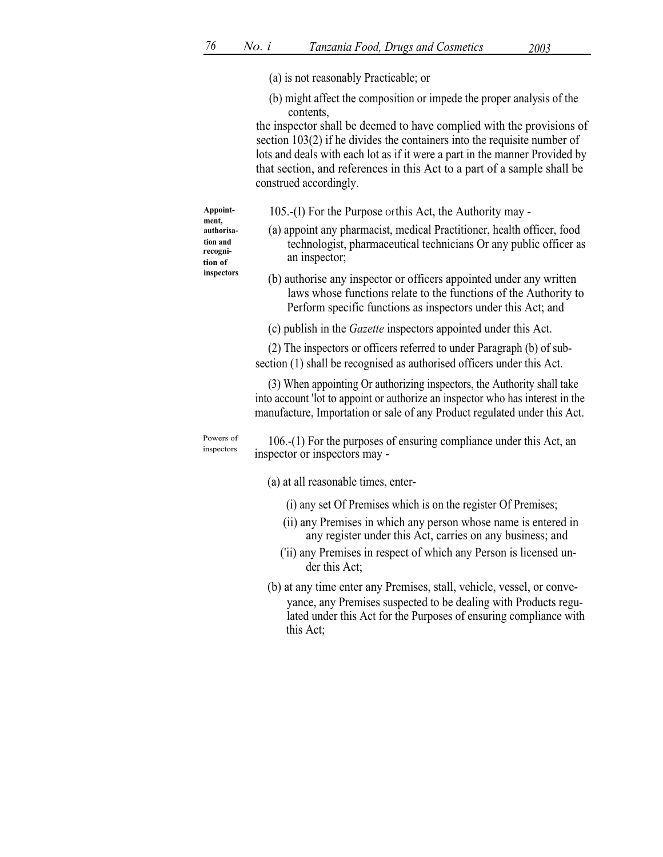(a) is not reasonably Practicable; or

(b) might affect the composition or impede the proper analysis of the contents,

the inspector shall be deemed to have complied with the provisions of section 103(2) if he divides the containers into the requisite number of lots and deals with each lot as if it were a part in the manner Provided by that section, and references in this Act to a part of a sample shall be construed accordingly.

Appoint  $105$ .-(I) For the Purpose of this Act, the Authority may authorisa- (a) appoint any pharmacist, medical Practitioner, health officer, food technologist, pharmaceutical technicians Or any public officer as an inspector; inspectors (b) authorise any inspector or officers appointed under any written laws whose functions relate to the functions of the Authority to Perform specific functions as inspectors under this Act; and (c) publish in the Gazette inspectors appointed under this Act. (2) The inspectors or officers referred to under Paragraph (b) of subsection (1) shall be recognised as authorised officers under this Act. (3) When appointing Or authorizing inspectors, the Authority shall take into account 'lot to appoint or authorize an inspector who has interest in the manufacture, Importation or sale of any Product regulated under this Act. 106.-(1) For the purposes of ensuring compliance under this Act, an inspector or inspectors may -

(a) at all reasonable times, enter-

- (i) any set Of Premises which is on the register Of Premises;
- (ii) any Premises in which any person whose name is entered in any register under this Act, carries on any business; and
- ('ii) any Premises in respect of which any Person is licensed under this Act;
- (b) at any time enter any Premises, stall, vehicle, vessel, or conveyance, any Premises suspected to be dealing with Products regulated under this Act for the Purposes of ensuring compliance with this Act;

```
ment,
tion and
recogni-
tion of
```

```
Powers of
inspectors
```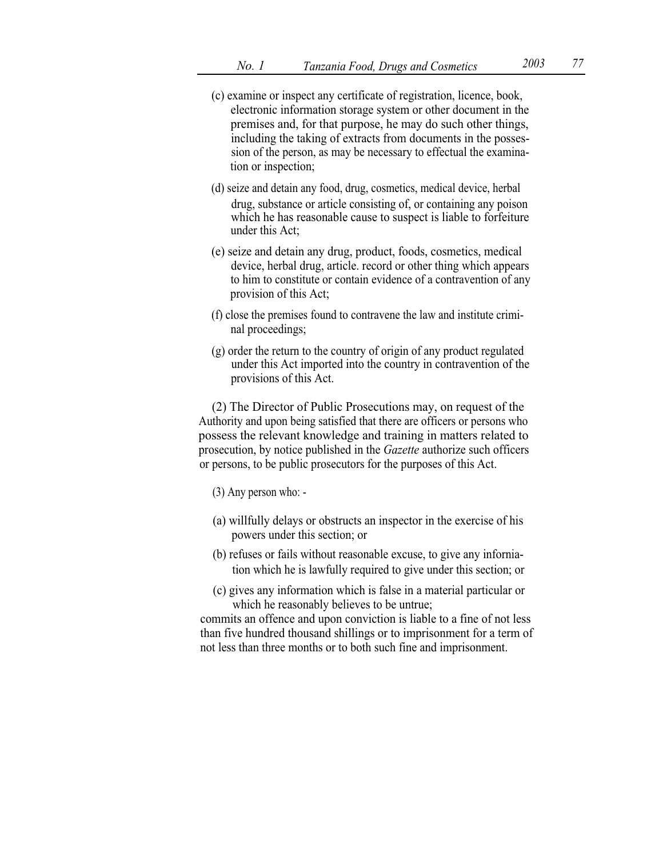- (c) examine or inspect any certificate of registration, licence, book, electronic information storage system or other document in the premises and, for that purpose, he may do such other things, including the taking of extracts from documents in the possession of the person, as may be necessary to effectual the examination or inspection;
- (d) seize and detain any food, drug, cosmetics, medical device, herbal drug, substance or article consisting of, or containing any poison which he has reasonable cause to suspect is liable to forfeiture under this Act;
- (e) seize and detain any drug, product, foods, cosmetics, medical device, herbal drug, article. record or other thing which appears to him to constitute or contain evidence of a contravention of any provision of this Act;
- (f) close the premises found to contravene the law and institute criminal proceedings;
- (g) order the return to the country of origin of any product regulated under this Act imported into the country in contravention of the provisions of this Act.

(2) The Director of Public Prosecutions may, on request of the Authority and upon being satisfied that there are officers or persons who possess the relevant knowledge and training in matters related to prosecution, by notice published in the *Gazette* authorize such officers or persons, to be public prosecutors for the purposes of this Act.

- (3) Any person who: -
- (a) willfully delays or obstructs an inspector in the exercise of his powers under this section; or
- (b) refuses or fails without reasonable excuse, to give any inforniation which he is lawfully required to give under this section; or
- (c) gives any information which is false in a material particular or which he reasonably believes to be untrue;

commits an offence and upon conviction is liable to a fine of not less than five hundred thousand shillings or to imprisonment for a term of not less than three months or to both such fine and imprisonment.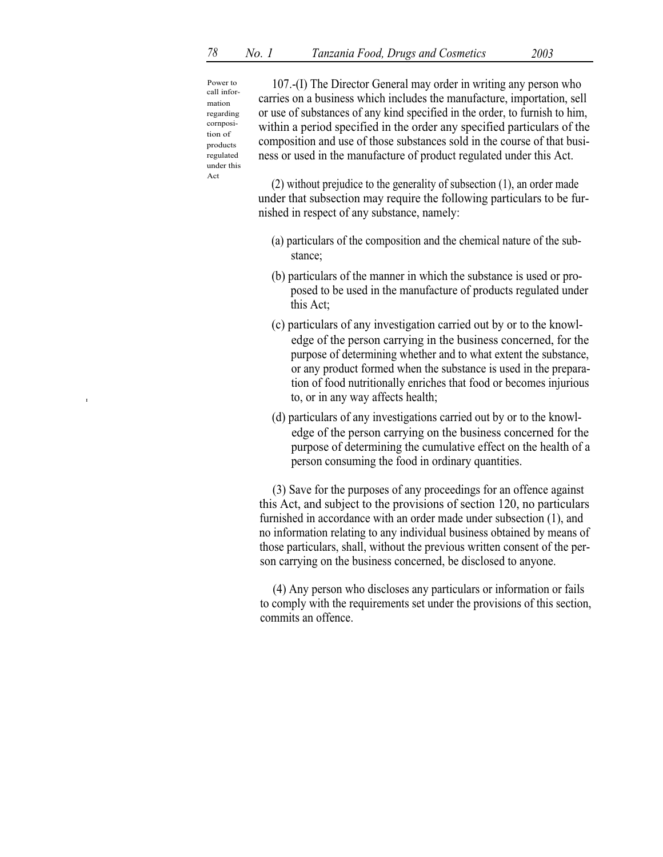Power to call information regarding cornposition of products regulated under this Act

107.-(I) The Director General may order in writing any person who carries on a business which includes the manufacture, importation, sell or use of substances of any kind specified in the order, to furnish to him, within a period specified in the order any specified particulars of the composition and use of those substances sold in the course of that business or used in the manufacture of product regulated under this Act.

(2) without prejudice to the generality of subsection (1), an order made under that subsection may require the following particulars to be furnished in respect of any substance, namely:

- (a) particulars of the composition and the chemical nature of the substance;
- (b) particulars of the manner in which the substance is used or proposed to be used in the manufacture of products regulated under this Act;
- (c) particulars of any investigation carried out by or to the knowledge of the person carrying in the business concerned, for the purpose of determining whether and to what extent the substance, or any product formed when the substance is used in the preparation of food nutritionally enriches that food or becomes injurious  $\alpha$  to, or in any way affects health;
	- (d) particulars of any investigations carried out by or to the knowledge of the person carrying on the business concerned for the purpose of determining the cumulative effect on the health of a person consuming the food in ordinary quantities.

(3) Save for the purposes of any proceedings for an offence against this Act, and subject to the provisions of section 120, no particulars furnished in accordance with an order made under subsection (1), and no information relating to any individual business obtained by means of those particulars, shall, without the previous written consent of the person carrying on the business concerned, be disclosed to anyone.

(4) Any person who discloses any particulars or information or fails to comply with the requirements set under the provisions of this section, commits an offence.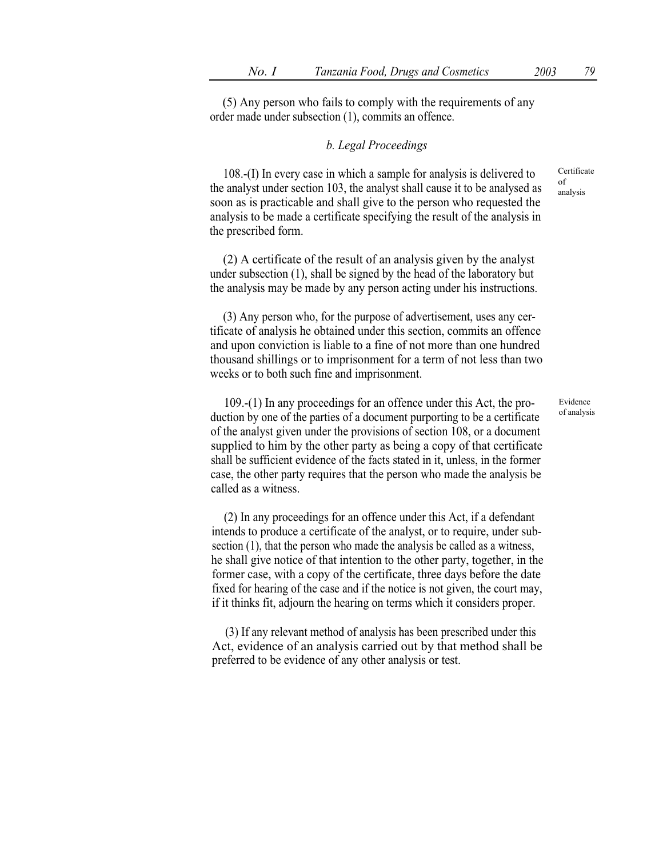(5) Any person who fails to comply with the requirements of any order made under subsection (1), commits an offence.

## b. Legal Proceedings

108.-(I) In every case in which a sample for analysis is delivered to the analyst under section 103, the analyst shall cause it to be analysed as soon as is practicable and shall give to the person who requested the analysis to be made a certificate specifying the result of the analysis in the prescribed form.

(2) A certificate of the result of an analysis given by the analyst under subsection (1), shall be signed by the head of the laboratory but the analysis may be made by any person acting under his instructions.

(3) Any person who, for the purpose of advertisement, uses any certificate of analysis he obtained under this section, commits an offence and upon conviction is liable to a fine of not more than one hundred thousand shillings or to imprisonment for a term of not less than two weeks or to both such fine and imprisonment.

109.-(1) In any proceedings for an offence under this Act, the production by one of the parties of a document purporting to be a certificate of the analyst given under the provisions of section 108, or a document supplied to him by the other party as being a copy of that certificate shall be sufficient evidence of the facts stated in it, unless, in the former case, the other party requires that the person who made the analysis be called as a witness.

(2) In any proceedings for an offence under this Act, if a defendant intends to produce a certificate of the analyst, or to require, under subsection (1), that the person who made the analysis be called as a witness, he shall give notice of that intention to the other party, together, in the former case, with a copy of the certificate, three days before the date fixed for hearing of the case and if the notice is not given, the court may, if it thinks fit, adjourn the hearing on terms which it considers proper.

(3) If any relevant method of analysis has been prescribed under this Act, evidence of an analysis carried out by that method shall be preferred to be evidence of any other analysis or test.

Certificate of analysis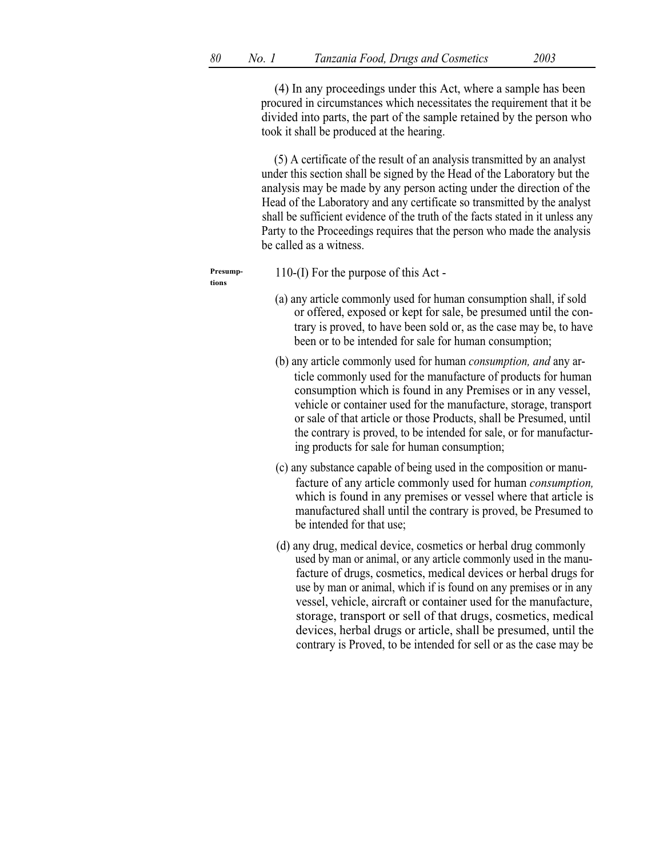(4) In any proceedings under this Act, where a sample has been procured in circumstances which necessitates the requirement that it be divided into parts, the part of the sample retained by the person who took it shall be produced at the hearing.

(5) A certificate of the result of an analysis transmitted by an analyst under this section shall be signed by the Head of the Laboratory but the analysis may be made by any person acting under the direction of the Head of the Laboratory and any certificate so transmitted by the analyst shall be sufficient evidence of the truth of the facts stated in it unless any Party to the Proceedings requires that the person who made the analysis be called as a witness.

tions

 $P$ resump- $110-(I)$  For the purpose of this Act -

- (a) any article commonly used for human consumption shall, if sold or offered, exposed or kept for sale, be presumed until the contrary is proved, to have been sold or, as the case may be, to have been or to be intended for sale for human consumption;
- (b) any article commonly used for human consumption, and any article commonly used for the manufacture of products for human consumption which is found in any Premises or in any vessel, vehicle or container used for the manufacture, storage, transport or sale of that article or those Products, shall be Presumed, until the contrary is proved, to be intended for sale, or for manufacturing products for sale for human consumption;
- (c) any substance capable of being used in the composition or manufacture of any article commonly used for human consumption, which is found in any premises or vessel where that article is manufactured shall until the contrary is proved, be Presumed to be intended for that use;
- (d) any drug, medical device, cosmetics or herbal drug commonly used by man or animal, or any article commonly used in the manufacture of drugs, cosmetics, medical devices or herbal drugs for use by man or animal, which if is found on any premises or in any vessel, vehicle, aircraft or container used for the manufacture, storage, transport or sell of that drugs, cosmetics, medical devices, herbal drugs or article, shall be presumed, until the contrary is Proved, to be intended for sell or as the case may be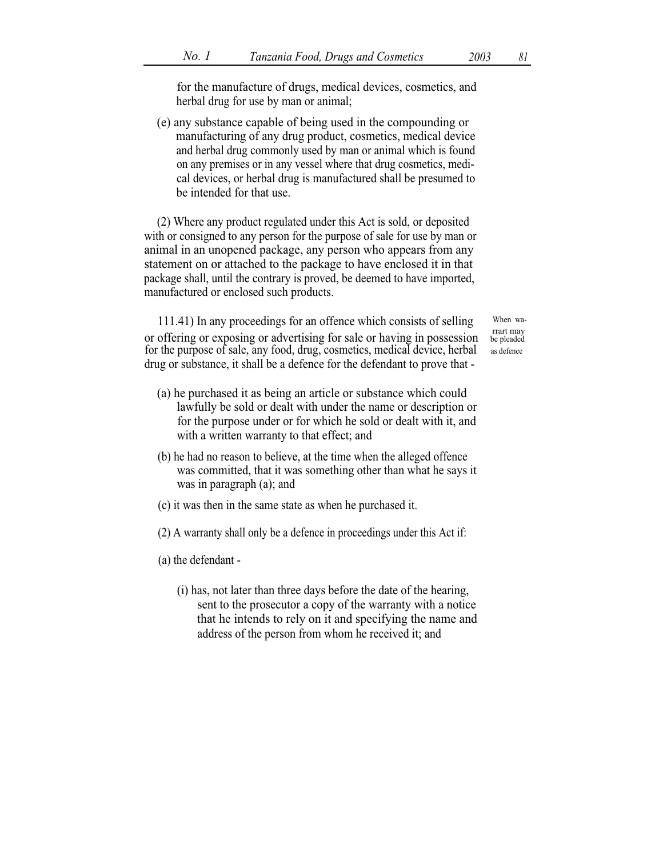for the manufacture of drugs, medical devices, cosmetics, and herbal drug for use by man or animal;

(e) any substance capable of being used in the compounding or manufacturing of any drug product, cosmetics, medical device and herbal drug commonly used by man or animal which is found on any premises or in any vessel where that drug cosmetics, medical devices, or herbal drug is manufactured shall be presumed to be intended for that use.

(2) Where any product regulated under this Act is sold, or deposited with or consigned to any person for the purpose of sale for use by man or animal in an unopened package, any person who appears from any statement on or attached to the package to have enclosed it in that package shall, until the contrary is proved, be deemed to have imported, manufactured or enclosed such products.

111.41) In any proceedings for an offence which consists of selling When waor offering or exposing or advertising for sale or having in possession be pleaded for the purpose of sale, any food, drug, cosmetics, medical device, herbal as defence drug or substance, it shall be a defence for the defendant to prove that -

- 
- (a) he purchased it as being an article or substance which could lawfully be sold or dealt with under the name or description or for the purpose under or for which he sold or dealt with it, and with a written warranty to that effect; and
- (b) he had no reason to believe, at the time when the alleged offence was committed, that it was something other than what he says it was in paragraph (a); and
- (c) it was then in the same state as when he purchased it.
- (2) A warranty shall only be a defence in proceedings under this Act if:
- (a) the defendant
	- (i) has, not later than three days before the date of the hearing, sent to the prosecutor a copy of the warranty with a notice that he intends to rely on it and specifying the name and address of the person from whom he received it; and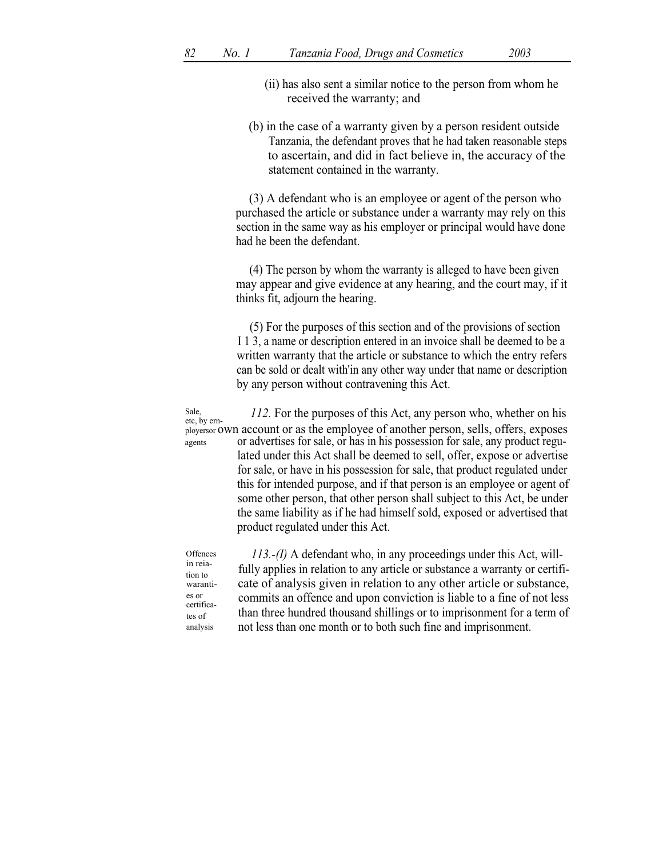(b) in the case of a warranty given by a person resident outside Tanzania, the defendant proves that he had taken reasonable steps to ascertain, and did in fact believe in, the accuracy of the statement contained in the warranty.

(3) A defendant who is an employee or agent of the person who purchased the article or substance under a warranty may rely on this section in the same way as his employer or principal would have done had he been the defendant.

(4) The person by whom the warranty is alleged to have been given may appear and give evidence at any hearing, and the court may, if it thinks fit, adjourn the hearing.

(5) For the purposes of this section and of the provisions of section I 1 3, a name or description entered in an invoice shall be deemed to be a written warranty that the article or substance to which the entry refers can be sold or dealt with'in any other way under that name or description by any person without contravening this Act.

Sale, 112. For the purposes of this Act, any person who, whether on his etc, by ernployersor own account or as the employee of another person, sells, offers, exposes or advertises for sale, or has in his possession for sale, any product regulated under this Act shall be deemed to sell, offer, expose or advertise for sale, or have in his possession for sale, that product regulated under this for intended purpose, and if that person is an employee or agent of some other person, that other person shall subject to this Act, be under the same liability as if he had himself sold, exposed or advertised that product regulated under this Act. agents

113.-(I) A defendant who, in any proceedings under this Act, willfully applies in relation to any article or substance a warranty or certificate of analysis given in relation to any other article or substance, commits an offence and upon conviction is liable to a fine of not less than three hundred thousand shillings or to imprisonment for a term of not less than one month or to both such fine and imprisonment. **Offences** 

in reiation to waranties or certificates of analysis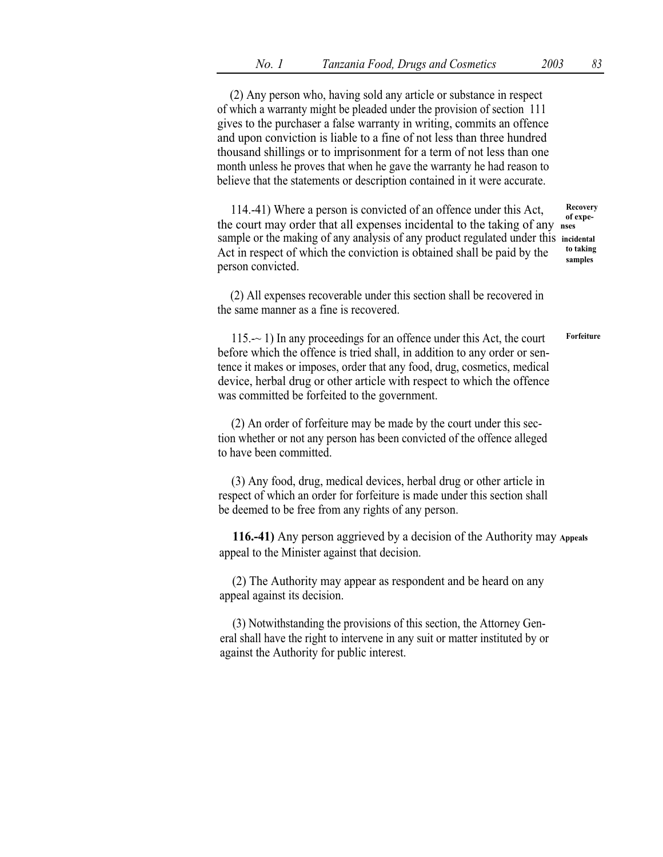(2) Any person who, having sold any article or substance in respect of which a warranty might be pleaded under the provision of section 111 gives to the purchaser a false warranty in writing, commits an offence and upon conviction is liable to a fine of not less than three hundred thousand shillings or to imprisonment for a term of not less than one month unless he proves that when he gave the warranty he had reason to believe that the statements or description contained in it were accurate.

114.-41) Where a person is convicted of an offence under this Act, Recovery of expethe court may order that all expenses incidental to the taking of any nses sample or the making of any analysis of any product regulated under this incidental<br>Act in regnect of which the conviction is obtained shall be noted by the to taking Act in respect of which the conviction is obtained shall be paid by the  $\frac{\text{to taking}}{\text{samples}}$ person convicted.

(2) All expenses recoverable under this section shall be recovered in the same manner as a fine is recovered.

115.-~ 1) In any proceedings for an offence under this Act, the court before which the offence is tried shall, in addition to any order or sentence it makes or imposes, order that any food, drug, cosmetics, medical device, herbal drug or other article with respect to which the offence was committed be forfeited to the government. Forfeiture

(2) An order of forfeiture may be made by the court under this section whether or not any person has been convicted of the offence alleged to have been committed.

(3) Any food, drug, medical devices, herbal drug or other article in respect of which an order for forfeiture is made under this section shall be deemed to be free from any rights of any person.

116.-41) Any person aggrieved by a decision of the Authority may Appeals appeal to the Minister against that decision.

(2) The Authority may appear as respondent and be heard on any appeal against its decision.

(3) Notwithstanding the provisions of this section, the Attorney General shall have the right to intervene in any suit or matter instituted by or against the Authority for public interest.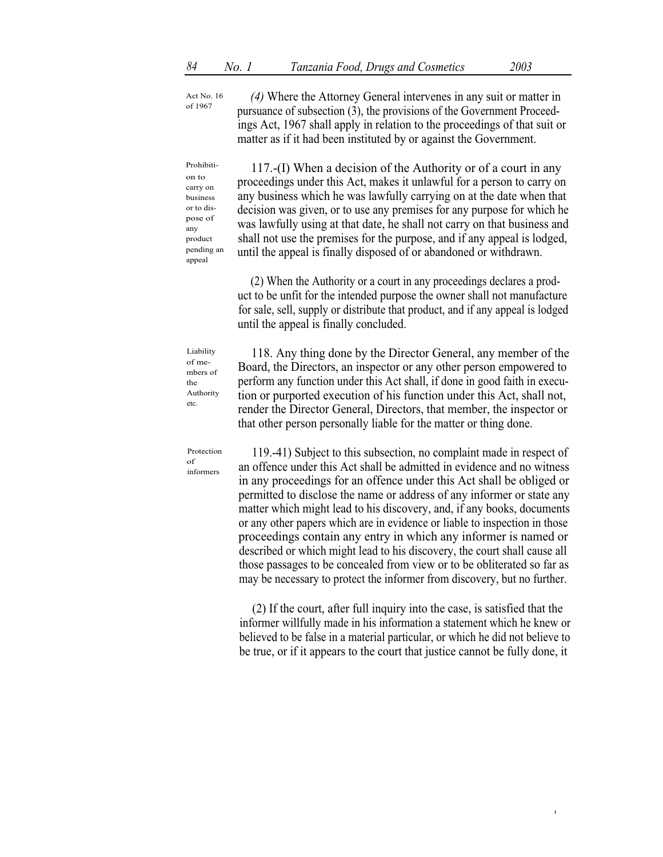Act No. 16 of 1967

(4) Where the Attorney General intervenes in any suit or matter in pursuance of subsection (3), the provisions of the Government Proceedings Act, 1967 shall apply in relation to the proceedings of that suit or matter as if it had been instituted by or against the Government.

Prohibition to carry on business or to dispose of any product pending an appeal

117.-(I) When a decision of the Authority or of a court in any proceedings under this Act, makes it unlawful for a person to carry on any business which he was lawfully carrying on at the date when that decision was given, or to use any premises for any purpose for which he was lawfully using at that date, he shall not carry on that business and shall not use the premises for the purpose, and if any appeal is lodged, until the appeal is finally disposed of or abandoned or withdrawn.

(2) When the Authority or a court in any proceedings declares a product to be unfit for the intended purpose the owner shall not manufacture for sale, sell, supply or distribute that product, and if any appeal is lodged until the appeal is finally concluded.

Liability of members of the Authority etc.

118. Any thing done by the Director General, any member of the Board, the Directors, an inspector or any other person empowered to perform any function under this Act shall, if done in good faith in execution or purported execution of his function under this Act, shall not, render the Director General, Directors, that member, the inspector or that other person personally liable for the matter or thing done.

Protection of informers

119.-41) Subject to this subsection, no complaint made in respect of an offence under this Act shall be admitted in evidence and no witness in any proceedings for an offence under this Act shall be obliged or permitted to disclose the name or address of any informer or state any matter which might lead to his discovery, and, if any books, documents or any other papers which are in evidence or liable to inspection in those proceedings contain any entry in which any informer is named or described or which might lead to his discovery, the court shall cause all those passages to be concealed from view or to be obliterated so far as may be necessary to protect the informer from discovery, but no further.

(2) If the court, after full inquiry into the case, is satisfied that the informer willfully made in his information a statement which he knew or believed to be false in a material particular, or which he did not believe to be true, or if it appears to the court that justice cannot be fully done, it

I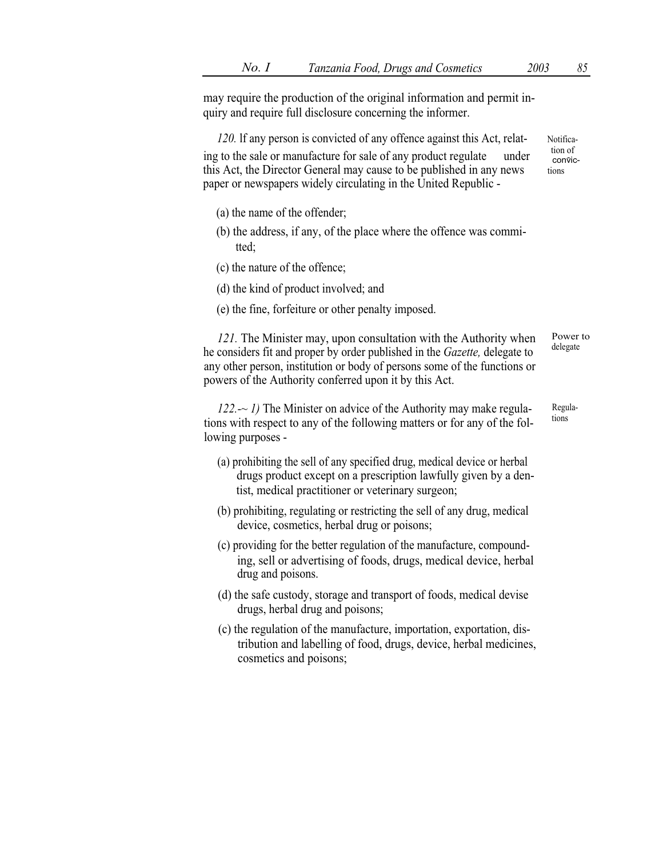may require the production of the original information and permit inquiry and require full disclosure concerning the informer.

120. If any person is convicted of any offence against this Act, relat-<br>tion of the sale or manufacture for sale of any product regulate under this Act, the Director General may cause to be published in any news tions paper or newspapers widely circulating in the United Republic -

- (a) the name of the offender;
- (b) the address, if any, of the place where the offence was committed;
- (c) the nature of the offence;
- (d) the kind of product involved; and
- (e) the fine, forfeiture or other penalty imposed.

121. The Minister may, upon consultation with the Authority when he considers fit and proper by order published in the Gazette, delegate to any other person, institution or body of persons some of the functions or powers of the Authority conferred upon it by this Act. delegate

 $122.~$  - 1) The Minister on advice of the Authority may make regulations with respect to any of the following matters or for any of the following purposes -

- (a) prohibiting the sell of any specified drug, medical device or herbal drugs product except on a prescription lawfully given by a dentist, medical practitioner or veterinary surgeon;
- (b) prohibiting, regulating or restricting the sell of any drug, medical device, cosmetics, herbal drug or poisons;
- (c) providing for the better regulation of the manufacture, compounding, sell or advertising of foods, drugs, medical device, herbal drug and poisons.
- (d) the safe custody, storage and transport of foods, medical devise drugs, herbal drug and poisons;
- (c) the regulation of the manufacture, importation, exportation, distribution and labelling of food, drugs, device, herbal medicines, cosmetics and poisons;

convic-

Regulations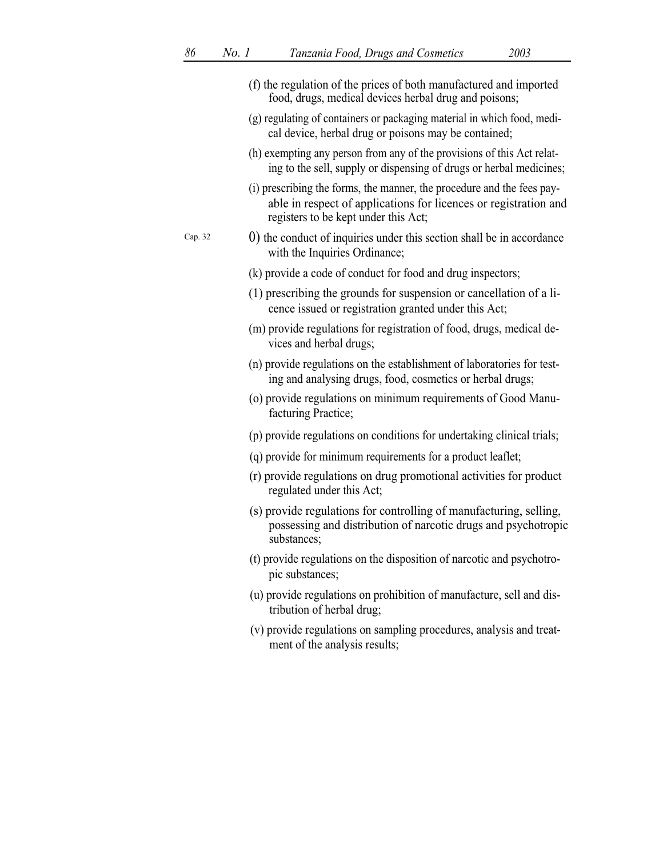|         | (f) the regulation of the prices of both manufactured and imported<br>food, drugs, medical devices herbal drug and poisons;                                                        |
|---------|------------------------------------------------------------------------------------------------------------------------------------------------------------------------------------|
|         | (g) regulating of containers or packaging material in which food, medi-<br>cal device, herbal drug or poisons may be contained;                                                    |
|         | (h) exempting any person from any of the provisions of this Act relat-<br>ing to the sell, supply or dispensing of drugs or herbal medicines;                                      |
|         | (i) prescribing the forms, the manner, the procedure and the fees pay-<br>able in respect of applications for licences or registration and<br>registers to be kept under this Act; |
| Cap. 32 | 0) the conduct of inquiries under this section shall be in accordance<br>with the Inquiries Ordinance;                                                                             |
|         | (k) provide a code of conduct for food and drug inspectors;                                                                                                                        |
|         | (1) prescribing the grounds for suspension or cancellation of a li-<br>cence issued or registration granted under this Act;                                                        |
|         | (m) provide regulations for registration of food, drugs, medical de-<br>vices and herbal drugs;                                                                                    |
|         | (n) provide regulations on the establishment of laboratories for test-<br>ing and analysing drugs, food, cosmetics or herbal drugs;                                                |
|         | (o) provide regulations on minimum requirements of Good Manu-<br>facturing Practice;                                                                                               |
|         | (p) provide regulations on conditions for undertaking clinical trials;                                                                                                             |
|         | (q) provide for minimum requirements for a product leaflet;                                                                                                                        |
|         | (r) provide regulations on drug promotional activities for product<br>regulated under this Act;                                                                                    |
|         | (s) provide regulations for controlling of manufacturing, selling,<br>possessing and distribution of narcotic drugs and psychotropic<br>substances;                                |
|         | (t) provide regulations on the disposition of narcotic and psychotro-<br>pic substances;                                                                                           |
|         | (u) provide regulations on prohibition of manufacture, sell and dis-<br>tribution of herbal drug;                                                                                  |
|         | (v) provide regulations on sampling procedures, analysis and treat-<br>ment of the analysis results;                                                                               |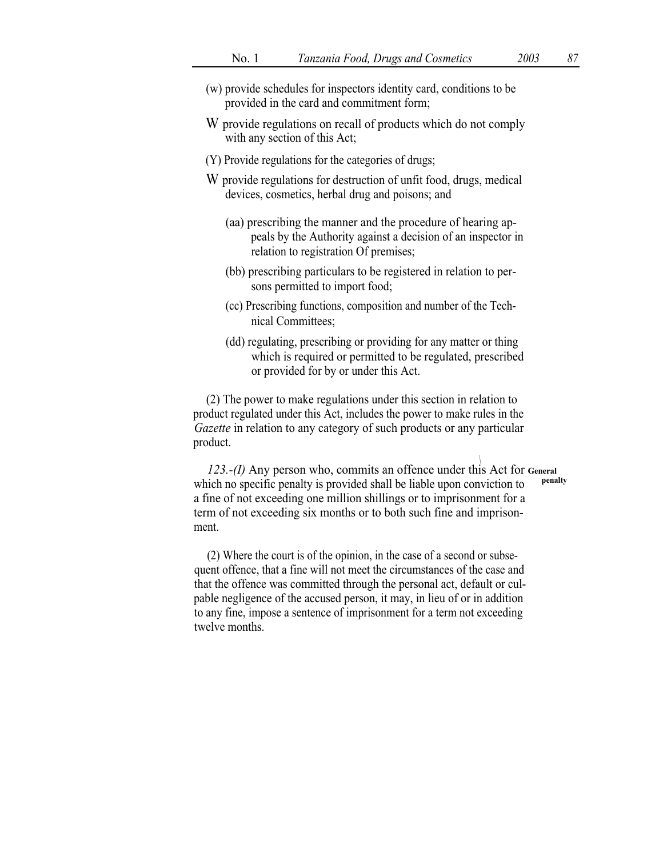- (w) provide schedules for inspectors identity card, conditions to be provided in the card and commitment form;
- W provide regulations on recall of products which do not comply with any section of this Act;
- (Y) Provide regulations for the categories of drugs;
- W provide regulations for destruction of unfit food, drugs, medical devices, cosmetics, herbal drug and poisons; and
	- (aa) prescribing the manner and the procedure of hearing appeals by the Authority against a decision of an inspector in relation to registration Of premises;
	- (bb) prescribing particulars to be registered in relation to persons permitted to import food;
	- (cc) Prescribing functions, composition and number of the Technical Committees;
	- (dd) regulating, prescribing or providing for any matter or thing which is required or permitted to be regulated, prescribed or provided for by or under this Act.

(2) The power to make regulations under this section in relation to product regulated under this Act, includes the power to make rules in the Gazette in relation to any category of such products or any particular product.

123.-(I) Any person who, commits an offence under this Act for General which no specific penalty is provided shall be liable upon conviction to penalty a fine of not exceeding one million shillings or to imprisonment for a term of not exceeding six months or to both such fine and imprisonment.

(2) Where the court is of the opinion, in the case of a second or subsequent offence, that a fine will not meet the circumstances of the case and that the offence was committed through the personal act, default or culpable negligence of the accused person, it may, in lieu of or in addition to any fine, impose a sentence of imprisonment for a term not exceeding twelve months.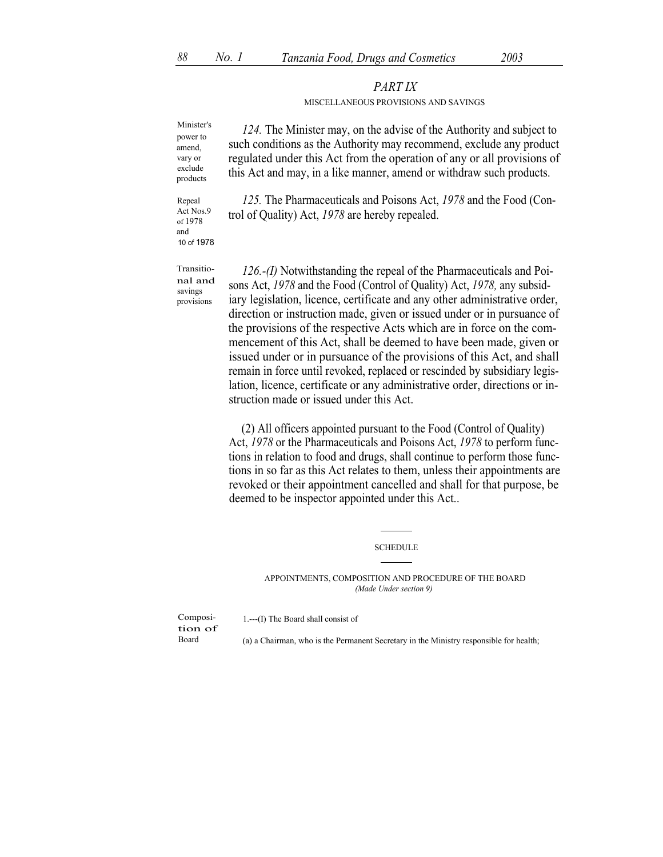## PART IX

## MISCELLANEOUS PROVISIONS AND SAVINGS

power to amend, vary or exclude products

Minister's 124. The Minister may, on the advise of the Authority and subject to such conditions as the Authority may recommend, exclude any product regulated under this Act from the operation of any or all provisions of this Act and may, in a like manner, amend or withdraw such products.

Repeal Act Nos.9 of 1978 and 10 of 1978

Transitional and savings provisions

125. The Pharmaceuticals and Poisons Act, 1978 and the Food (Control of Quality) Act, 1978 are hereby repealed.

126.-(I) Notwithstanding the repeal of the Pharmaceuticals and Poisons Act, 1978 and the Food (Control of Quality) Act, 1978, any subsidiary legislation, licence, certificate and any other administrative order, direction or instruction made, given or issued under or in pursuance of the provisions of the respective Acts which are in force on the commencement of this Act, shall be deemed to have been made, given or issued under or in pursuance of the provisions of this Act, and shall remain in force until revoked, replaced or rescinded by subsidiary legislation, licence, certificate or any administrative order, directions or instruction made or issued under this Act.

(2) All officers appointed pursuant to the Food (Control of Quality) Act, 1978 or the Pharmaceuticals and Poisons Act, 1978 to perform functions in relation to food and drugs, shall continue to perform those functions in so far as this Act relates to them, unless their appointments are revoked or their appointment cancelled and shall for that purpose, be deemed to be inspector appointed under this Act..

SCHEDULE

APPOINTMENTS, COMPOSITION AND PROCEDURE OF THE BOARD (Made Under section 9)

Composi- 1.---(I) The Board shall consist of tion of

(a) a Chairman, who is the Permanent Secretary in the Ministry responsible for health;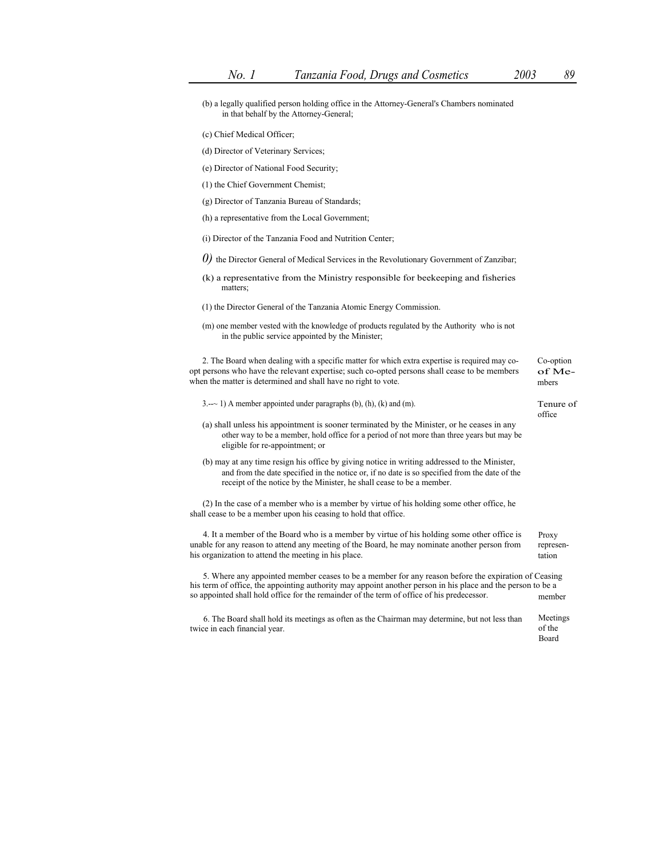(b) a legally qualified person holding office in the Attorney-General's Chambers nominated in that behalf by the Attorney-General;

- (c) Chief Medical Officer;
- (d) Director of Veterinary Services;
- (e) Director of National Food Security;
- (1) the Chief Government Chemist;
- (g) Director of Tanzania Bureau of Standards;
- (h) a representative from the Local Government;
- (i) Director of the Tanzania Food and Nutrition Center;
- 0) the Director General of Medical Services in the Revolutionary Government of Zanzibar;
- (k) a representative from the Ministry responsible for beekeeping and fisheries matters;
- (1) the Director General of the Tanzania Atomic Energy Commission.
- (m) one member vested with the knowledge of products regulated by the Authority who is not in the public service appointed by the Minister;

2. The Board when dealing with a specific matter for which extra expertise is required may co- Co-option opt persons who have the relevant expertise; such co-opted persons shall cease to be members when the matter is determined and shall have no right to vote.

of Members

|  | $3. -2$ 1) A member appointed under paragraphs (b), (h), (k) and (m). | Tenure of |
|--|-----------------------------------------------------------------------|-----------|
|--|-----------------------------------------------------------------------|-----------|

## office

- (a) shall unless his appointment is sooner terminated by the Minister, or he ceases in any other way to be a member, hold office for a period of not more than three years but may be eligible for re-appointment; or
- (b) may at any time resign his office by giving notice in writing addressed to the Minister, and from the date specified in the notice or, if no date is so specified from the date of the receipt of the notice by the Minister, he shall cease to be a member.

(2) In the case of a member who is a member by virtue of his holding some other office, he shall cease to be a member upon his ceasing to hold that office.

4. It a member of the Board who is a member by virtue of his holding some other office is unable for any reason to attend any meeting of the Board, he may nominate another person from his organization to attend the meeting in his place. Proxy representation

5. Where any appointed member ceases to be a member for any reason before the expiration of Ceasing his term of office, the appointing authority may appoint another person in his place and the person to be a so appointed shall hold office for the remainder of the term of office of his predecessor. member

6. The Board shall hold its meetings as often as the Chairman may determine, but not less than Meetings twice in each financial year.  $\bullet$  of the set of the set of the set of the set of the set of the set of the set of the set of the set of the set of the set of the set of the set of the set of the set of the set of the set Board